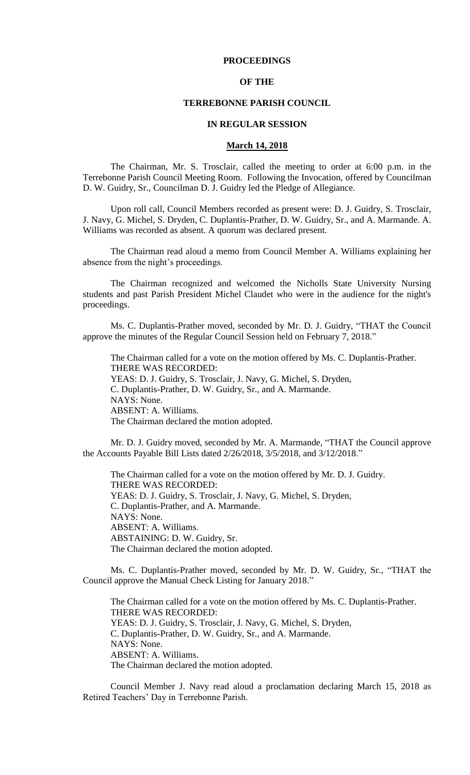# **PROCEEDINGS**

## **OF THE**

#### **TERREBONNE PARISH COUNCIL**

### **IN REGULAR SESSION**

### **March 14, 2018**

The Chairman, Mr. S. Trosclair, called the meeting to order at 6:00 p.m. in the Terrebonne Parish Council Meeting Room. Following the Invocation, offered by Councilman D. W. Guidry, Sr., Councilman D. J. Guidry led the Pledge of Allegiance.

Upon roll call, Council Members recorded as present were: D. J. Guidry, S. Trosclair, J. Navy, G. Michel, S. Dryden, C. Duplantis-Prather, D. W. Guidry, Sr., and A. Marmande. A. Williams was recorded as absent. A quorum was declared present.

The Chairman read aloud a memo from Council Member A. Williams explaining her absence from the night's proceedings.

The Chairman recognized and welcomed the Nicholls State University Nursing students and past Parish President Michel Claudet who were in the audience for the night's proceedings.

Ms. C. Duplantis-Prather moved, seconded by Mr. D. J. Guidry, "THAT the Council approve the minutes of the Regular Council Session held on February 7, 2018."

The Chairman called for a vote on the motion offered by Ms. C. Duplantis-Prather. THERE WAS RECORDED: YEAS: D. J. Guidry, S. Trosclair, J. Navy, G. Michel, S. Dryden, C. Duplantis-Prather, D. W. Guidry, Sr., and A. Marmande. NAYS: None. ABSENT: A. Williams. The Chairman declared the motion adopted.

Mr. D. J. Guidry moved, seconded by Mr. A. Marmande, "THAT the Council approve the Accounts Payable Bill Lists dated 2/26/2018, 3/5/2018, and 3/12/2018."

The Chairman called for a vote on the motion offered by Mr. D. J. Guidry. THERE WAS RECORDED: YEAS: D. J. Guidry, S. Trosclair, J. Navy, G. Michel, S. Dryden, C. Duplantis-Prather, and A. Marmande. NAYS: None. ABSENT: A. Williams. ABSTAINING: D. W. Guidry, Sr. The Chairman declared the motion adopted.

Ms. C. Duplantis-Prather moved, seconded by Mr. D. W. Guidry, Sr., "THAT the Council approve the Manual Check Listing for January 2018."

The Chairman called for a vote on the motion offered by Ms. C. Duplantis-Prather. THERE WAS RECORDED: YEAS: D. J. Guidry, S. Trosclair, J. Navy, G. Michel, S. Dryden, C. Duplantis-Prather, D. W. Guidry, Sr., and A. Marmande. NAYS: None. ABSENT: A. Williams. The Chairman declared the motion adopted.

Council Member J. Navy read aloud a proclamation declaring March 15, 2018 as Retired Teachers' Day in Terrebonne Parish.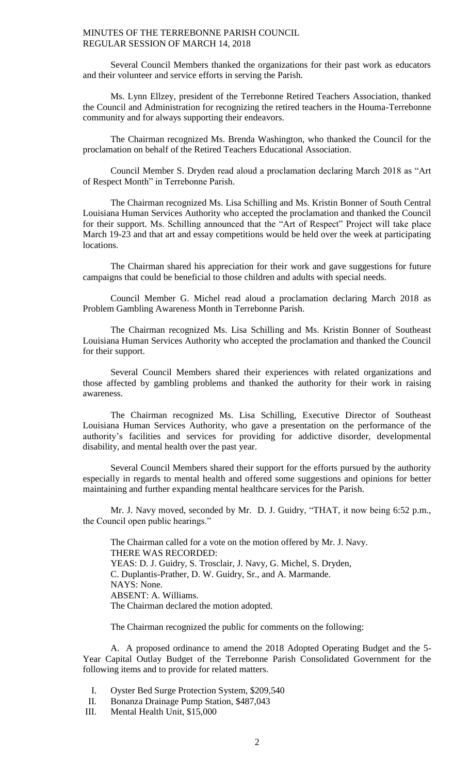Several Council Members thanked the organizations for their past work as educators and their volunteer and service efforts in serving the Parish.

Ms. Lynn Ellzey, president of the Terrebonne Retired Teachers Association, thanked the Council and Administration for recognizing the retired teachers in the Houma-Terrebonne community and for always supporting their endeavors.

The Chairman recognized Ms. Brenda Washington, who thanked the Council for the proclamation on behalf of the Retired Teachers Educational Association.

Council Member S. Dryden read aloud a proclamation declaring March 2018 as "Art of Respect Month" in Terrebonne Parish.

The Chairman recognized Ms. Lisa Schilling and Ms. Kristin Bonner of South Central Louisiana Human Services Authority who accepted the proclamation and thanked the Council for their support. Ms. Schilling announced that the "Art of Respect" Project will take place March 19-23 and that art and essay competitions would be held over the week at participating locations.

The Chairman shared his appreciation for their work and gave suggestions for future campaigns that could be beneficial to those children and adults with special needs.

Council Member G. Michel read aloud a proclamation declaring March 2018 as Problem Gambling Awareness Month in Terrebonne Parish.

The Chairman recognized Ms. Lisa Schilling and Ms. Kristin Bonner of Southeast Louisiana Human Services Authority who accepted the proclamation and thanked the Council for their support.

Several Council Members shared their experiences with related organizations and those affected by gambling problems and thanked the authority for their work in raising awareness.

The Chairman recognized Ms. Lisa Schilling, Executive Director of Southeast Louisiana Human Services Authority, who gave a presentation on the performance of the authority's facilities and services for providing for addictive disorder, developmental disability, and mental health over the past year.

Several Council Members shared their support for the efforts pursued by the authority especially in regards to mental health and offered some suggestions and opinions for better maintaining and further expanding mental healthcare services for the Parish.

Mr. J. Navy moved, seconded by Mr. D. J. Guidry, "THAT, it now being 6:52 p.m., the Council open public hearings."

The Chairman called for a vote on the motion offered by Mr. J. Navy. THERE WAS RECORDED: YEAS: D. J. Guidry, S. Trosclair, J. Navy, G. Michel, S. Dryden, C. Duplantis-Prather, D. W. Guidry, Sr., and A. Marmande. NAYS: None. ABSENT: A. Williams. The Chairman declared the motion adopted.

The Chairman recognized the public for comments on the following:

A. A proposed ordinance to amend the 2018 Adopted Operating Budget and the 5- Year Capital Outlay Budget of the Terrebonne Parish Consolidated Government for the following items and to provide for related matters.

I. Oyster Bed Surge Protection System, \$209,540

- II. Bonanza Drainage Pump Station, \$487,043
- III. Mental Health Unit, \$15,000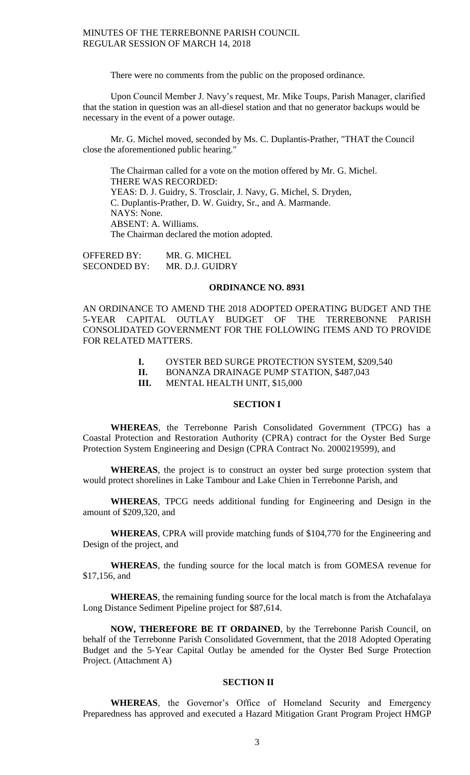There were no comments from the public on the proposed ordinance.

Upon Council Member J. Navy's request, Mr. Mike Toups, Parish Manager, clarified that the station in question was an all-diesel station and that no generator backups would be necessary in the event of a power outage.

Mr. G. Michel moved, seconded by Ms. C. Duplantis-Prather, "THAT the Council close the aforementioned public hearing."

The Chairman called for a vote on the motion offered by Mr. G. Michel. THERE WAS RECORDED: YEAS: D. J. Guidry, S. Trosclair, J. Navy, G. Michel, S. Dryden, C. Duplantis-Prather, D. W. Guidry, Sr., and A. Marmande. NAYS: None. ABSENT: A. Williams. The Chairman declared the motion adopted.

OFFERED BY: MR. G. MICHEL SECONDED BY: MR. D.J. GUIDRY

### **ORDINANCE NO. 8931**

AN ORDINANCE TO AMEND THE 2018 ADOPTED OPERATING BUDGET AND THE 5-YEAR CAPITAL OUTLAY BUDGET OF THE TERREBONNE PARISH CONSOLIDATED GOVERNMENT FOR THE FOLLOWING ITEMS AND TO PROVIDE FOR RELATED MATTERS.

- **I.** OYSTER BED SURGE PROTECTION SYSTEM, \$209,540
- **II.** BONANZA DRAINAGE PUMP STATION, \$487,043

**III.** MENTAL HEALTH UNIT, \$15,000

# **SECTION I**

**WHEREAS**, the Terrebonne Parish Consolidated Government (TPCG) has a Coastal Protection and Restoration Authority (CPRA) contract for the Oyster Bed Surge Protection System Engineering and Design (CPRA Contract No. 2000219599), and

**WHEREAS**, the project is to construct an oyster bed surge protection system that would protect shorelines in Lake Tambour and Lake Chien in Terrebonne Parish, and

**WHEREAS**, TPCG needs additional funding for Engineering and Design in the amount of \$209,320, and

**WHEREAS**, CPRA will provide matching funds of \$104,770 for the Engineering and Design of the project, and

**WHEREAS**, the funding source for the local match is from GOMESA revenue for \$17,156, and

**WHEREAS**, the remaining funding source for the local match is from the Atchafalaya Long Distance Sediment Pipeline project for \$87,614.

**NOW, THEREFORE BE IT ORDAINED**, by the Terrebonne Parish Council, on behalf of the Terrebonne Parish Consolidated Government, that the 2018 Adopted Operating Budget and the 5-Year Capital Outlay be amended for the Oyster Bed Surge Protection Project. (Attachment A)

#### **SECTION II**

**WHEREAS**, the Governor's Office of Homeland Security and Emergency Preparedness has approved and executed a Hazard Mitigation Grant Program Project HMGP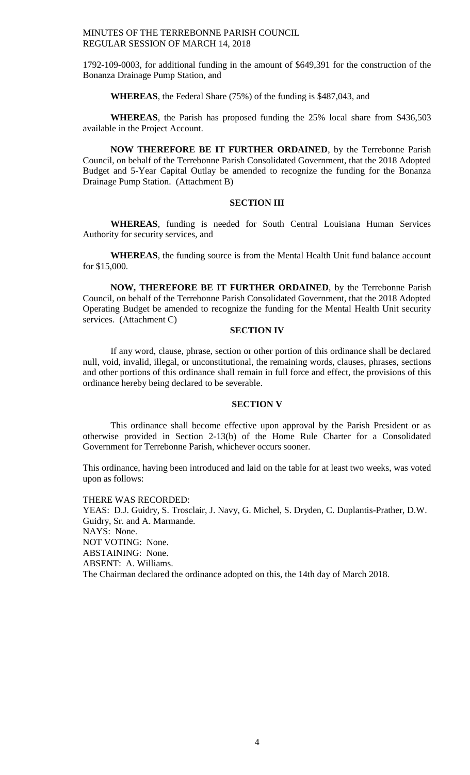1792-109-0003, for additional funding in the amount of \$649,391 for the construction of the Bonanza Drainage Pump Station, and

# **WHEREAS**, the Federal Share (75%) of the funding is \$487,043, and

**WHEREAS**, the Parish has proposed funding the 25% local share from \$436,503 available in the Project Account.

**NOW THEREFORE BE IT FURTHER ORDAINED**, by the Terrebonne Parish Council, on behalf of the Terrebonne Parish Consolidated Government, that the 2018 Adopted Budget and 5-Year Capital Outlay be amended to recognize the funding for the Bonanza Drainage Pump Station. (Attachment B)

# **SECTION III**

**WHEREAS**, funding is needed for South Central Louisiana Human Services Authority for security services, and

**WHEREAS**, the funding source is from the Mental Health Unit fund balance account for \$15,000.

**NOW, THEREFORE BE IT FURTHER ORDAINED**, by the Terrebonne Parish Council, on behalf of the Terrebonne Parish Consolidated Government, that the 2018 Adopted Operating Budget be amended to recognize the funding for the Mental Health Unit security services. (Attachment C)

## **SECTION IV**

If any word, clause, phrase, section or other portion of this ordinance shall be declared null, void, invalid, illegal, or unconstitutional, the remaining words, clauses, phrases, sections and other portions of this ordinance shall remain in full force and effect, the provisions of this ordinance hereby being declared to be severable.

#### **SECTION V**

This ordinance shall become effective upon approval by the Parish President or as otherwise provided in Section 2-13(b) of the Home Rule Charter for a Consolidated Government for Terrebonne Parish, whichever occurs sooner.

This ordinance, having been introduced and laid on the table for at least two weeks, was voted upon as follows:

THERE WAS RECORDED: YEAS: D.J. Guidry, S. Trosclair, J. Navy, G. Michel, S. Dryden, C. Duplantis-Prather, D.W. Guidry, Sr. and A. Marmande. NAYS: None. NOT VOTING: None. ABSTAINING: None. ABSENT: A. Williams. The Chairman declared the ordinance adopted on this, the 14th day of March 2018.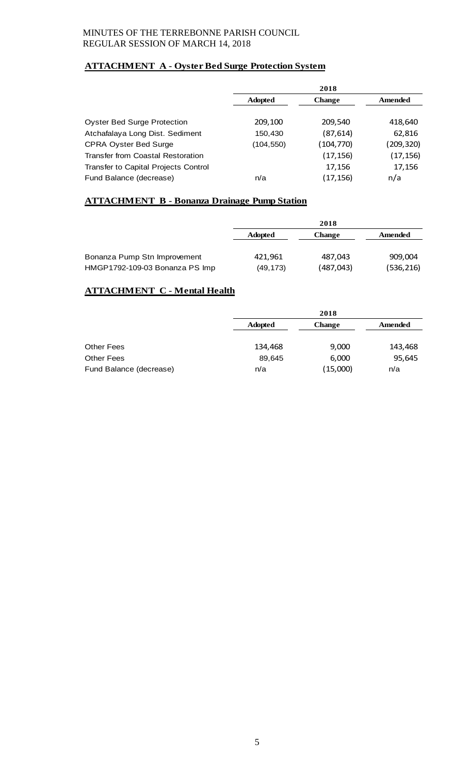# **ATTACHMENT A - Oyster Bed Surge Protection System**

|                                      | 2018           |               |           |
|--------------------------------------|----------------|---------------|-----------|
|                                      | <b>Adopted</b> | <b>Change</b> | Amended   |
|                                      |                |               |           |
| <b>Oyster Bed Surge Protection</b>   | 209,100        | 209,540       | 418,640   |
| Atchafalaya Long Dist. Sediment      | 150,430        | (87,614)      | 62,816    |
| <b>CPRA Oyster Bed Surge</b>         | (104,550)      | (104,770)     | (209,320) |
| Transfer from Coastal Restoration    |                | (17, 156)     | (17,156)  |
| Transfer to Capital Projects Control |                | 17,156        | 17,156    |
| Fund Balance (decrease)              | n/a            | (17, 156)     | n/a       |

# **ATTACHMENT B - Bonanza Drainage Pump Station**

|                                | 2018           |           |            |
|--------------------------------|----------------|-----------|------------|
|                                | <b>Adopted</b> | Change    | Amended    |
|                                |                |           |            |
| Bonanza Pump Stn Improvement   | 421,961        | 487.043   | 909,004    |
| HMGP1792-109-03 Bonanza PS Imp | (49,173)       | (487,043) | (536, 216) |

# **ATTACHMENT C - Mental Health**

|                         |                | 2018          |         |
|-------------------------|----------------|---------------|---------|
|                         | <b>Adopted</b> | <b>Change</b> | Amended |
|                         |                |               |         |
| Other Fees              | 134,468        | 9,000         | 143,468 |
| <b>Other Fees</b>       | 89,645         | 6,000         | 95,645  |
| Fund Balance (decrease) | n/a            | (15,000)      | n/a     |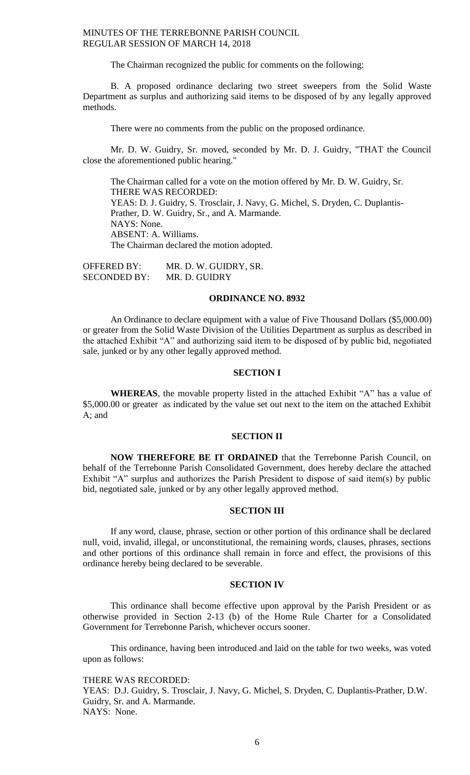The Chairman recognized the public for comments on the following:

B. A proposed ordinance declaring two street sweepers from the Solid Waste Department as surplus and authorizing said items to be disposed of by any legally approved methods.

There were no comments from the public on the proposed ordinance.

Mr. D. W. Guidry, Sr. moved, seconded by Mr. D. J. Guidry, "THAT the Council close the aforementioned public hearing."

The Chairman called for a vote on the motion offered by Mr. D. W. Guidry, Sr. THERE WAS RECORDED: YEAS: D. J. Guidry, S. Trosclair, J. Navy, G. Michel, S. Dryden, C. Duplantis-Prather, D. W. Guidry, Sr., and A. Marmande. NAYS: None. ABSENT: A. Williams. The Chairman declared the motion adopted.

| <b>OFFERED BY:</b>  | MR. D. W. GUIDRY, SR. |
|---------------------|-----------------------|
| <b>SECONDED BY:</b> | MR. D. GUIDRY         |

# **ORDINANCE NO. 8932**

An Ordinance to declare equipment with a value of Five Thousand Dollars (\$5,000.00) or greater from the Solid Waste Division of the Utilities Department as surplus as described in the attached Exhibit "A" and authorizing said item to be disposed of by public bid, negotiated sale, junked or by any other legally approved method.

### **SECTION I**

**WHEREAS**, the movable property listed in the attached Exhibit "A" has a value of \$5,000.00 or greater as indicated by the value set out next to the item on the attached Exhibit A; and

#### **SECTION II**

**NOW THEREFORE BE IT ORDAINED** that the Terrebonne Parish Council, on behalf of the Terrebonne Parish Consolidated Government, does hereby declare the attached Exhibit "A" surplus and authorizes the Parish President to dispose of said item(s) by public bid, negotiated sale, junked or by any other legally approved method.

#### **SECTION III**

If any word, clause, phrase, section or other portion of this ordinance shall be declared null, void, invalid, illegal, or unconstitutional, the remaining words, clauses, phrases, sections and other portions of this ordinance shall remain in force and effect, the provisions of this ordinance hereby being declared to be severable.

### **SECTION IV**

This ordinance shall become effective upon approval by the Parish President or as otherwise provided in Section 2-13 (b) of the Home Rule Charter for a Consolidated Government for Terrebonne Parish, whichever occurs sooner.

This ordinance, having been introduced and laid on the table for two weeks, was voted upon as follows:

THERE WAS RECORDED:

YEAS: D.J. Guidry, S. Trosclair, J. Navy, G. Michel, S. Dryden, C. Duplantis-Prather, D.W. Guidry, Sr. and A. Marmande. NAYS: None.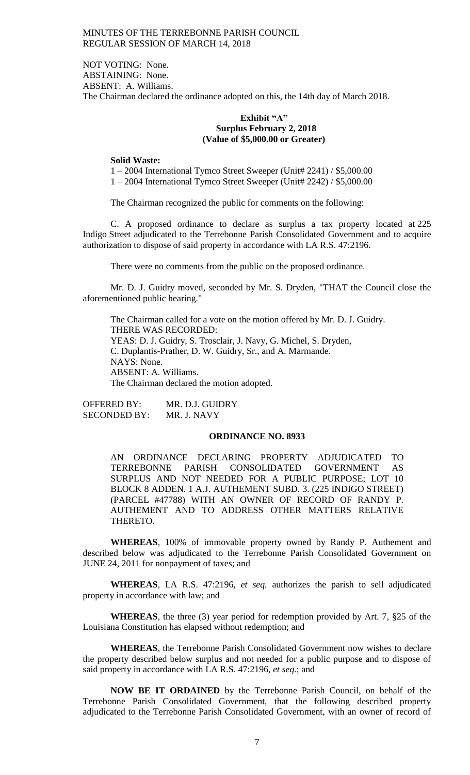NOT VOTING: None. ABSTAINING: None. ABSENT: A. Williams. The Chairman declared the ordinance adopted on this, the 14th day of March 2018.

# **Exhibit "A" Surplus February 2, 2018 (Value of \$5,000.00 or Greater)**

#### **Solid Waste:**

1 – 2004 International Tymco Street Sweeper (Unit# 2241) / \$5,000.00 1 – 2004 International Tymco Street Sweeper (Unit# 2242) / \$5,000.00

The Chairman recognized the public for comments on the following:

C. A proposed ordinance to declare as surplus a tax property located at 225 Indigo Street adjudicated to the Terrebonne Parish Consolidated Government and to acquire authorization to dispose of said property in accordance with LA R.S. 47:2196.

There were no comments from the public on the proposed ordinance.

Mr. D. J. Guidry moved, seconded by Mr. S. Dryden, "THAT the Council close the aforementioned public hearing."

The Chairman called for a vote on the motion offered by Mr. D. J. Guidry. THERE WAS RECORDED: YEAS: D. J. Guidry, S. Trosclair, J. Navy, G. Michel, S. Dryden, C. Duplantis-Prather, D. W. Guidry, Sr., and A. Marmande. NAYS: None. ABSENT: A. Williams. The Chairman declared the motion adopted.

OFFERED BY: MR. D.J. GUIDRY<br>SECONDED BY: MR. J. NAVY SECONDED BY:

#### **ORDINANCE NO. 8933**

AN ORDINANCE DECLARING PROPERTY ADJUDICATED TO TERREBONNE PARISH CONSOLIDATED GOVERNMENT AS SURPLUS AND NOT NEEDED FOR A PUBLIC PURPOSE; LOT 10 BLOCK 8 ADDEN. 1 A.J. AUTHEMENT SUBD. 3. (225 INDIGO STREET) (PARCEL #47788) WITH AN OWNER OF RECORD OF RANDY P. AUTHEMENT AND TO ADDRESS OTHER MATTERS RELATIVE THERETO.

**WHEREAS**, 100% of immovable property owned by Randy P. Authement and described below was adjudicated to the Terrebonne Parish Consolidated Government on JUNE 24, 2011 for nonpayment of taxes; and

**WHEREAS**, LA R.S. 47:2196, *et seq.* authorizes the parish to sell adjudicated property in accordance with law; and

**WHEREAS**, the three (3) year period for redemption provided by Art. 7, §25 of the Louisiana Constitution has elapsed without redemption; and

**WHEREAS**, the Terrebonne Parish Consolidated Government now wishes to declare the property described below surplus and not needed for a public purpose and to dispose of said property in accordance with LA R.S. 47:2196, *et seq*.; and

**NOW BE IT ORDAINED** by the Terrebonne Parish Council, on behalf of the Terrebonne Parish Consolidated Government, that the following described property adjudicated to the Terrebonne Parish Consolidated Government, with an owner of record of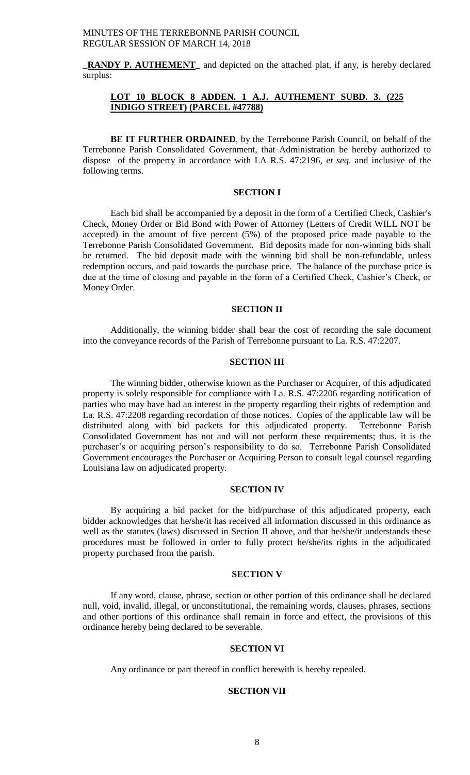**\_RANDY P. AUTHEMENT\_** and depicted on the attached plat, if any, is hereby declared surplus:

# **LOT 10 BLOCK 8 ADDEN. 1 A.J. AUTHEMENT SUBD. 3. (225 INDIGO STREET) (PARCEL #47788)**

**BE IT FURTHER ORDAINED**, by the Terrebonne Parish Council, on behalf of the Terrebonne Parish Consolidated Government, that Administration be hereby authorized to dispose of the property in accordance with LA R.S. 47:2196, *et seq*. and inclusive of the following terms.

# **SECTION I**

Each bid shall be accompanied by a deposit in the form of a Certified Check, Cashier's Check, Money Order or Bid Bond with Power of Attorney (Letters of Credit WILL NOT be accepted) in the amount of five percent (5%) of the proposed price made payable to the Terrebonne Parish Consolidated Government. Bid deposits made for non-winning bids shall be returned. The bid deposit made with the winning bid shall be non-refundable, unless redemption occurs, and paid towards the purchase price. The balance of the purchase price is due at the time of closing and payable in the form of a Certified Check, Cashier's Check, or Money Order.

### **SECTION II**

Additionally, the winning bidder shall bear the cost of recording the sale document into the conveyance records of the Parish of Terrebonne pursuant to La. R.S. 47:2207.

# **SECTION III**

The winning bidder, otherwise known as the Purchaser or Acquirer, of this adjudicated property is solely responsible for compliance with La. R.S. 47:2206 regarding notification of parties who may have had an interest in the property regarding their rights of redemption and La. R.S. 47:2208 regarding recordation of those notices. Copies of the applicable law will be distributed along with bid packets for this adjudicated property. Terrebonne Parish Consolidated Government has not and will not perform these requirements; thus, it is the purchaser's or acquiring person's responsibility to do so. Terrebonne Parish Consolidated Government encourages the Purchaser or Acquiring Person to consult legal counsel regarding Louisiana law on adjudicated property.

### **SECTION IV**

By acquiring a bid packet for the bid/purchase of this adjudicated property, each bidder acknowledges that he/she/it has received all information discussed in this ordinance as well as the statutes (laws) discussed in Section II above, and that he/she/it understands these procedures must be followed in order to fully protect he/she/its rights in the adjudicated property purchased from the parish.

### **SECTION V**

If any word, clause, phrase, section or other portion of this ordinance shall be declared null, void, invalid, illegal, or unconstitutional, the remaining words, clauses, phrases, sections and other portions of this ordinance shall remain in force and effect, the provisions of this ordinance hereby being declared to be severable.

### **SECTION VI**

Any ordinance or part thereof in conflict herewith is hereby repealed.

# **SECTION VII**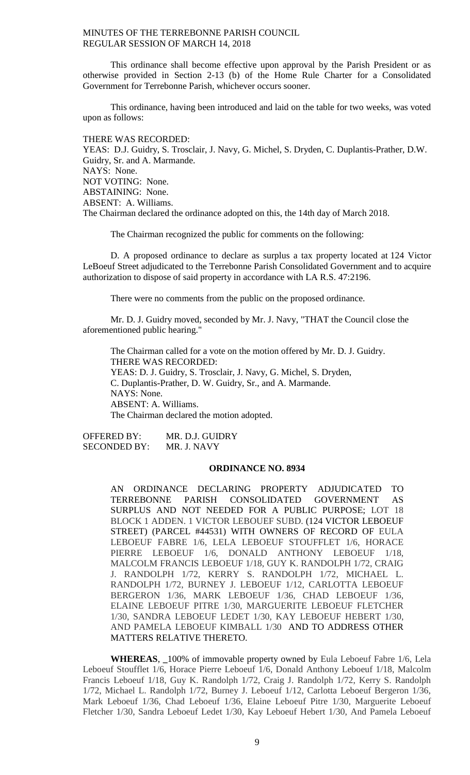This ordinance shall become effective upon approval by the Parish President or as otherwise provided in Section 2-13 (b) of the Home Rule Charter for a Consolidated Government for Terrebonne Parish, whichever occurs sooner.

This ordinance, having been introduced and laid on the table for two weeks, was voted upon as follows:

THERE WAS RECORDED: YEAS: D.J. Guidry, S. Trosclair, J. Navy, G. Michel, S. Dryden, C. Duplantis-Prather, D.W. Guidry, Sr. and A. Marmande. NAYS: None. NOT VOTING: None. ABSTAINING: None. ABSENT: A. Williams. The Chairman declared the ordinance adopted on this, the 14th day of March 2018.

The Chairman recognized the public for comments on the following:

D. A proposed ordinance to declare as surplus a tax property located at 124 Victor LeBoeuf Street adjudicated to the Terrebonne Parish Consolidated Government and to acquire authorization to dispose of said property in accordance with LA R.S. 47:2196.

There were no comments from the public on the proposed ordinance.

Mr. D. J. Guidry moved, seconded by Mr. J. Navy, "THAT the Council close the aforementioned public hearing."

The Chairman called for a vote on the motion offered by Mr. D. J. Guidry. THERE WAS RECORDED: YEAS: D. J. Guidry, S. Trosclair, J. Navy, G. Michel, S. Dryden, C. Duplantis-Prather, D. W. Guidry, Sr., and A. Marmande. NAYS: None. ABSENT: A. Williams. The Chairman declared the motion adopted.

OFFERED BY: MR. D.J. GUIDRY SECONDED BY: MR. J. NAVY

### **ORDINANCE NO. 8934**

AN ORDINANCE DECLARING PROPERTY ADJUDICATED TO TERREBONNE PARISH CONSOLIDATED GOVERNMENT AS SURPLUS AND NOT NEEDED FOR A PUBLIC PURPOSE; LOT 18 BLOCK 1 ADDEN. 1 VICTOR LEBOUEF SUBD. (124 VICTOR LEBOEUF STREET) (PARCEL #44531) WITH OWNERS OF RECORD OF EULA LEBOEUF FABRE 1/6, LELA LEBOEUF STOUFFLET 1/6, HORACE PIERRE LEBOEUF 1/6, DONALD ANTHONY LEBOEUF 1/18, MALCOLM FRANCIS LEBOEUF 1/18, GUY K. RANDOLPH 1/72, CRAIG J. RANDOLPH 1/72, KERRY S. RANDOLPH 1/72, MICHAEL L. RANDOLPH 1/72, BURNEY J. LEBOEUF 1/12, CARLOTTA LEBOEUF BERGERON 1/36, MARK LEBOEUF 1/36, CHAD LEBOEUF 1/36, ELAINE LEBOEUF PITRE 1/30, MARGUERITE LEBOEUF FLETCHER 1/30, SANDRA LEBOEUF LEDET 1/30, KAY LEBOEUF HEBERT 1/30, AND PAMELA LEBOEUF KIMBALL 1/30 AND TO ADDRESS OTHER MATTERS RELATIVE THERETO.

**WHEREAS**, **\_**100% of immovable property owned by Eula Leboeuf Fabre 1/6, Lela Leboeuf Stoufflet 1/6, Horace Pierre Leboeuf 1/6, Donald Anthony Leboeuf 1/18, Malcolm Francis Leboeuf 1/18, Guy K. Randolph 1/72, Craig J. Randolph 1/72, Kerry S. Randolph 1/72, Michael L. Randolph 1/72, Burney J. Leboeuf 1/12, Carlotta Leboeuf Bergeron 1/36, Mark Leboeuf 1/36, Chad Leboeuf 1/36, Elaine Leboeuf Pitre 1/30, Marguerite Leboeuf Fletcher 1/30, Sandra Leboeuf Ledet 1/30, Kay Leboeuf Hebert 1/30, And Pamela Leboeuf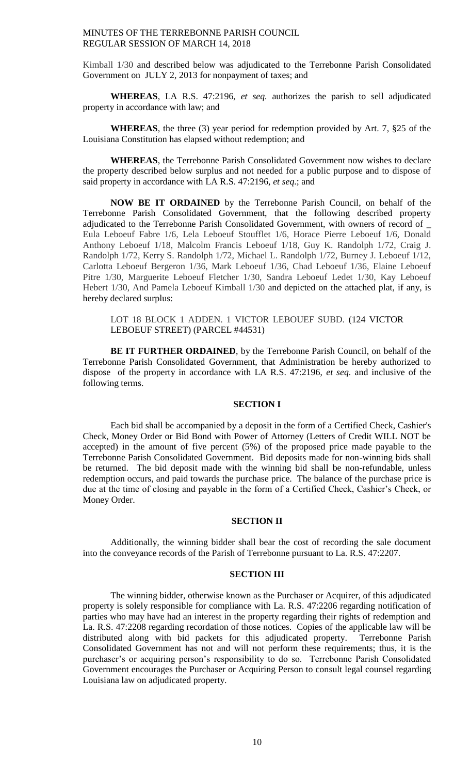Kimball 1/30 and described below was adjudicated to the Terrebonne Parish Consolidated Government on JULY 2, 2013 for nonpayment of taxes; and

**WHEREAS**, LA R.S. 47:2196, *et seq.* authorizes the parish to sell adjudicated property in accordance with law; and

**WHEREAS**, the three (3) year period for redemption provided by Art. 7, §25 of the Louisiana Constitution has elapsed without redemption; and

**WHEREAS**, the Terrebonne Parish Consolidated Government now wishes to declare the property described below surplus and not needed for a public purpose and to dispose of said property in accordance with LA R.S. 47:2196, *et seq*.; and

**NOW BE IT ORDAINED** by the Terrebonne Parish Council, on behalf of the Terrebonne Parish Consolidated Government, that the following described property adjudicated to the Terrebonne Parish Consolidated Government, with owners of record of \_ Eula Leboeuf Fabre 1/6, Lela Leboeuf Stoufflet 1/6, Horace Pierre Leboeuf 1/6, Donald Anthony Leboeuf 1/18, Malcolm Francis Leboeuf 1/18, Guy K. Randolph 1/72, Craig J. Randolph 1/72, Kerry S. Randolph 1/72, Michael L. Randolph 1/72, Burney J. Leboeuf 1/12, Carlotta Leboeuf Bergeron 1/36, Mark Leboeuf 1/36, Chad Leboeuf 1/36, Elaine Leboeuf Pitre 1/30, Marguerite Leboeuf Fletcher 1/30, Sandra Leboeuf Ledet 1/30, Kay Leboeuf Hebert 1/30, And Pamela Leboeuf Kimball 1/30 and depicted on the attached plat, if any, is hereby declared surplus:

LOT 18 BLOCK 1 ADDEN. 1 VICTOR LEBOUEF SUBD. (124 VICTOR LEBOEUF STREET) (PARCEL #44531)

**BE IT FURTHER ORDAINED**, by the Terrebonne Parish Council, on behalf of the Terrebonne Parish Consolidated Government, that Administration be hereby authorized to dispose of the property in accordance with LA R.S. 47:2196, *et seq*. and inclusive of the following terms.

### **SECTION I**

Each bid shall be accompanied by a deposit in the form of a Certified Check, Cashier's Check, Money Order or Bid Bond with Power of Attorney (Letters of Credit WILL NOT be accepted) in the amount of five percent (5%) of the proposed price made payable to the Terrebonne Parish Consolidated Government. Bid deposits made for non-winning bids shall be returned. The bid deposit made with the winning bid shall be non-refundable, unless redemption occurs, and paid towards the purchase price. The balance of the purchase price is due at the time of closing and payable in the form of a Certified Check, Cashier's Check, or Money Order.

#### **SECTION II**

Additionally, the winning bidder shall bear the cost of recording the sale document into the conveyance records of the Parish of Terrebonne pursuant to La. R.S. 47:2207.

### **SECTION III**

The winning bidder, otherwise known as the Purchaser or Acquirer, of this adjudicated property is solely responsible for compliance with La. R.S. 47:2206 regarding notification of parties who may have had an interest in the property regarding their rights of redemption and La. R.S. 47:2208 regarding recordation of those notices. Copies of the applicable law will be distributed along with bid packets for this adjudicated property. Terrebonne Parish Consolidated Government has not and will not perform these requirements; thus, it is the purchaser's or acquiring person's responsibility to do so. Terrebonne Parish Consolidated Government encourages the Purchaser or Acquiring Person to consult legal counsel regarding Louisiana law on adjudicated property.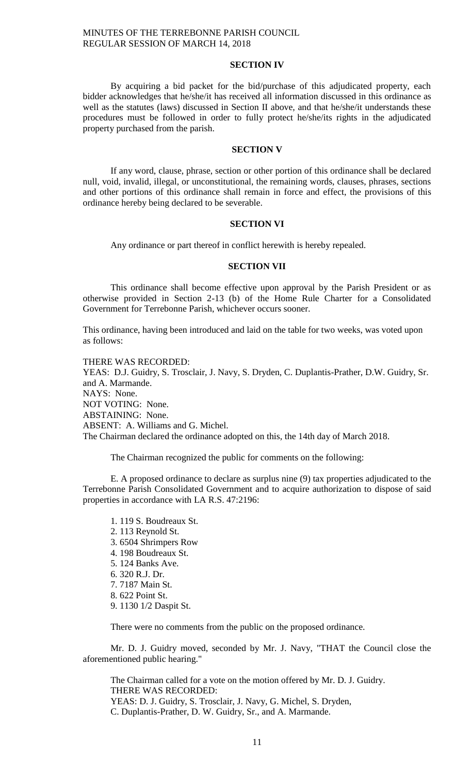### **SECTION IV**

By acquiring a bid packet for the bid/purchase of this adjudicated property, each bidder acknowledges that he/she/it has received all information discussed in this ordinance as well as the statutes (laws) discussed in Section II above, and that he/she/it understands these procedures must be followed in order to fully protect he/she/its rights in the adjudicated property purchased from the parish.

#### **SECTION V**

If any word, clause, phrase, section or other portion of this ordinance shall be declared null, void, invalid, illegal, or unconstitutional, the remaining words, clauses, phrases, sections and other portions of this ordinance shall remain in force and effect, the provisions of this ordinance hereby being declared to be severable.

### **SECTION VI**

Any ordinance or part thereof in conflict herewith is hereby repealed.

# **SECTION VII**

This ordinance shall become effective upon approval by the Parish President or as otherwise provided in Section 2-13 (b) of the Home Rule Charter for a Consolidated Government for Terrebonne Parish, whichever occurs sooner.

This ordinance, having been introduced and laid on the table for two weeks, was voted upon as follows:

THERE WAS RECORDED: YEAS: D.J. Guidry, S. Trosclair, J. Navy, S. Dryden, C. Duplantis-Prather, D.W. Guidry, Sr. and A. Marmande. NAYS: None. NOT VOTING: None. ABSTAINING: None. ABSENT: A. Williams and G. Michel. The Chairman declared the ordinance adopted on this, the 14th day of March 2018.

The Chairman recognized the public for comments on the following:

E. A proposed ordinance to declare as surplus nine (9) tax properties adjudicated to the Terrebonne Parish Consolidated Government and to acquire authorization to dispose of said properties in accordance with LA R.S. 47:2196:

- 1. 119 S. Boudreaux St.
- 2. 113 Reynold St.
- 3. 6504 Shrimpers Row
- 4. 198 Boudreaux St.
- 5. 124 Banks Ave.
- 6. 320 R.J. Dr.
- 7. 7187 Main St.
- 8. 622 Point St.
- 9. 1130 1/2 Daspit St.

There were no comments from the public on the proposed ordinance.

Mr. D. J. Guidry moved, seconded by Mr. J. Navy, "THAT the Council close the aforementioned public hearing."

The Chairman called for a vote on the motion offered by Mr. D. J. Guidry. THERE WAS RECORDED: YEAS: D. J. Guidry, S. Trosclair, J. Navy, G. Michel, S. Dryden, C. Duplantis-Prather, D. W. Guidry, Sr., and A. Marmande.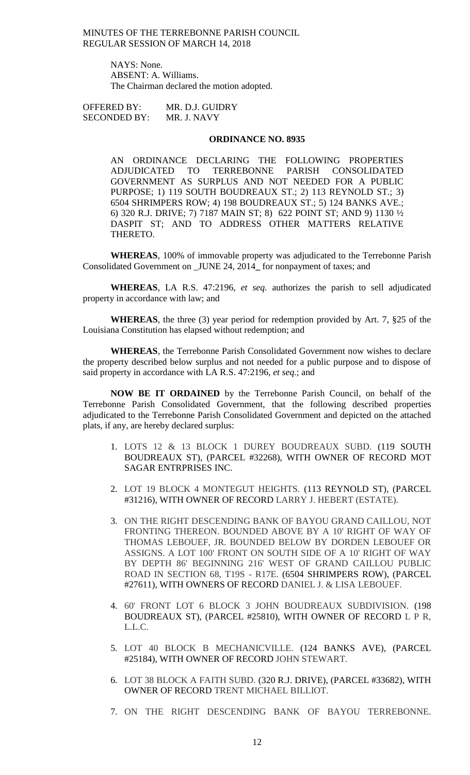> NAYS: None. ABSENT: A. Williams. The Chairman declared the motion adopted.

OFFERED BY: MR. D.J. GUIDRY SECONDED BY: MR. J. NAVY

#### **ORDINANCE NO. 8935**

AN ORDINANCE DECLARING THE FOLLOWING PROPERTIES ADJUDICATED TO TERREBONNE PARISH CONSOLIDATED GOVERNMENT AS SURPLUS AND NOT NEEDED FOR A PUBLIC PURPOSE; 1) 119 SOUTH BOUDREAUX ST.; 2) 113 REYNOLD ST.; 3) 6504 SHRIMPERS ROW; 4) 198 BOUDREAUX ST.; 5) 124 BANKS AVE.; 6) 320 R.J. DRIVE; 7) 7187 MAIN ST; 8) 622 POINT ST; AND 9) 1130 ½ DASPIT ST; AND TO ADDRESS OTHER MATTERS RELATIVE THERETO.

**WHEREAS**, 100% of immovable property was adjudicated to the Terrebonne Parish Consolidated Government on \_JUNE 24, 2014**\_** for nonpayment of taxes; and

**WHEREAS**, LA R.S. 47:2196, *et seq.* authorizes the parish to sell adjudicated property in accordance with law; and

**WHEREAS**, the three (3) year period for redemption provided by Art. 7, §25 of the Louisiana Constitution has elapsed without redemption; and

**WHEREAS**, the Terrebonne Parish Consolidated Government now wishes to declare the property described below surplus and not needed for a public purpose and to dispose of said property in accordance with LA R.S. 47:2196, *et seq*.; and

**NOW BE IT ORDAINED** by the Terrebonne Parish Council, on behalf of the Terrebonne Parish Consolidated Government, that the following described properties adjudicated to the Terrebonne Parish Consolidated Government and depicted on the attached plats, if any, are hereby declared surplus:

- 1. LOTS 12 & 13 BLOCK 1 DUREY BOUDREAUX SUBD. (119 SOUTH BOUDREAUX ST), (PARCEL #32268), WITH OWNER OF RECORD MOT SAGAR ENTRPRISES INC.
- 2. LOT 19 BLOCK 4 MONTEGUT HEIGHTS. (113 REYNOLD ST), (PARCEL #31216), WITH OWNER OF RECORD LARRY J. HEBERT (ESTATE).
- 3. ON THE RIGHT DESCENDING BANK OF BAYOU GRAND CAILLOU, NOT FRONTING THEREON. BOUNDED ABOVE BY A 10' RIGHT OF WAY OF THOMAS LEBOUEF, JR. BOUNDED BELOW BY DORDEN LEBOUEF OR ASSIGNS. A LOT 100' FRONT ON SOUTH SIDE OF A 10' RIGHT OF WAY BY DEPTH 86' BEGINNING 216' WEST OF GRAND CAILLOU PUBLIC ROAD IN SECTION 68, T19S - R17E. (6504 SHRIMPERS ROW), (PARCEL #27611), WITH OWNERS OF RECORD DANIEL J. & LISA LEBOUEF.
- 4. 60' FRONT LOT 6 BLOCK 3 JOHN BOUDREAUX SUBDIVISION. (198 BOUDREAUX ST), (PARCEL #25810), WITH OWNER OF RECORD L P R, L.L.C.
- 5. LOT 40 BLOCK B MECHANICVILLE. (124 BANKS AVE), (PARCEL #25184), WITH OWNER OF RECORD JOHN STEWART.
- 6. LOT 38 BLOCK A FAITH SUBD. (320 R.J. DRIVE), (PARCEL #33682), WITH OWNER OF RECORD TRENT MICHAEL BILLIOT.
- 7. ON THE RIGHT DESCENDING BANK OF BAYOU TERREBONNE.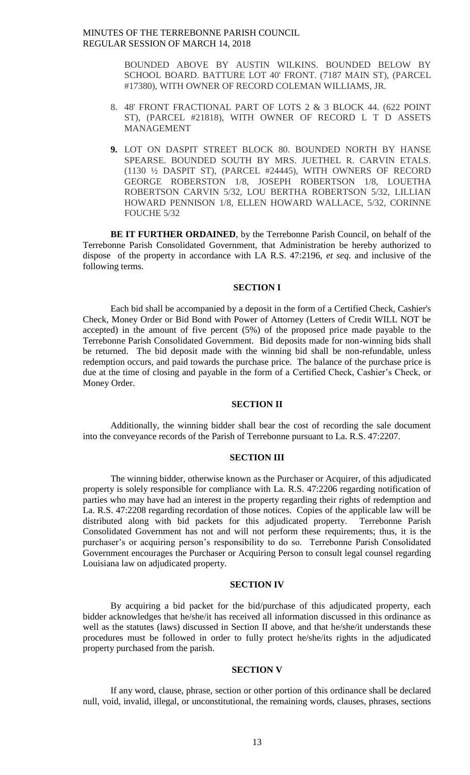> BOUNDED ABOVE BY AUSTIN WILKINS. BOUNDED BELOW BY SCHOOL BOARD. BATTURE LOT 40' FRONT. (7187 MAIN ST), (PARCEL #17380), WITH OWNER OF RECORD COLEMAN WILLIAMS, JR.

- 8. 48' FRONT FRACTIONAL PART OF LOTS 2 & 3 BLOCK 44. (622 POINT ST), (PARCEL #21818), WITH OWNER OF RECORD L T D ASSETS MANAGEMENT
- **9.** LOT ON DASPIT STREET BLOCK 80. BOUNDED NORTH BY HANSE SPEARSE. BOUNDED SOUTH BY MRS. JUETHEL R. CARVIN ETALS. (1130 ½ DASPIT ST), (PARCEL #24445), WITH OWNERS OF RECORD GEORGE ROBERSTON 1/8, JOSEPH ROBERTSON 1/8, LOUETHA ROBERTSON CARVIN 5/32, LOU BERTHA ROBERTSON 5/32, LILLIAN HOWARD PENNISON 1/8, ELLEN HOWARD WALLACE, 5/32, CORINNE FOUCHE 5/32

**BE IT FURTHER ORDAINED**, by the Terrebonne Parish Council, on behalf of the Terrebonne Parish Consolidated Government, that Administration be hereby authorized to dispose of the property in accordance with LA R.S. 47:2196, *et seq*. and inclusive of the following terms.

# **SECTION I**

Each bid shall be accompanied by a deposit in the form of a Certified Check, Cashier's Check, Money Order or Bid Bond with Power of Attorney (Letters of Credit WILL NOT be accepted) in the amount of five percent (5%) of the proposed price made payable to the Terrebonne Parish Consolidated Government. Bid deposits made for non-winning bids shall be returned. The bid deposit made with the winning bid shall be non-refundable, unless redemption occurs, and paid towards the purchase price. The balance of the purchase price is due at the time of closing and payable in the form of a Certified Check, Cashier's Check, or Money Order.

#### **SECTION II**

Additionally, the winning bidder shall bear the cost of recording the sale document into the conveyance records of the Parish of Terrebonne pursuant to La. R.S. 47:2207.

# **SECTION III**

The winning bidder, otherwise known as the Purchaser or Acquirer, of this adjudicated property is solely responsible for compliance with La. R.S. 47:2206 regarding notification of parties who may have had an interest in the property regarding their rights of redemption and La. R.S. 47:2208 regarding recordation of those notices. Copies of the applicable law will be distributed along with bid packets for this adjudicated property. Terrebonne Parish Consolidated Government has not and will not perform these requirements; thus, it is the purchaser's or acquiring person's responsibility to do so. Terrebonne Parish Consolidated Government encourages the Purchaser or Acquiring Person to consult legal counsel regarding Louisiana law on adjudicated property.

### **SECTION IV**

By acquiring a bid packet for the bid/purchase of this adjudicated property, each bidder acknowledges that he/she/it has received all information discussed in this ordinance as well as the statutes (laws) discussed in Section II above, and that he/she/it understands these procedures must be followed in order to fully protect he/she/its rights in the adjudicated property purchased from the parish.

#### **SECTION V**

If any word, clause, phrase, section or other portion of this ordinance shall be declared null, void, invalid, illegal, or unconstitutional, the remaining words, clauses, phrases, sections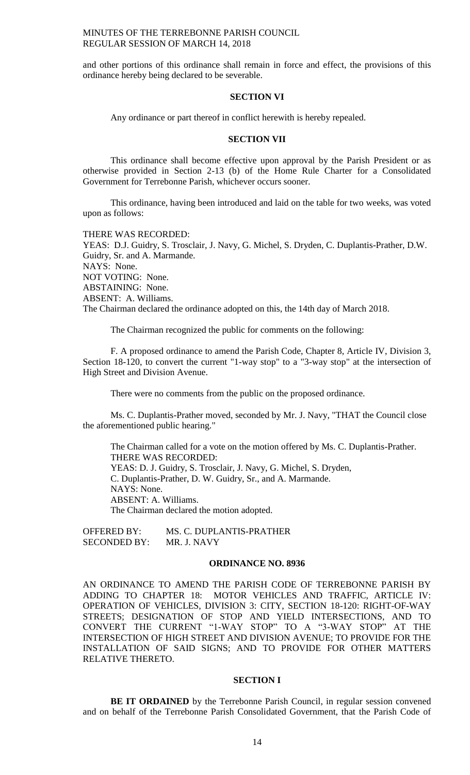and other portions of this ordinance shall remain in force and effect, the provisions of this ordinance hereby being declared to be severable.

#### **SECTION VI**

Any ordinance or part thereof in conflict herewith is hereby repealed.

#### **SECTION VII**

This ordinance shall become effective upon approval by the Parish President or as otherwise provided in Section 2-13 (b) of the Home Rule Charter for a Consolidated Government for Terrebonne Parish, whichever occurs sooner.

This ordinance, having been introduced and laid on the table for two weeks, was voted upon as follows:

THERE WAS RECORDED: YEAS: D.J. Guidry, S. Trosclair, J. Navy, G. Michel, S. Dryden, C. Duplantis-Prather, D.W. Guidry, Sr. and A. Marmande. NAYS: None. NOT VOTING: None. ABSTAINING: None. ABSENT: A. Williams. The Chairman declared the ordinance adopted on this, the 14th day of March 2018.

The Chairman recognized the public for comments on the following:

F. A proposed ordinance to amend the Parish Code, Chapter 8, Article IV, Division 3, Section 18-120, to convert the current "1-way stop" to a "3-way stop" at the intersection of High Street and Division Avenue.

There were no comments from the public on the proposed ordinance.

Ms. C. Duplantis-Prather moved, seconded by Mr. J. Navy, "THAT the Council close the aforementioned public hearing."

The Chairman called for a vote on the motion offered by Ms. C. Duplantis-Prather. THERE WAS RECORDED: YEAS: D. J. Guidry, S. Trosclair, J. Navy, G. Michel, S. Dryden, C. Duplantis-Prather, D. W. Guidry, Sr., and A. Marmande. NAYS: None. ABSENT: A. Williams. The Chairman declared the motion adopted.

OFFERED BY: MS. C. DUPLANTIS-PRATHER SECONDED BY: MR. J. NAVY

# **ORDINANCE NO. 8936**

AN ORDINANCE TO AMEND THE PARISH CODE OF TERREBONNE PARISH BY ADDING TO CHAPTER 18: MOTOR VEHICLES AND TRAFFIC, ARTICLE IV: OPERATION OF VEHICLES, DIVISION 3: CITY, SECTION 18-120: RIGHT-OF-WAY STREETS; DESIGNATION OF STOP AND YIELD INTERSECTIONS, AND TO CONVERT THE CURRENT "1-WAY STOP" TO A "3-WAY STOP" AT THE INTERSECTION OF HIGH STREET AND DIVISION AVENUE; TO PROVIDE FOR THE INSTALLATION OF SAID SIGNS; AND TO PROVIDE FOR OTHER MATTERS RELATIVE THERETO.

### **SECTION I**

**BE IT ORDAINED** by the Terrebonne Parish Council, in regular session convened and on behalf of the Terrebonne Parish Consolidated Government, that the Parish Code of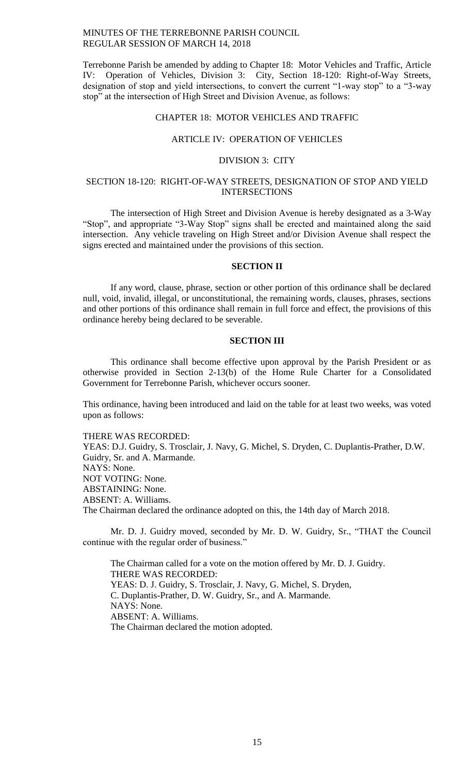Terrebonne Parish be amended by adding to Chapter 18: Motor Vehicles and Traffic, Article IV: Operation of Vehicles, Division 3: City, Section 18-120: Right-of-Way Streets, designation of stop and yield intersections, to convert the current "1-way stop" to a "3-way stop" at the intersection of High Street and Division Avenue, as follows:

### CHAPTER 18: MOTOR VEHICLES AND TRAFFIC

#### ARTICLE IV: OPERATION OF VEHICLES

#### DIVISION 3: CITY

# SECTION 18-120: RIGHT-OF-WAY STREETS, DESIGNATION OF STOP AND YIELD INTERSECTIONS

The intersection of High Street and Division Avenue is hereby designated as a 3-Way "Stop", and appropriate "3-Way Stop" signs shall be erected and maintained along the said intersection. Any vehicle traveling on High Street and/or Division Avenue shall respect the signs erected and maintained under the provisions of this section.

# **SECTION II**

If any word, clause, phrase, section or other portion of this ordinance shall be declared null, void, invalid, illegal, or unconstitutional, the remaining words, clauses, phrases, sections and other portions of this ordinance shall remain in full force and effect, the provisions of this ordinance hereby being declared to be severable.

# **SECTION III**

This ordinance shall become effective upon approval by the Parish President or as otherwise provided in Section 2-13(b) of the Home Rule Charter for a Consolidated Government for Terrebonne Parish, whichever occurs sooner.

This ordinance, having been introduced and laid on the table for at least two weeks, was voted upon as follows:

THERE WAS RECORDED:

YEAS: D.J. Guidry, S. Trosclair, J. Navy, G. Michel, S. Dryden, C. Duplantis-Prather, D.W. Guidry, Sr. and A. Marmande. NAYS: None. NOT VOTING: None. ABSTAINING: None. ABSENT: A. Williams. The Chairman declared the ordinance adopted on this, the 14th day of March 2018.

Mr. D. J. Guidry moved, seconded by Mr. D. W. Guidry, Sr., "THAT the Council continue with the regular order of business."

The Chairman called for a vote on the motion offered by Mr. D. J. Guidry. THERE WAS RECORDED: YEAS: D. J. Guidry, S. Trosclair, J. Navy, G. Michel, S. Dryden, C. Duplantis-Prather, D. W. Guidry, Sr., and A. Marmande. NAYS: None. ABSENT: A. Williams. The Chairman declared the motion adopted.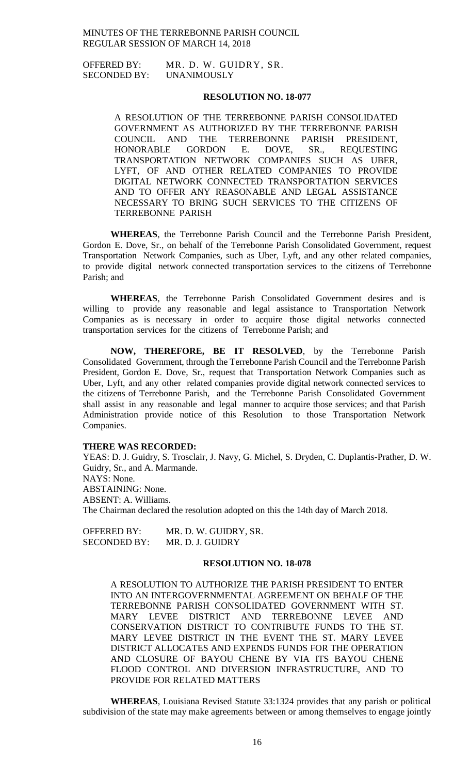OFFERED BY: MR. D. W. GUIDRY, SR. SECONDED BY: UNANIMOUSLY

### **RESOLUTION NO. 18-077**

A RESOLUTION OF THE TERREBONNE PARISH CONSOLIDATED GOVERNMENT AS AUTHORIZED BY THE TERREBONNE PARISH COUNCIL AND THE TERREBONNE PARISH PRESIDENT, COUNCIL AND THE TERREBONNE PARISH PRESIDENT, HONORABLE GORDON E. DOVE, SR., REQUESTING TRANSPORTATION NETWORK COMPANIES SUCH AS UBER, LYFT, OF AND OTHER RELATED COMPANIES TO PROVIDE DIGITAL NETWORK CONNECTED TRANSPORTATION SERVICES AND TO OFFER ANY REASONABLE AND LEGAL ASSISTANCE NECESSARY TO BRING SUCH SERVICES TO THE CITIZENS OF TERREBONNE PARISH

**WHEREAS**, the Terrebonne Parish Council and the Terrebonne Parish President, Gordon E. Dove, Sr., on behalf of the Terrebonne Parish Consolidated Government, request Transportation Network Companies, such as Uber, Lyft, and any other related companies, to provide digital network connected transportation services to the citizens of Terrebonne Parish; and

**WHEREAS**, the Terrebonne Parish Consolidated Government desires and is willing to provide any reasonable and legal assistance to Transportation Network Companies as is necessary in order to acquire those digital networks connected transportation services for the citizens of Terrebonne Parish; and

**NOW, THEREFORE, BE IT RESOLVED**, by the Terrebonne Parish Consolidated Government, through the Terrebonne Parish Council and the Terrebonne Parish President, Gordon E. Dove, Sr., request that Transportation Network Companies such as Uber, Lyft, and any other related companies provide digital network connected services to the citizens of Terrebonne Parish, and the Terrebonne Parish Consolidated Government shall assist in any reasonable and legal manner to acquire those services; and that Parish Administration provide notice of this Resolution to those Transportation Network Companies.

#### **THERE WAS RECORDED:**

YEAS: D. J. Guidry, S. Trosclair, J. Navy, G. Michel, S. Dryden, C. Duplantis-Prather, D. W. Guidry, Sr., and A. Marmande. NAYS: None. ABSTAINING: None. ABSENT: A. Williams. The Chairman declared the resolution adopted on this the 14th day of March 2018.

OFFERED BY: MR. D. W. GUIDRY, SR. SECONDED BY: MR. D. J. GUIDRY

# **RESOLUTION NO. 18-078**

A RESOLUTION TO AUTHORIZE THE PARISH PRESIDENT TO ENTER INTO AN INTERGOVERNMENTAL AGREEMENT ON BEHALF OF THE TERREBONNE PARISH CONSOLIDATED GOVERNMENT WITH ST. MARY LEVEE DISTRICT AND TERREBONNE LEVEE AND CONSERVATION DISTRICT TO CONTRIBUTE FUNDS TO THE ST. MARY LEVEE DISTRICT IN THE EVENT THE ST. MARY LEVEE DISTRICT ALLOCATES AND EXPENDS FUNDS FOR THE OPERATION AND CLOSURE OF BAYOU CHENE BY VIA ITS BAYOU CHENE FLOOD CONTROL AND DIVERSION INFRASTRUCTURE, AND TO PROVIDE FOR RELATED MATTERS

**WHEREAS**, Louisiana Revised Statute 33:1324 provides that any parish or political subdivision of the state may make agreements between or among themselves to engage jointly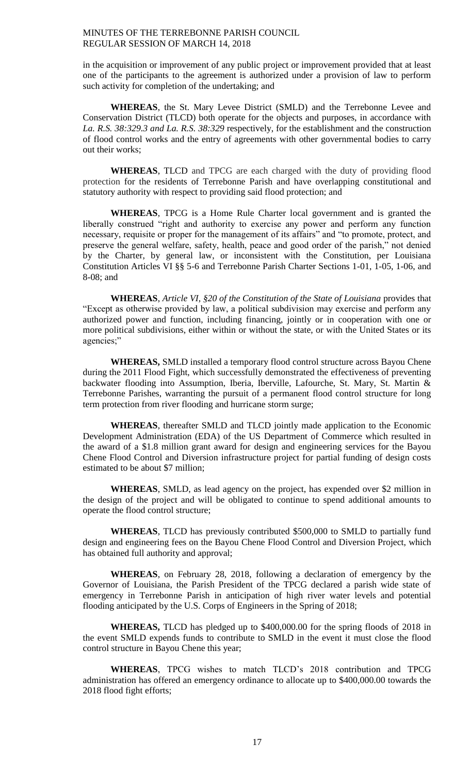in the acquisition or improvement of any public project or improvement provided that at least one of the participants to the agreement is authorized under a provision of law to perform such activity for completion of the undertaking; and

**WHEREAS**, the St. Mary Levee District (SMLD) and the Terrebonne Levee and Conservation District (TLCD) both operate for the objects and purposes, in accordance with *La. R.S. 38:329.3 and La. R.S. 38:329* respectively, for the establishment and the construction of flood control works and the entry of agreements with other governmental bodies to carry out their works;

**WHEREAS**, TLCD and TPCG are each charged with the duty of providing flood protection for the residents of Terrebonne Parish and have overlapping constitutional and statutory authority with respect to providing said flood protection; and

**WHEREAS**, TPCG is a Home Rule Charter local government and is granted the liberally construed "right and authority to exercise any power and perform any function necessary, requisite or proper for the management of its affairs" and "to promote, protect, and preserve the general welfare, safety, health, peace and good order of the parish," not denied by the Charter, by general law, or inconsistent with the Constitution, per Louisiana Constitution Articles VI §§ 5-6 and Terrebonne Parish Charter Sections 1-01, 1-05, 1-06, and 8-08; and

**WHEREAS**, *Article VI, §20 of the Constitution of the State of Louisiana* provides that "Except as otherwise provided by law, a political subdivision may exercise and perform any authorized power and function, including financing, jointly or in cooperation with one or more political subdivisions, either within or without the state, or with the United States or its agencies;"

**WHEREAS,** SMLD installed a temporary flood control structure across Bayou Chene during the 2011 Flood Fight, which successfully demonstrated the effectiveness of preventing backwater flooding into Assumption, Iberia, Iberville, Lafourche, St. Mary, St. Martin & Terrebonne Parishes, warranting the pursuit of a permanent flood control structure for long term protection from river flooding and hurricane storm surge;

**WHEREAS**, thereafter SMLD and TLCD jointly made application to the Economic Development Administration (EDA) of the US Department of Commerce which resulted in the award of a \$1.8 million grant award for design and engineering services for the Bayou Chene Flood Control and Diversion infrastructure project for partial funding of design costs estimated to be about \$7 million;

**WHEREAS**, SMLD, as lead agency on the project, has expended over \$2 million in the design of the project and will be obligated to continue to spend additional amounts to operate the flood control structure;

**WHEREAS**, TLCD has previously contributed \$500,000 to SMLD to partially fund design and engineering fees on the Bayou Chene Flood Control and Diversion Project, which has obtained full authority and approval;

**WHEREAS**, on February 28, 2018, following a declaration of emergency by the Governor of Louisiana, the Parish President of the TPCG declared a parish wide state of emergency in Terrebonne Parish in anticipation of high river water levels and potential flooding anticipated by the U.S. Corps of Engineers in the Spring of 2018;

**WHEREAS,** TLCD has pledged up to \$400,000.00 for the spring floods of 2018 in the event SMLD expends funds to contribute to SMLD in the event it must close the flood control structure in Bayou Chene this year;

**WHEREAS**, TPCG wishes to match TLCD's 2018 contribution and TPCG administration has offered an emergency ordinance to allocate up to \$400,000.00 towards the 2018 flood fight efforts;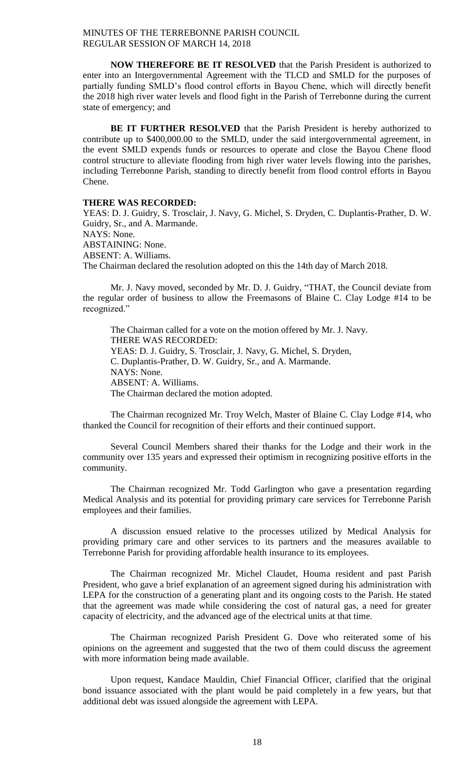**NOW THEREFORE BE IT RESOLVED** that the Parish President is authorized to enter into an Intergovernmental Agreement with the TLCD and SMLD for the purposes of partially funding SMLD's flood control efforts in Bayou Chene, which will directly benefit the 2018 high river water levels and flood fight in the Parish of Terrebonne during the current state of emergency; and

**BE IT FURTHER RESOLVED** that the Parish President is hereby authorized to contribute up to \$400,000.00 to the SMLD, under the said intergovernmental agreement, in the event SMLD expends funds or resources to operate and close the Bayou Chene flood control structure to alleviate flooding from high river water levels flowing into the parishes, including Terrebonne Parish, standing to directly benefit from flood control efforts in Bayou Chene.

# **THERE WAS RECORDED:**

YEAS: D. J. Guidry, S. Trosclair, J. Navy, G. Michel, S. Dryden, C. Duplantis-Prather, D. W. Guidry, Sr., and A. Marmande. NAYS: None. ABSTAINING: None. ABSENT: A. Williams. The Chairman declared the resolution adopted on this the 14th day of March 2018.

Mr. J. Navy moved, seconded by Mr. D. J. Guidry, "THAT, the Council deviate from the regular order of business to allow the Freemasons of Blaine C. Clay Lodge #14 to be recognized."

The Chairman called for a vote on the motion offered by Mr. J. Navy. THERE WAS RECORDED: YEAS: D. J. Guidry, S. Trosclair, J. Navy, G. Michel, S. Dryden, C. Duplantis-Prather, D. W. Guidry, Sr., and A. Marmande. NAYS: None. ABSENT: A. Williams. The Chairman declared the motion adopted.

The Chairman recognized Mr. Troy Welch, Master of Blaine C. Clay Lodge #14, who thanked the Council for recognition of their efforts and their continued support.

Several Council Members shared their thanks for the Lodge and their work in the community over 135 years and expressed their optimism in recognizing positive efforts in the community.

The Chairman recognized Mr. Todd Garlington who gave a presentation regarding Medical Analysis and its potential for providing primary care services for Terrebonne Parish employees and their families.

A discussion ensued relative to the processes utilized by Medical Analysis for providing primary care and other services to its partners and the measures available to Terrebonne Parish for providing affordable health insurance to its employees.

The Chairman recognized Mr. Michel Claudet, Houma resident and past Parish President, who gave a brief explanation of an agreement signed during his administration with LEPA for the construction of a generating plant and its ongoing costs to the Parish. He stated that the agreement was made while considering the cost of natural gas, a need for greater capacity of electricity, and the advanced age of the electrical units at that time.

The Chairman recognized Parish President G. Dove who reiterated some of his opinions on the agreement and suggested that the two of them could discuss the agreement with more information being made available.

Upon request, Kandace Mauldin, Chief Financial Officer, clarified that the original bond issuance associated with the plant would be paid completely in a few years, but that additional debt was issued alongside the agreement with LEPA.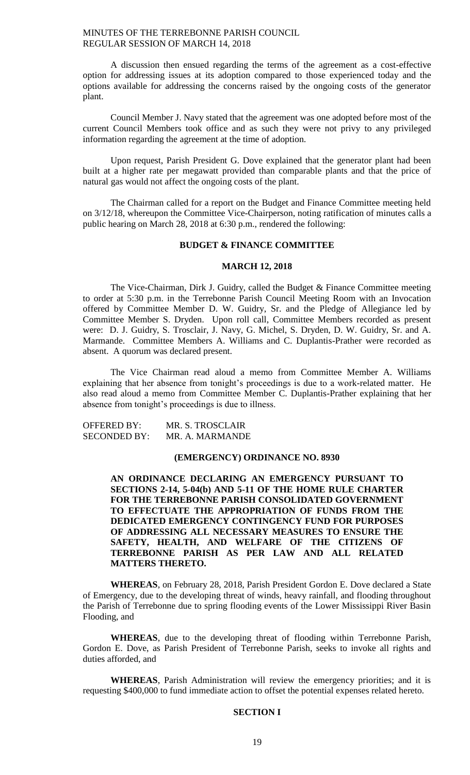A discussion then ensued regarding the terms of the agreement as a cost-effective option for addressing issues at its adoption compared to those experienced today and the options available for addressing the concerns raised by the ongoing costs of the generator plant.

Council Member J. Navy stated that the agreement was one adopted before most of the current Council Members took office and as such they were not privy to any privileged information regarding the agreement at the time of adoption.

Upon request, Parish President G. Dove explained that the generator plant had been built at a higher rate per megawatt provided than comparable plants and that the price of natural gas would not affect the ongoing costs of the plant.

The Chairman called for a report on the Budget and Finance Committee meeting held on 3/12/18, whereupon the Committee Vice-Chairperson, noting ratification of minutes calls a public hearing on March 28, 2018 at 6:30 p.m., rendered the following:

## **BUDGET & FINANCE COMMITTEE**

### **MARCH 12, 2018**

The Vice-Chairman, Dirk J. Guidry, called the Budget & Finance Committee meeting to order at 5:30 p.m. in the Terrebonne Parish Council Meeting Room with an Invocation offered by Committee Member D. W. Guidry, Sr. and the Pledge of Allegiance led by Committee Member S. Dryden. Upon roll call, Committee Members recorded as present were: D. J. Guidry, S. Trosclair, J. Navy, G. Michel, S. Dryden, D. W. Guidry, Sr. and A. Marmande. Committee Members A. Williams and C. Duplantis-Prather were recorded as absent. A quorum was declared present.

The Vice Chairman read aloud a memo from Committee Member A. Williams explaining that her absence from tonight's proceedings is due to a work-related matter. He also read aloud a memo from Committee Member C. Duplantis-Prather explaining that her absence from tonight's proceedings is due to illness.

| <b>OFFERED BY:</b>  | MR. S. TROSCLAIR |
|---------------------|------------------|
| <b>SECONDED BY:</b> | MR. A. MARMANDE  |

### **(EMERGENCY) ORDINANCE NO. 8930**

**AN ORDINANCE DECLARING AN EMERGENCY PURSUANT TO SECTIONS 2-14, 5-04(b) AND 5-11 OF THE HOME RULE CHARTER FOR THE TERREBONNE PARISH CONSOLIDATED GOVERNMENT TO EFFECTUATE THE APPROPRIATION OF FUNDS FROM THE DEDICATED EMERGENCY CONTINGENCY FUND FOR PURPOSES OF ADDRESSING ALL NECESSARY MEASURES TO ENSURE THE SAFETY, HEALTH, AND WELFARE OF THE CITIZENS OF TERREBONNE PARISH AS PER LAW AND ALL RELATED MATTERS THERETO.**

**WHEREAS**, on February 28, 2018, Parish President Gordon E. Dove declared a State of Emergency, due to the developing threat of winds, heavy rainfall, and flooding throughout the Parish of Terrebonne due to spring flooding events of the Lower Mississippi River Basin Flooding, and

**WHEREAS**, due to the developing threat of flooding within Terrebonne Parish, Gordon E. Dove, as Parish President of Terrebonne Parish, seeks to invoke all rights and duties afforded, and

**WHEREAS**, Parish Administration will review the emergency priorities; and it is requesting \$400,000 to fund immediate action to offset the potential expenses related hereto.

#### **SECTION I**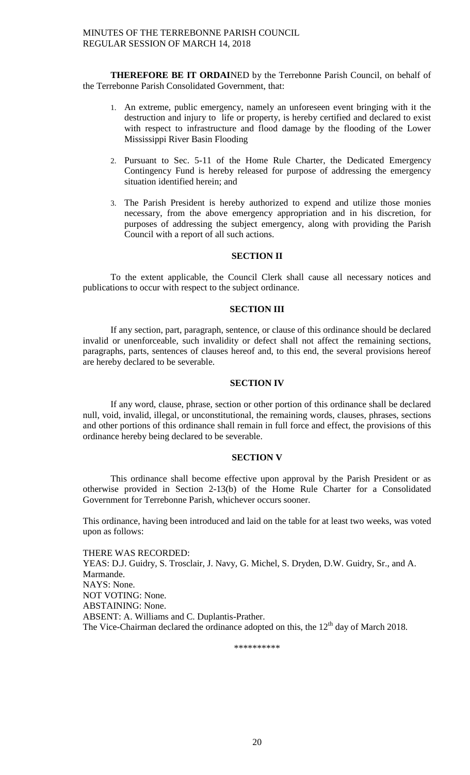**THEREFORE BE IT ORDAI**NED by the Terrebonne Parish Council, on behalf of the Terrebonne Parish Consolidated Government, that:

- 1. An extreme, public emergency, namely an unforeseen event bringing with it the destruction and injury to life or property, is hereby certified and declared to exist with respect to infrastructure and flood damage by the flooding of the Lower Mississippi River Basin Flooding
- 2. Pursuant to Sec. 5-11 of the Home Rule Charter, the Dedicated Emergency Contingency Fund is hereby released for purpose of addressing the emergency situation identified herein; and
- 3. The Parish President is hereby authorized to expend and utilize those monies necessary, from the above emergency appropriation and in his discretion, for purposes of addressing the subject emergency, along with providing the Parish Council with a report of all such actions.

## **SECTION II**

To the extent applicable, the Council Clerk shall cause all necessary notices and publications to occur with respect to the subject ordinance.

### **SECTION III**

If any section, part, paragraph, sentence, or clause of this ordinance should be declared invalid or unenforceable, such invalidity or defect shall not affect the remaining sections, paragraphs, parts, sentences of clauses hereof and, to this end, the several provisions hereof are hereby declared to be severable.

### **SECTION IV**

If any word, clause, phrase, section or other portion of this ordinance shall be declared null, void, invalid, illegal, or unconstitutional, the remaining words, clauses, phrases, sections and other portions of this ordinance shall remain in full force and effect, the provisions of this ordinance hereby being declared to be severable.

# **SECTION V**

This ordinance shall become effective upon approval by the Parish President or as otherwise provided in Section 2-13(b) of the Home Rule Charter for a Consolidated Government for Terrebonne Parish, whichever occurs sooner.

This ordinance, having been introduced and laid on the table for at least two weeks, was voted upon as follows:

THERE WAS RECORDED: YEAS: D.J. Guidry, S. Trosclair, J. Navy, G. Michel, S. Dryden, D.W. Guidry, Sr., and A. Marmande. NAYS: None. NOT VOTING: None. ABSTAINING: None. ABSENT: A. Williams and C. Duplantis-Prather. The Vice-Chairman declared the ordinance adopted on this, the  $12<sup>th</sup>$  day of March 2018.

\*\*\*\*\*\*\*\*\*\*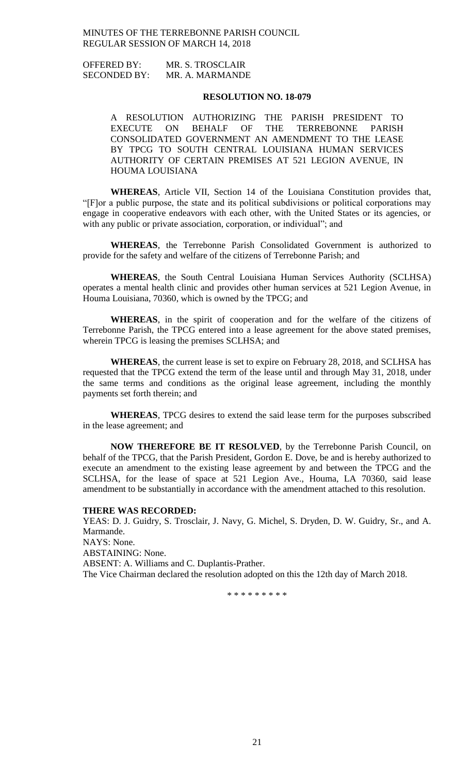OFFERED BY: MR. S. TROSCLAIR SECONDED BY: MR. A. MARMANDE

### **RESOLUTION NO. 18-079**

A RESOLUTION AUTHORIZING THE PARISH PRESIDENT TO EXECUTE ON BEHALF OF THE TERREBONNE PARISH CONSOLIDATED GOVERNMENT AN AMENDMENT TO THE LEASE BY TPCG TO SOUTH CENTRAL LOUISIANA HUMAN SERVICES AUTHORITY OF CERTAIN PREMISES AT 521 LEGION AVENUE, IN HOUMA LOUISIANA

**WHEREAS**, Article VII, Section 14 of the Louisiana Constitution provides that, "[F]or a public purpose, the state and its political subdivisions or political corporations may engage in cooperative endeavors with each other, with the United States or its agencies, or with any public or private association, corporation, or individual"; and

**WHEREAS**, the Terrebonne Parish Consolidated Government is authorized to provide for the safety and welfare of the citizens of Terrebonne Parish; and

**WHEREAS**, the South Central Louisiana Human Services Authority (SCLHSA) operates a mental health clinic and provides other human services at 521 Legion Avenue, in Houma Louisiana, 70360, which is owned by the TPCG; and

**WHEREAS**, in the spirit of cooperation and for the welfare of the citizens of Terrebonne Parish, the TPCG entered into a lease agreement for the above stated premises, wherein TPCG is leasing the premises SCLHSA; and

**WHEREAS**, the current lease is set to expire on February 28, 2018, and SCLHSA has requested that the TPCG extend the term of the lease until and through May 31, 2018, under the same terms and conditions as the original lease agreement, including the monthly payments set forth therein; and

**WHEREAS**, TPCG desires to extend the said lease term for the purposes subscribed in the lease agreement; and

**NOW THEREFORE BE IT RESOLVED**, by the Terrebonne Parish Council, on behalf of the TPCG, that the Parish President, Gordon E. Dove, be and is hereby authorized to execute an amendment to the existing lease agreement by and between the TPCG and the SCLHSA, for the lease of space at 521 Legion Ave., Houma, LA 70360, said lease amendment to be substantially in accordance with the amendment attached to this resolution.

#### **THERE WAS RECORDED:**

YEAS: D. J. Guidry, S. Trosclair, J. Navy, G. Michel, S. Dryden, D. W. Guidry, Sr., and A. Marmande. NAYS: None. ABSTAINING: None. ABSENT: A. Williams and C. Duplantis-Prather. The Vice Chairman declared the resolution adopted on this the 12th day of March 2018.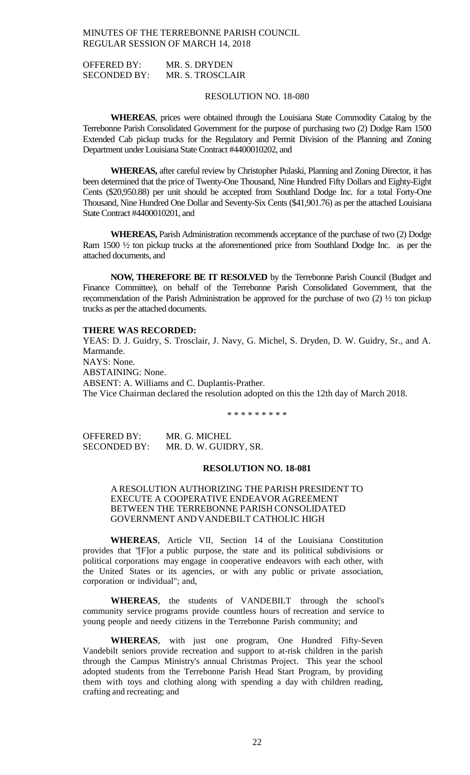OFFERED BY: MR. S. DRYDEN SECONDED BY: MR. S. TROSCLAIR

### RESOLUTION NO. 18-080

**WHEREAS**, prices were obtained through the Louisiana State Commodity Catalog by the Terrebonne Parish Consolidated Government for the purpose of purchasing two (2) Dodge Ram 1500 Extended Cab pickup trucks for the Regulatory and Permit Division of the Planning and Zoning Department under Louisiana State Contract #4400010202, and

**WHEREAS,** after careful review by Christopher Pulaski, Planning and Zoning Director, it has been determined that the price of Twenty-One Thousand, Nine Hundred Fifty Dollars and Eighty-Eight Cents (\$20,950.88) per unit should be accepted from Southland Dodge Inc. for a total Forty-One Thousand, Nine Hundred One Dollar and Seventy-Six Cents (\$41,901.76) as per the attached Louisiana State Contract #4400010201, and

**WHEREAS,** Parish Administration recommends acceptance of the purchase of two (2) Dodge Ram 1500 ½ ton pickup trucks at the aforementioned price from Southland Dodge Inc. as per the attached documents, and

**NOW, THEREFORE BE IT RESOLVED** by the Terrebonne Parish Council (Budget and Finance Committee), on behalf of the Terrebonne Parish Consolidated Government, that the recommendation of the Parish Administration be approved for the purchase of two (2) ½ ton pickup trucks as per the attached documents.

#### **THERE WAS RECORDED:**

YEAS: D. J. Guidry, S. Trosclair, J. Navy, G. Michel, S. Dryden, D. W. Guidry, Sr., and A. Marmande. NAYS: None. ABSTAINING: None. ABSENT: A. Williams and C. Duplantis-Prather. The Vice Chairman declared the resolution adopted on this the 12th day of March 2018.

\* \* \* \* \* \* \* \* \*

OFFERED BY: MR. G. MICHEL SECONDED BY: MR. D. W. GUIDRY, SR.

### **RESOLUTION NO. 18-081**

A RESOLUTION AUTHORIZING THE PARISH PRESIDENT TO EXECUTE A COOPERATIVE ENDEAVOR AGREEMENT BETWEEN THE TERREBONNE PARISH CONSOLIDATED GOVERNMENT ANDVANDEBILT CATHOLIC HIGH

**WHEREAS**, Article VII, Section 14 of the Louisiana Constitution provides that "[F]or a public purpose, the state and its political subdivisions or political corporations may engage in cooperative endeavors with each other, with the United States or its agencies, or with any public or private association, corporation or individual"; and,

**WHEREAS**, the students of VANDEBILT through the school's community service programs provide countless hours of recreation and service to young people and needy citizens in the Terrebonne Parish community; and

**WHEREAS**, with just one program, One Hundred Fifty-Seven Vandebilt seniors provide recreation and support to at-risk children in the parish through the Campus Ministry's annual Christmas Project. This year the school adopted students from the Terrebonne Parish Head Start Program, by providing them with toys and clothing along with spending a day with children reading, crafting and recreating; and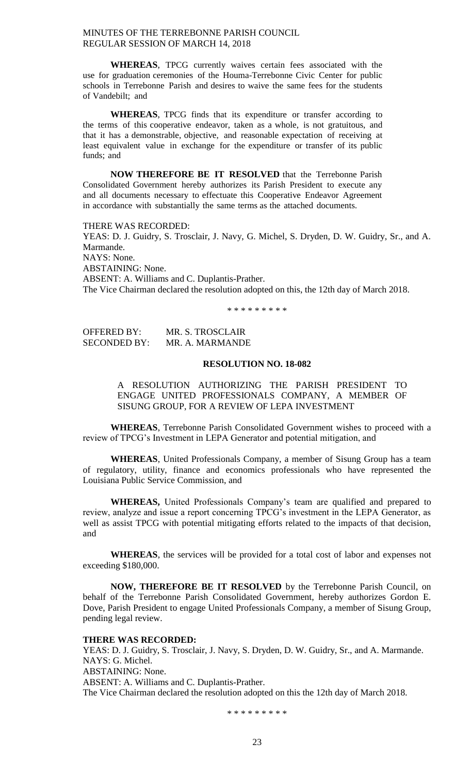**WHEREAS**, TPCG currently waives certain fees associated with the use for graduation ceremonies of the Houma-Terrebonne Civic Center for public schools in Terrebonne Parish and desires to waive the same fees for the students of Vandebilt; and

**WHEREAS**, TPCG finds that its expenditure or transfer according to the terms of this cooperative endeavor, taken as a whole, is not gratuitous, and that it has a demonstrable, objective, and reasonable expectation of receiving at least equivalent value in exchange for the expenditure or transfer of its public funds; and

**NOW THEREFORE BE IT RESOLVED** that the Terrebonne Parish Consolidated Government hereby authorizes its Parish President to execute any and all documents necessary to effectuate this Cooperative Endeavor Agreement in accordance with substantially the same terms as the attached documents.

THERE WAS RECORDED: YEAS: D. J. Guidry, S. Trosclair, J. Navy, G. Michel, S. Dryden, D. W. Guidry, Sr., and A. Marmande. NAYS: None. ABSTAINING: None. ABSENT: A. Williams and C. Duplantis-Prather. The Vice Chairman declared the resolution adopted on this, the 12th day of March 2018.

\* \* \* \* \* \* \* \* \*

OFFERED BY: MR. S. TROSCLAIR SECONDED BY: MR. A. MARMANDE

### **RESOLUTION NO. 18-082**

A RESOLUTION AUTHORIZING THE PARISH PRESIDENT TO ENGAGE UNITED PROFESSIONALS COMPANY, A MEMBER OF SISUNG GROUP, FOR A REVIEW OF LEPA INVESTMENT

**WHEREAS**, Terrebonne Parish Consolidated Government wishes to proceed with a review of TPCG's Investment in LEPA Generator and potential mitigation, and

**WHEREAS**, United Professionals Company, a member of Sisung Group has a team of regulatory, utility, finance and economics professionals who have represented the Louisiana Public Service Commission, and

**WHEREAS,** United Professionals Company's team are qualified and prepared to review, analyze and issue a report concerning TPCG's investment in the LEPA Generator, as well as assist TPCG with potential mitigating efforts related to the impacts of that decision, and

**WHEREAS**, the services will be provided for a total cost of labor and expenses not exceeding \$180,000.

**NOW, THEREFORE BE IT RESOLVED** by the Terrebonne Parish Council, on behalf of the Terrebonne Parish Consolidated Government, hereby authorizes Gordon E. Dove, Parish President to engage United Professionals Company, a member of Sisung Group, pending legal review.

#### **THERE WAS RECORDED:**

YEAS: D. J. Guidry, S. Trosclair, J. Navy, S. Dryden, D. W. Guidry, Sr., and A. Marmande. NAYS: G. Michel. ABSTAINING: None. ABSENT: A. Williams and C. Duplantis-Prather. The Vice Chairman declared the resolution adopted on this the 12th day of March 2018.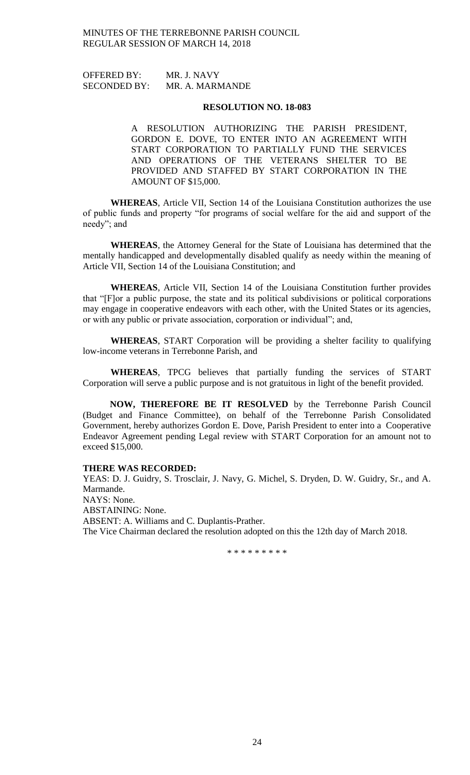OFFERED BY: MR. J. NAVY SECONDED BY: MR. A. MARMANDE

#### **RESOLUTION NO. 18-083**

A RESOLUTION AUTHORIZING THE PARISH PRESIDENT, GORDON E. DOVE, TO ENTER INTO AN AGREEMENT WITH START CORPORATION TO PARTIALLY FUND THE SERVICES AND OPERATIONS OF THE VETERANS SHELTER TO BE PROVIDED AND STAFFED BY START CORPORATION IN THE AMOUNT OF \$15,000.

**WHEREAS**, Article VII, Section 14 of the Louisiana Constitution authorizes the use of public funds and property "for programs of social welfare for the aid and support of the needy"; and

**WHEREAS**, the Attorney General for the State of Louisiana has determined that the mentally handicapped and developmentally disabled qualify as needy within the meaning of Article VII, Section 14 of the Louisiana Constitution; and

**WHEREAS**, Article VII, Section 14 of the Louisiana Constitution further provides that "[F]or a public purpose, the state and its political subdivisions or political corporations may engage in cooperative endeavors with each other, with the United States or its agencies, or with any public or private association, corporation or individual"; and,

**WHEREAS**, START Corporation will be providing a shelter facility to qualifying low-income veterans in Terrebonne Parish, and

**WHEREAS**, TPCG believes that partially funding the services of START Corporation will serve a public purpose and is not gratuitous in light of the benefit provided.

**NOW, THEREFORE BE IT RESOLVED** by the Terrebonne Parish Council (Budget and Finance Committee), on behalf of the Terrebonne Parish Consolidated Government, hereby authorizes Gordon E. Dove, Parish President to enter into a Cooperative Endeavor Agreement pending Legal review with START Corporation for an amount not to exceed \$15,000.

#### **THERE WAS RECORDED:**

YEAS: D. J. Guidry, S. Trosclair, J. Navy, G. Michel, S. Dryden, D. W. Guidry, Sr., and A. Marmande. NAYS: None. ABSTAINING: None. ABSENT: A. Williams and C. Duplantis-Prather.

The Vice Chairman declared the resolution adopted on this the 12th day of March 2018.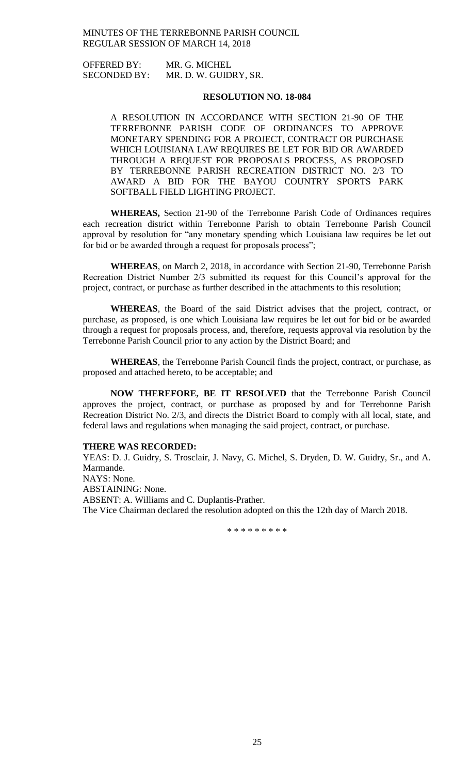OFFERED BY: MR. G. MICHEL SECONDED BY: MR. D. W. GUIDRY, SR.

### **RESOLUTION NO. 18-084**

A RESOLUTION IN ACCORDANCE WITH SECTION 21-90 OF THE TERREBONNE PARISH CODE OF ORDINANCES TO APPROVE MONETARY SPENDING FOR A PROJECT, CONTRACT OR PURCHASE WHICH LOUISIANA LAW REQUIRES BE LET FOR BID OR AWARDED THROUGH A REQUEST FOR PROPOSALS PROCESS, AS PROPOSED BY TERREBONNE PARISH RECREATION DISTRICT NO. 2/3 TO AWARD A BID FOR THE BAYOU COUNTRY SPORTS PARK SOFTBALL FIELD LIGHTING PROJECT.

**WHEREAS,** Section 21-90 of the Terrebonne Parish Code of Ordinances requires each recreation district within Terrebonne Parish to obtain Terrebonne Parish Council approval by resolution for "any monetary spending which Louisiana law requires be let out for bid or be awarded through a request for proposals process";

**WHEREAS**, on March 2, 2018, in accordance with Section 21-90, Terrebonne Parish Recreation District Number 2/3 submitted its request for this Council's approval for the project, contract, or purchase as further described in the attachments to this resolution;

**WHEREAS**, the Board of the said District advises that the project, contract, or purchase, as proposed, is one which Louisiana law requires be let out for bid or be awarded through a request for proposals process, and, therefore, requests approval via resolution by the Terrebonne Parish Council prior to any action by the District Board; and

**WHEREAS**, the Terrebonne Parish Council finds the project, contract, or purchase, as proposed and attached hereto, to be acceptable; and

**NOW THEREFORE, BE IT RESOLVED** that the Terrebonne Parish Council approves the project, contract, or purchase as proposed by and for Terrebonne Parish Recreation District No. 2/3, and directs the District Board to comply with all local, state, and federal laws and regulations when managing the said project, contract, or purchase.

#### **THERE WAS RECORDED:**

YEAS: D. J. Guidry, S. Trosclair, J. Navy, G. Michel, S. Dryden, D. W. Guidry, Sr., and A. Marmande. NAYS: None. ABSTAINING: None. ABSENT: A. Williams and C. Duplantis-Prather. The Vice Chairman declared the resolution adopted on this the 12th day of March 2018.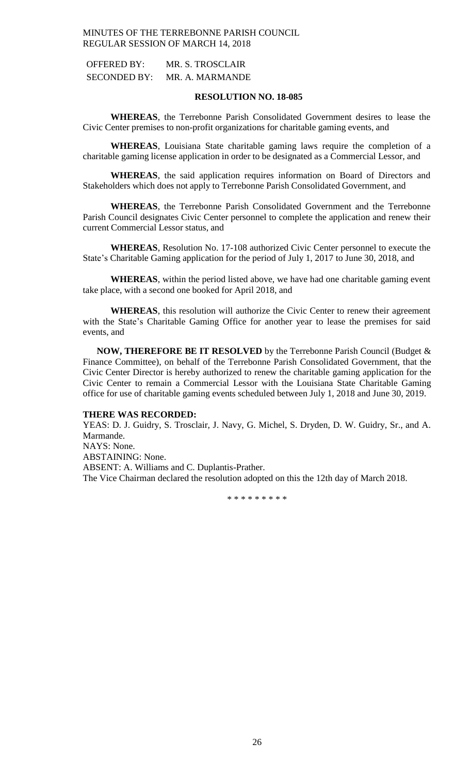| <b>OFFERED BY:</b>  | MR. S. TROSCLAIR |
|---------------------|------------------|
| <b>SECONDED BY:</b> | MR. A. MARMANDE  |

# **RESOLUTION NO. 18-085**

**WHEREAS**, the Terrebonne Parish Consolidated Government desires to lease the Civic Center premises to non-profit organizations for charitable gaming events, and

**WHEREAS**, Louisiana State charitable gaming laws require the completion of a charitable gaming license application in order to be designated as a Commercial Lessor, and

**WHEREAS**, the said application requires information on Board of Directors and Stakeholders which does not apply to Terrebonne Parish Consolidated Government, and

**WHEREAS**, the Terrebonne Parish Consolidated Government and the Terrebonne Parish Council designates Civic Center personnel to complete the application and renew their current Commercial Lessor status, and

**WHEREAS**, Resolution No. 17-108 authorized Civic Center personnel to execute the State's Charitable Gaming application for the period of July 1, 2017 to June 30, 2018, and

**WHEREAS**, within the period listed above, we have had one charitable gaming event take place, with a second one booked for April 2018, and

**WHEREAS**, this resolution will authorize the Civic Center to renew their agreement with the State's Charitable Gaming Office for another year to lease the premises for said events, and

**NOW, THEREFORE BE IT RESOLVED** by the Terrebonne Parish Council (Budget & Finance Committee), on behalf of the Terrebonne Parish Consolidated Government, that the Civic Center Director is hereby authorized to renew the charitable gaming application for the Civic Center to remain a Commercial Lessor with the Louisiana State Charitable Gaming office for use of charitable gaming events scheduled between July 1, 2018 and June 30, 2019.

# **THERE WAS RECORDED:**

YEAS: D. J. Guidry, S. Trosclair, J. Navy, G. Michel, S. Dryden, D. W. Guidry, Sr., and A. Marmande. NAYS: None. ABSTAINING: None. ABSENT: A. Williams and C. Duplantis-Prather. The Vice Chairman declared the resolution adopted on this the 12th day of March 2018.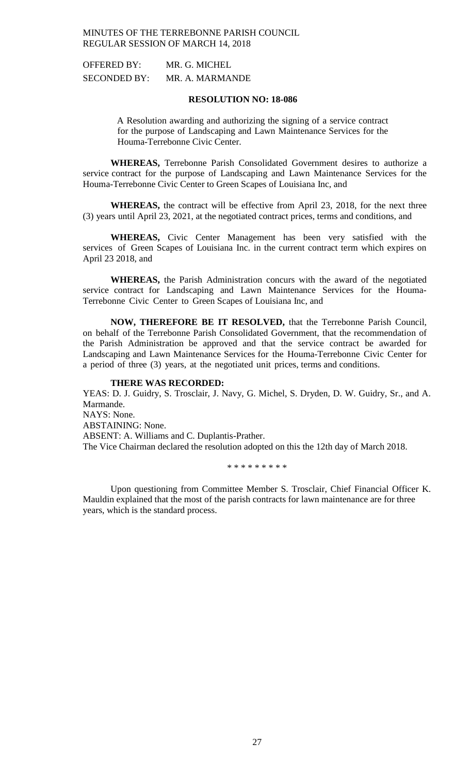| <b>OFFERED BY:</b>  | MR. G. MICHEL   |
|---------------------|-----------------|
| <b>SECONDED BY:</b> | MR. A. MARMANDE |

## **RESOLUTION NO: 18-086**

A Resolution awarding and authorizing the signing of a service contract for the purpose of Landscaping and Lawn Maintenance Services for the Houma-Terrebonne Civic Center.

**WHEREAS,** Terrebonne Parish Consolidated Government desires to authorize a service contract for the purpose of Landscaping and Lawn Maintenance Services for the Houma-Terrebonne Civic Center to Green Scapes of Louisiana Inc, and

**WHEREAS,** the contract will be effective from April 23, 2018, for the next three (3) years until April 23, 2021, at the negotiated contract prices, terms and conditions, and

**WHEREAS,** Civic Center Management has been very satisfied with the services of Green Scapes of Louisiana Inc. in the current contract term which expires on April 23 2018, and

**WHEREAS,** the Parish Administration concurs with the award of the negotiated service contract for Landscaping and Lawn Maintenance Services for the Houma-Terrebonne Civic Center to Green Scapes of Louisiana Inc, and

**NOW, THEREFORE BE IT RESOLVED,** that the Terrebonne Parish Council, on behalf of the Terrebonne Parish Consolidated Government, that the recommendation of the Parish Administration be approved and that the service contract be awarded for Landscaping and Lawn Maintenance Services for the Houma-Terrebonne Civic Center for a period of three (3) years, at the negotiated unit prices, terms and conditions.

### **THERE WAS RECORDED:**

YEAS: D. J. Guidry, S. Trosclair, J. Navy, G. Michel, S. Dryden, D. W. Guidry, Sr., and A. Marmande.

NAYS: None. ABSTAINING: None.

ABSENT: A. Williams and C. Duplantis-Prather.

The Vice Chairman declared the resolution adopted on this the 12th day of March 2018.

\* \* \* \* \* \* \* \* \*

Upon questioning from Committee Member S. Trosclair, Chief Financial Officer K. Mauldin explained that the most of the parish contracts for lawn maintenance are for three years, which is the standard process.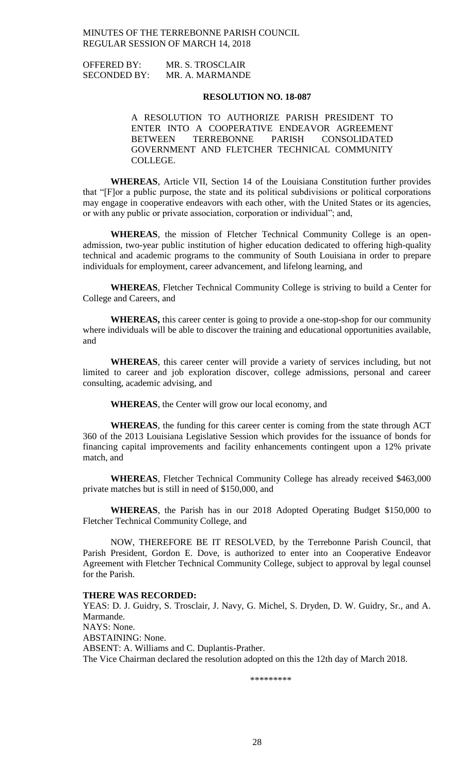| <b>OFFERED BY:</b>  | MR. S. TROSCLAIR |
|---------------------|------------------|
| <b>SECONDED BY:</b> | MR. A. MARMANDE  |

### **RESOLUTION NO. 18-087**

A RESOLUTION TO AUTHORIZE PARISH PRESIDENT TO ENTER INTO A COOPERATIVE ENDEAVOR AGREEMENT BETWEEN TERREBONNE PARISH CONSOLIDATED GOVERNMENT AND FLETCHER TECHNICAL COMMUNITY COLLEGE.

**WHEREAS**, Article VII, Section 14 of the Louisiana Constitution further provides that "[F]or a public purpose, the state and its political subdivisions or political corporations may engage in cooperative endeavors with each other, with the United States or its agencies, or with any public or private association, corporation or individual"; and,

**WHEREAS**, the mission of Fletcher Technical Community College is an openadmission, two-year public institution of higher education dedicated to offering high-quality technical and academic programs to the community of South Louisiana in order to prepare individuals for employment, career advancement, and lifelong learning, and

**WHEREAS**, Fletcher Technical Community College is striving to build a Center for College and Careers, and

**WHEREAS,** this career center is going to provide a one-stop-shop for our community where individuals will be able to discover the training and educational opportunities available, and

**WHEREAS**, this career center will provide a variety of services including, but not limited to career and job exploration discover, college admissions, personal and career consulting, academic advising, and

**WHEREAS**, the Center will grow our local economy, and

**WHEREAS**, the funding for this career center is coming from the state through ACT 360 of the 2013 Louisiana Legislative Session which provides for the issuance of bonds for financing capital improvements and facility enhancements contingent upon a 12% private match, and

**WHEREAS**, Fletcher Technical Community College has already received \$463,000 private matches but is still in need of \$150,000, and

**WHEREAS**, the Parish has in our 2018 Adopted Operating Budget \$150,000 to Fletcher Technical Community College, and

NOW, THEREFORE BE IT RESOLVED, by the Terrebonne Parish Council, that Parish President, Gordon E. Dove, is authorized to enter into an Cooperative Endeavor Agreement with Fletcher Technical Community College, subject to approval by legal counsel for the Parish.

#### **THERE WAS RECORDED:**

YEAS: D. J. Guidry, S. Trosclair, J. Navy, G. Michel, S. Dryden, D. W. Guidry, Sr., and A. Marmande. NAYS: None. ABSTAINING: None. ABSENT: A. Williams and C. Duplantis-Prather. The Vice Chairman declared the resolution adopted on this the 12th day of March 2018.

\*\*\*\*\*\*\*\*\*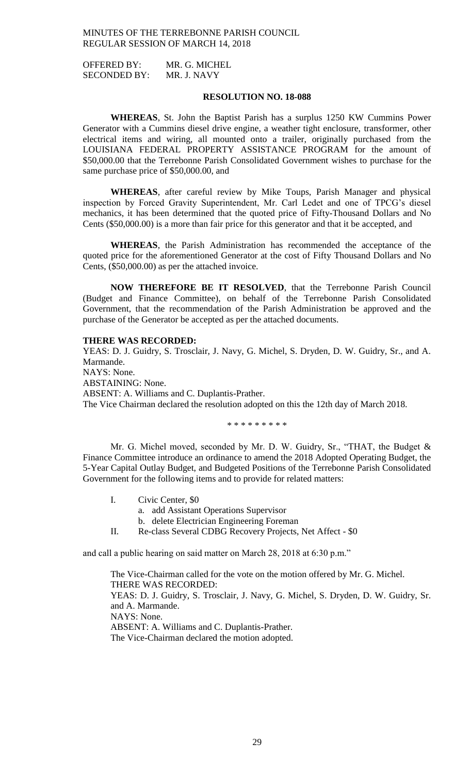OFFERED BY: MR. G. MICHEL SECONDED BY: MR. J. NAVY

# **RESOLUTION NO. 18-088**

**WHEREAS**, St. John the Baptist Parish has a surplus 1250 KW Cummins Power Generator with a Cummins diesel drive engine, a weather tight enclosure, transformer, other electrical items and wiring, all mounted onto a trailer, originally purchased from the LOUISIANA FEDERAL PROPERTY ASSISTANCE PROGRAM for the amount of \$50,000.00 that the Terrebonne Parish Consolidated Government wishes to purchase for the same purchase price of \$50,000.00, and

**WHEREAS**, after careful review by Mike Toups, Parish Manager and physical inspection by Forced Gravity Superintendent, Mr. Carl Ledet and one of TPCG's diesel mechanics, it has been determined that the quoted price of Fifty-Thousand Dollars and No Cents (\$50,000.00) is a more than fair price for this generator and that it be accepted, and

**WHEREAS**, the Parish Administration has recommended the acceptance of the quoted price for the aforementioned Generator at the cost of Fifty Thousand Dollars and No Cents, (\$50,000.00) as per the attached invoice.

**NOW THEREFORE BE IT RESOLVED**, that the Terrebonne Parish Council (Budget and Finance Committee), on behalf of the Terrebonne Parish Consolidated Government, that the recommendation of the Parish Administration be approved and the purchase of the Generator be accepted as per the attached documents.

#### **THERE WAS RECORDED:**

YEAS: D. J. Guidry, S. Trosclair, J. Navy, G. Michel, S. Dryden, D. W. Guidry, Sr., and A. Marmande. NAYS: None. ABSTAINING: None. ABSENT: A. Williams and C. Duplantis-Prather.

The Vice Chairman declared the resolution adopted on this the 12th day of March 2018.

\* \* \* \* \* \* \* \* \*

Mr. G. Michel moved, seconded by Mr. D. W. Guidry, Sr., "THAT, the Budget  $\&$ Finance Committee introduce an ordinance to amend the 2018 Adopted Operating Budget, the 5-Year Capital Outlay Budget, and Budgeted Positions of the Terrebonne Parish Consolidated Government for the following items and to provide for related matters:

|  | Civic Center, \$0                      |
|--|----------------------------------------|
|  | a. add Assistant Operations Supervisor |

- b. delete Electrician Engineering Foreman
- II. Re-class Several CDBG Recovery Projects, Net Affect \$0

and call a public hearing on said matter on March 28, 2018 at 6:30 p.m."

The Vice-Chairman called for the vote on the motion offered by Mr. G. Michel. THERE WAS RECORDED: YEAS: D. J. Guidry, S. Trosclair, J. Navy, G. Michel, S. Dryden, D. W. Guidry, Sr. and A. Marmande. NAYS: None.

ABSENT: A. Williams and C. Duplantis-Prather.

The Vice-Chairman declared the motion adopted.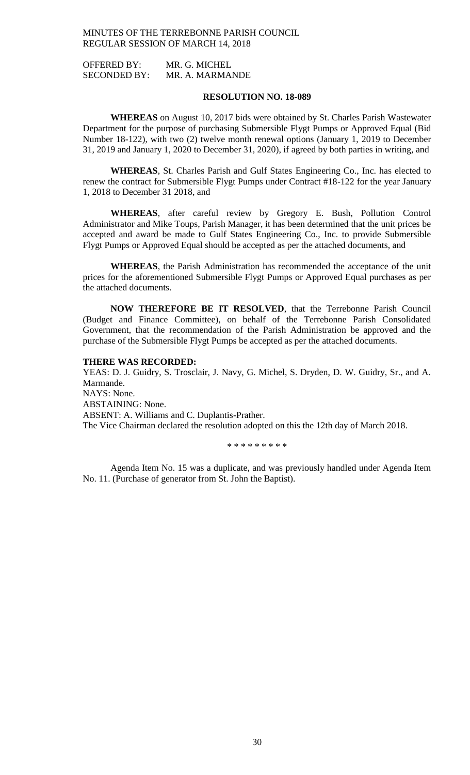OFFERED BY: MR. G. MICHEL SECONDED BY: MR. A. MARMANDE

### **RESOLUTION NO. 18-089**

**WHEREAS** on August 10, 2017 bids were obtained by St. Charles Parish Wastewater Department for the purpose of purchasing Submersible Flygt Pumps or Approved Equal (Bid Number 18-122), with two (2) twelve month renewal options (January 1, 2019 to December 31, 2019 and January 1, 2020 to December 31, 2020), if agreed by both parties in writing, and

**WHEREAS**, St. Charles Parish and Gulf States Engineering Co., Inc. has elected to renew the contract for Submersible Flygt Pumps under Contract #18-122 for the year January 1, 2018 to December 31 2018, and

**WHEREAS**, after careful review by Gregory E. Bush, Pollution Control Administrator and Mike Toups, Parish Manager, it has been determined that the unit prices be accepted and award be made to Gulf States Engineering Co., Inc. to provide Submersible Flygt Pumps or Approved Equal should be accepted as per the attached documents, and

**WHEREAS**, the Parish Administration has recommended the acceptance of the unit prices for the aforementioned Submersible Flygt Pumps or Approved Equal purchases as per the attached documents.

**NOW THEREFORE BE IT RESOLVED**, that the Terrebonne Parish Council (Budget and Finance Committee), on behalf of the Terrebonne Parish Consolidated Government, that the recommendation of the Parish Administration be approved and the purchase of the Submersible Flygt Pumps be accepted as per the attached documents.

### **THERE WAS RECORDED:**

YEAS: D. J. Guidry, S. Trosclair, J. Navy, G. Michel, S. Dryden, D. W. Guidry, Sr., and A. Marmande. NAYS: None. ABSTAINING: None. ABSENT: A. Williams and C. Duplantis-Prather. The Vice Chairman declared the resolution adopted on this the 12th day of March 2018.

\* \* \* \* \* \* \* \* \*

Agenda Item No. 15 was a duplicate, and was previously handled under Agenda Item No. 11. (Purchase of generator from St. John the Baptist).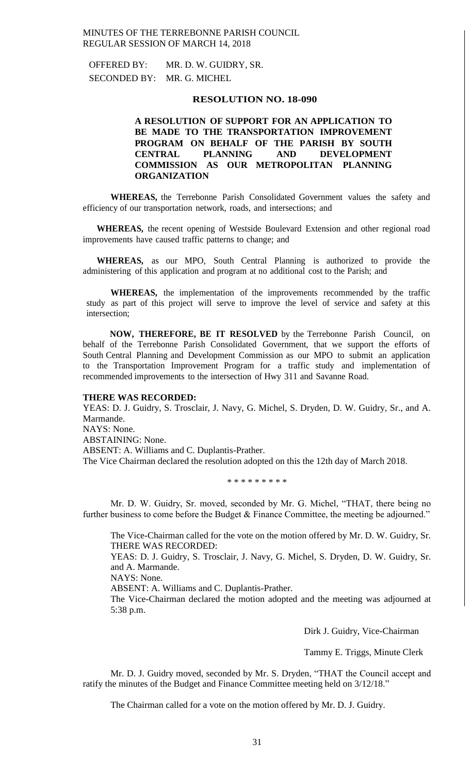OFFERED BY: MR. D. W. GUIDRY, SR. SECONDED BY: MR. G. MICHEL

### **RESOLUTION NO. 18-090**

# **A RESOLUTION OF SUPPORT FOR AN APPLICATION TO BE MADE TO THE TRANSPORTATION IMPROVEMENT PROGRAM ON BEHALF OF THE PARISH BY SOUTH CENTRAL PLANNING AND DEVELOPMENT COMMISSION AS OUR METROPOLITAN PLANNING ORGANIZATION**

**WHEREAS,** the Terrebonne Parish Consolidated Government values the safety and efficiency of our transportation network, roads, and intersections; and

**WHEREAS,** the recent opening of Westside Boulevard Extension and other regional road improvements have caused traffic patterns to change; and

**WHEREAS,** as our MPO, South Central Planning is authorized to provide the administering of this application and program at no additional cost to the Parish; and

**WHEREAS,** the implementation of the improvements recommended by the traffic study as part of this project will serve to improve the level of service and safety at this intersection;

**NOW, THEREFORE, BE IT RESOLVED** by the Terrebonne Parish Council, on behalf of the Terrebonne Parish Consolidated Government, that we support the efforts of South Central Planning and Development Commission as our MPO to submit an application to the Transportation Improvement Program for a traffic study and implementation of recommended improvements to the intersection of Hwy 311 and Savanne Road.

#### **THERE WAS RECORDED:**

YEAS: D. J. Guidry, S. Trosclair, J. Navy, G. Michel, S. Dryden, D. W. Guidry, Sr., and A. Marmande. NAYS: None. ABSTAINING: None. ABSENT: A. Williams and C. Duplantis-Prather. The Vice Chairman declared the resolution adopted on this the 12th day of March 2018.

\* \* \* \* \* \* \* \* \*

Mr. D. W. Guidry, Sr. moved, seconded by Mr. G. Michel, "THAT, there being no further business to come before the Budget & Finance Committee, the meeting be adjourned."

The Vice-Chairman called for the vote on the motion offered by Mr. D. W. Guidry, Sr. THERE WAS RECORDED:

YEAS: D. J. Guidry, S. Trosclair, J. Navy, G. Michel, S. Dryden, D. W. Guidry, Sr. and A. Marmande.

NAYS: None.

ABSENT: A. Williams and C. Duplantis-Prather.

The Vice-Chairman declared the motion adopted and the meeting was adjourned at 5:38 p.m.

Dirk J. Guidry, Vice-Chairman

Tammy E. Triggs, Minute Clerk

Mr. D. J. Guidry moved, seconded by Mr. S. Dryden, "THAT the Council accept and ratify the minutes of the Budget and Finance Committee meeting held on 3/12/18."

The Chairman called for a vote on the motion offered by Mr. D. J. Guidry.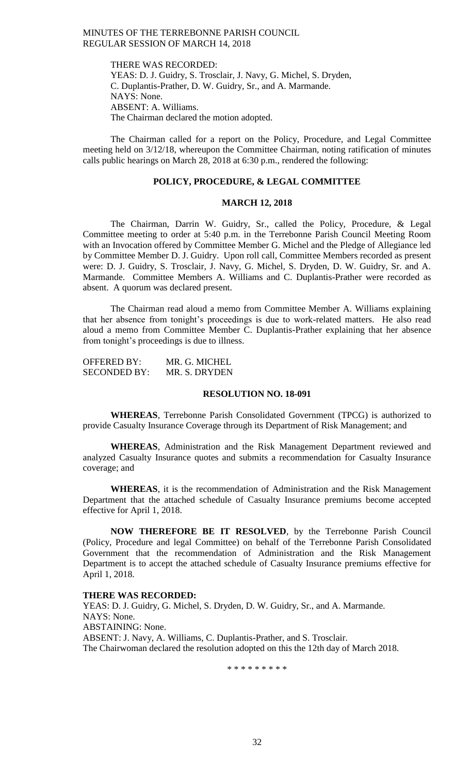THERE WAS RECORDED: YEAS: D. J. Guidry, S. Trosclair, J. Navy, G. Michel, S. Dryden, C. Duplantis-Prather, D. W. Guidry, Sr., and A. Marmande. NAYS: None. ABSENT: A. Williams. The Chairman declared the motion adopted.

The Chairman called for a report on the Policy, Procedure, and Legal Committee meeting held on 3/12/18, whereupon the Committee Chairman, noting ratification of minutes calls public hearings on March 28, 2018 at 6:30 p.m., rendered the following:

#### **POLICY, PROCEDURE, & LEGAL COMMITTEE**

### **MARCH 12, 2018**

The Chairman, Darrin W. Guidry, Sr., called the Policy, Procedure, & Legal Committee meeting to order at 5:40 p.m. in the Terrebonne Parish Council Meeting Room with an Invocation offered by Committee Member G. Michel and the Pledge of Allegiance led by Committee Member D. J. Guidry. Upon roll call, Committee Members recorded as present were: D. J. Guidry, S. Trosclair, J. Navy, G. Michel, S. Dryden, D. W. Guidry, Sr. and A. Marmande. Committee Members A. Williams and C. Duplantis-Prather were recorded as absent. A quorum was declared present.

The Chairman read aloud a memo from Committee Member A. Williams explaining that her absence from tonight's proceedings is due to work-related matters. He also read aloud a memo from Committee Member C. Duplantis-Prather explaining that her absence from tonight's proceedings is due to illness.

| <b>OFFERED BY:</b>  | MR. G. MICHEL |
|---------------------|---------------|
| <b>SECONDED BY:</b> | MR. S. DRYDEN |

### **RESOLUTION NO. 18-091**

**WHEREAS**, Terrebonne Parish Consolidated Government (TPCG) is authorized to provide Casualty Insurance Coverage through its Department of Risk Management; and

**WHEREAS**, Administration and the Risk Management Department reviewed and analyzed Casualty Insurance quotes and submits a recommendation for Casualty Insurance coverage; and

**WHEREAS**, it is the recommendation of Administration and the Risk Management Department that the attached schedule of Casualty Insurance premiums become accepted effective for April 1, 2018.

**NOW THEREFORE BE IT RESOLVED**, by the Terrebonne Parish Council (Policy, Procedure and legal Committee) on behalf of the Terrebonne Parish Consolidated Government that the recommendation of Administration and the Risk Management Department is to accept the attached schedule of Casualty Insurance premiums effective for April 1, 2018.

#### **THERE WAS RECORDED:**

YEAS: D. J. Guidry, G. Michel, S. Dryden, D. W. Guidry, Sr., and A. Marmande. NAYS: None. ABSTAINING: None. ABSENT: J. Navy, A. Williams, C. Duplantis-Prather, and S. Trosclair. The Chairwoman declared the resolution adopted on this the 12th day of March 2018.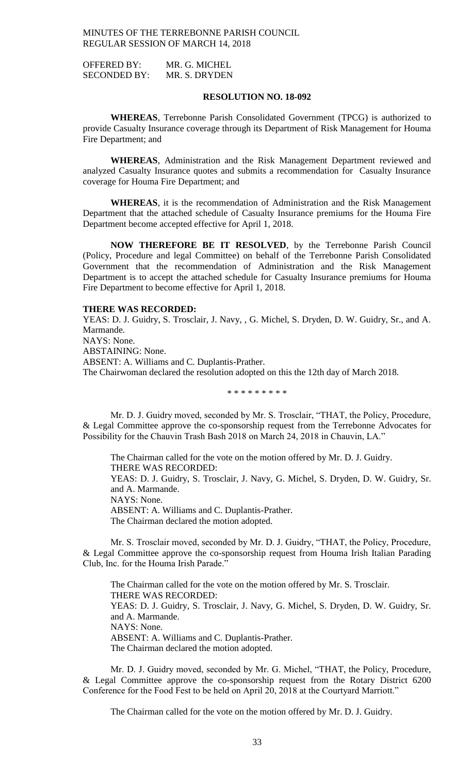OFFERED BY: MR. G. MICHEL SECONDED BY: MR. S. DRYDEN

### **RESOLUTION NO. 18-092**

**WHEREAS**, Terrebonne Parish Consolidated Government (TPCG) is authorized to provide Casualty Insurance coverage through its Department of Risk Management for Houma Fire Department; and

**WHEREAS**, Administration and the Risk Management Department reviewed and analyzed Casualty Insurance quotes and submits a recommendation for Casualty Insurance coverage for Houma Fire Department; and

**WHEREAS**, it is the recommendation of Administration and the Risk Management Department that the attached schedule of Casualty Insurance premiums for the Houma Fire Department become accepted effective for April 1, 2018.

**NOW THEREFORE BE IT RESOLVED**, by the Terrebonne Parish Council (Policy, Procedure and legal Committee) on behalf of the Terrebonne Parish Consolidated Government that the recommendation of Administration and the Risk Management Department is to accept the attached schedule for Casualty Insurance premiums for Houma Fire Department to become effective for April 1, 2018.

### **THERE WAS RECORDED:**

YEAS: D. J. Guidry, S. Trosclair, J. Navy, , G. Michel, S. Dryden, D. W. Guidry, Sr., and A. Marmande. NAYS: None. ABSTAINING: None. ABSENT: A. Williams and C. Duplantis-Prather. The Chairwoman declared the resolution adopted on this the 12th day of March 2018.

\* \* \* \* \* \* \* \* \*

Mr. D. J. Guidry moved, seconded by Mr. S. Trosclair, "THAT, the Policy, Procedure, & Legal Committee approve the co-sponsorship request from the Terrebonne Advocates for Possibility for the Chauvin Trash Bash 2018 on March 24, 2018 in Chauvin, LA."

The Chairman called for the vote on the motion offered by Mr. D. J. Guidry. THERE WAS RECORDED:

YEAS: D. J. Guidry, S. Trosclair, J. Navy, G. Michel, S. Dryden, D. W. Guidry, Sr. and A. Marmande.

NAYS: None.

ABSENT: A. Williams and C. Duplantis-Prather.

The Chairman declared the motion adopted.

Mr. S. Trosclair moved, seconded by Mr. D. J. Guidry, "THAT, the Policy, Procedure, & Legal Committee approve the co-sponsorship request from Houma Irish Italian Parading Club, Inc. for the Houma Irish Parade."

The Chairman called for the vote on the motion offered by Mr. S. Trosclair. THERE WAS RECORDED: YEAS: D. J. Guidry, S. Trosclair, J. Navy, G. Michel, S. Dryden, D. W. Guidry, Sr. and A. Marmande. NAYS: None. ABSENT: A. Williams and C. Duplantis-Prather. The Chairman declared the motion adopted.

Mr. D. J. Guidry moved, seconded by Mr. G. Michel, "THAT, the Policy, Procedure, & Legal Committee approve the co-sponsorship request from the Rotary District 6200 Conference for the Food Fest to be held on April 20, 2018 at the Courtyard Marriott."

The Chairman called for the vote on the motion offered by Mr. D. J. Guidry.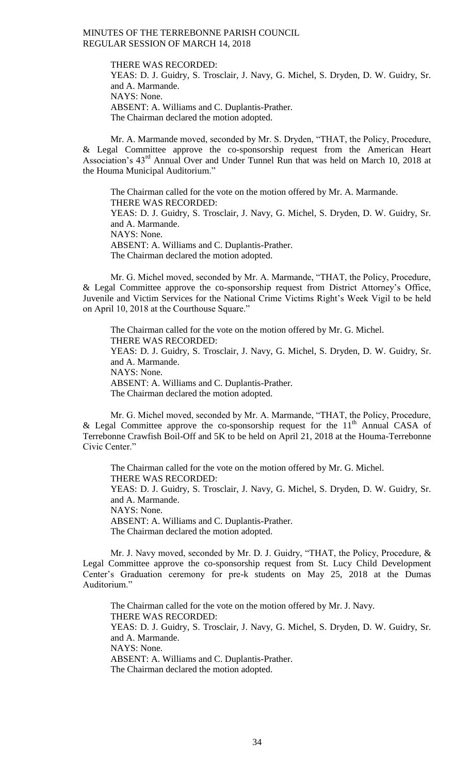THERE WAS RECORDED: YEAS: D. J. Guidry, S. Trosclair, J. Navy, G. Michel, S. Dryden, D. W. Guidry, Sr. and A. Marmande. NAYS: None. ABSENT: A. Williams and C. Duplantis-Prather. The Chairman declared the motion adopted.

Mr. A. Marmande moved, seconded by Mr. S. Dryden, "THAT, the Policy, Procedure, & Legal Committee approve the co-sponsorship request from the American Heart Association's 43rd Annual Over and Under Tunnel Run that was held on March 10, 2018 at the Houma Municipal Auditorium."

The Chairman called for the vote on the motion offered by Mr. A. Marmande. THERE WAS RECORDED: YEAS: D. J. Guidry, S. Trosclair, J. Navy, G. Michel, S. Dryden, D. W. Guidry, Sr. and A. Marmande. NAYS: None. ABSENT: A. Williams and C. Duplantis-Prather. The Chairman declared the motion adopted.

Mr. G. Michel moved, seconded by Mr. A. Marmande, "THAT, the Policy, Procedure, & Legal Committee approve the co-sponsorship request from District Attorney's Office, Juvenile and Victim Services for the National Crime Victims Right's Week Vigil to be held on April 10, 2018 at the Courthouse Square."

The Chairman called for the vote on the motion offered by Mr. G. Michel. THERE WAS RECORDED: YEAS: D. J. Guidry, S. Trosclair, J. Navy, G. Michel, S. Dryden, D. W. Guidry, Sr. and A. Marmande. NAYS: None. ABSENT: A. Williams and C. Duplantis-Prather. The Chairman declared the motion adopted.

Mr. G. Michel moved, seconded by Mr. A. Marmande, "THAT, the Policy, Procedure, & Legal Committee approve the co-sponsorship request for the  $11<sup>th</sup>$  Annual CASA of Terrebonne Crawfish Boil-Off and 5K to be held on April 21, 2018 at the Houma-Terrebonne Civic Center."

The Chairman called for the vote on the motion offered by Mr. G. Michel. THERE WAS RECORDED: YEAS: D. J. Guidry, S. Trosclair, J. Navy, G. Michel, S. Dryden, D. W. Guidry, Sr. and A. Marmande. NAYS: None. ABSENT: A. Williams and C. Duplantis-Prather. The Chairman declared the motion adopted.

Mr. J. Navy moved, seconded by Mr. D. J. Guidry, "THAT, the Policy, Procedure, & Legal Committee approve the co-sponsorship request from St. Lucy Child Development Center's Graduation ceremony for pre-k students on May 25, 2018 at the Dumas Auditorium."

The Chairman called for the vote on the motion offered by Mr. J. Navy. THERE WAS RECORDED: YEAS: D. J. Guidry, S. Trosclair, J. Navy, G. Michel, S. Dryden, D. W. Guidry, Sr. and A. Marmande. NAYS: None. ABSENT: A. Williams and C. Duplantis-Prather. The Chairman declared the motion adopted.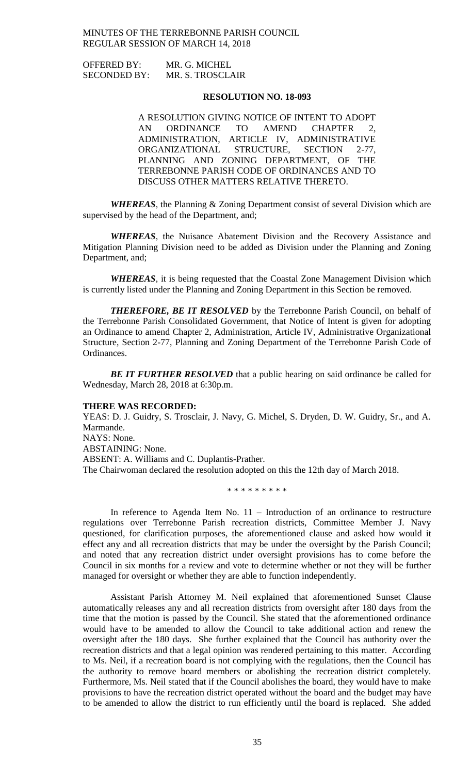| <b>OFFERED BY:</b>  | MR. G. MICHEL    |
|---------------------|------------------|
| <b>SECONDED BY:</b> | MR. S. TROSCLAIR |

### **RESOLUTION NO. 18-093**

A RESOLUTION GIVING NOTICE OF INTENT TO ADOPT AN ORDINANCE TO AMEND CHAPTER 2, ADMINISTRATION, ARTICLE IV, ADMINISTRATIVE ORGANIZATIONAL STRUCTURE, SECTION 2-77, PLANNING AND ZONING DEPARTMENT, OF THE TERREBONNE PARISH CODE OF ORDINANCES AND TO DISCUSS OTHER MATTERS RELATIVE THERETO.

*WHEREAS*, the Planning & Zoning Department consist of several Division which are supervised by the head of the Department, and;

*WHEREAS*, the Nuisance Abatement Division and the Recovery Assistance and Mitigation Planning Division need to be added as Division under the Planning and Zoning Department, and;

*WHEREAS*, it is being requested that the Coastal Zone Management Division which is currently listed under the Planning and Zoning Department in this Section be removed.

*THEREFORE, BE IT RESOLVED* by the Terrebonne Parish Council, on behalf of the Terrebonne Parish Consolidated Government, that Notice of Intent is given for adopting an Ordinance to amend Chapter 2, Administration, Article IV, Administrative Organizational Structure, Section 2-77, Planning and Zoning Department of the Terrebonne Parish Code of Ordinances.

**BE IT FURTHER RESOLVED** that a public hearing on said ordinance be called for Wednesday, March 28, 2018 at 6:30p.m.

### **THERE WAS RECORDED:**

YEAS: D. J. Guidry, S. Trosclair, J. Navy, G. Michel, S. Dryden, D. W. Guidry, Sr., and A. Marmande. NAYS: None. ABSTAINING: None. ABSENT: A. Williams and C. Duplantis-Prather. The Chairwoman declared the resolution adopted on this the 12th day of March 2018.

\* \* \* \* \* \* \* \* \*

In reference to Agenda Item No. 11 – Introduction of an ordinance to restructure regulations over Terrebonne Parish recreation districts, Committee Member J. Navy questioned, for clarification purposes, the aforementioned clause and asked how would it effect any and all recreation districts that may be under the oversight by the Parish Council; and noted that any recreation district under oversight provisions has to come before the Council in six months for a review and vote to determine whether or not they will be further managed for oversight or whether they are able to function independently.

Assistant Parish Attorney M. Neil explained that aforementioned Sunset Clause automatically releases any and all recreation districts from oversight after 180 days from the time that the motion is passed by the Council. She stated that the aforementioned ordinance would have to be amended to allow the Council to take additional action and renew the oversight after the 180 days. She further explained that the Council has authority over the recreation districts and that a legal opinion was rendered pertaining to this matter. According to Ms. Neil, if a recreation board is not complying with the regulations, then the Council has the authority to remove board members or abolishing the recreation district completely. Furthermore, Ms. Neil stated that if the Council abolishes the board, they would have to make provisions to have the recreation district operated without the board and the budget may have to be amended to allow the district to run efficiently until the board is replaced. She added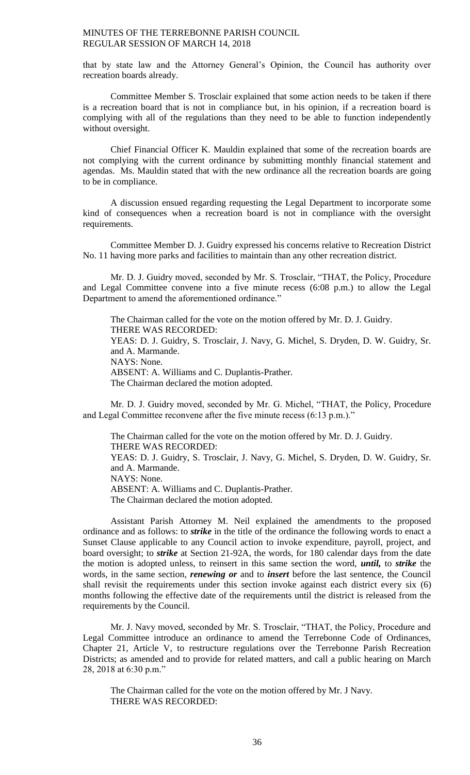that by state law and the Attorney General's Opinion, the Council has authority over recreation boards already.

Committee Member S. Trosclair explained that some action needs to be taken if there is a recreation board that is not in compliance but, in his opinion, if a recreation board is complying with all of the regulations than they need to be able to function independently without oversight.

Chief Financial Officer K. Mauldin explained that some of the recreation boards are not complying with the current ordinance by submitting monthly financial statement and agendas. Ms. Mauldin stated that with the new ordinance all the recreation boards are going to be in compliance.

A discussion ensued regarding requesting the Legal Department to incorporate some kind of consequences when a recreation board is not in compliance with the oversight requirements.

Committee Member D. J. Guidry expressed his concerns relative to Recreation District No. 11 having more parks and facilities to maintain than any other recreation district.

Mr. D. J. Guidry moved, seconded by Mr. S. Trosclair, "THAT, the Policy, Procedure and Legal Committee convene into a five minute recess (6:08 p.m.) to allow the Legal Department to amend the aforementioned ordinance."

The Chairman called for the vote on the motion offered by Mr. D. J. Guidry. THERE WAS RECORDED: YEAS: D. J. Guidry, S. Trosclair, J. Navy, G. Michel, S. Dryden, D. W. Guidry, Sr. and A. Marmande. NAYS: None. ABSENT: A. Williams and C. Duplantis-Prather. The Chairman declared the motion adopted.

Mr. D. J. Guidry moved, seconded by Mr. G. Michel, "THAT, the Policy, Procedure and Legal Committee reconvene after the five minute recess (6:13 p.m.)."

The Chairman called for the vote on the motion offered by Mr. D. J. Guidry. THERE WAS RECORDED: YEAS: D. J. Guidry, S. Trosclair, J. Navy, G. Michel, S. Dryden, D. W. Guidry, Sr. and A. Marmande. NAYS: None. ABSENT: A. Williams and C. Duplantis-Prather. The Chairman declared the motion adopted.

Assistant Parish Attorney M. Neil explained the amendments to the proposed ordinance and as follows: to *strike* in the title of the ordinance the following words to enact a Sunset Clause applicable to any Council action to invoke expenditure, payroll, project, and board oversight; to *strike* at Section 21-92A, the words, for 180 calendar days from the date the motion is adopted unless, to reinsert in this same section the word, *until,* to *strike* the words, in the same section, *renewing or* and to *insert* before the last sentence, the Council shall revisit the requirements under this section invoke against each district every six (6) months following the effective date of the requirements until the district is released from the requirements by the Council.

Mr. J. Navy moved, seconded by Mr. S. Trosclair, "THAT, the Policy, Procedure and Legal Committee introduce an ordinance to amend the Terrebonne Code of Ordinances, Chapter 21, Article V, to restructure regulations over the Terrebonne Parish Recreation Districts; as amended and to provide for related matters, and call a public hearing on March 28, 2018 at 6:30 p.m."

The Chairman called for the vote on the motion offered by Mr. J Navy. THERE WAS RECORDED: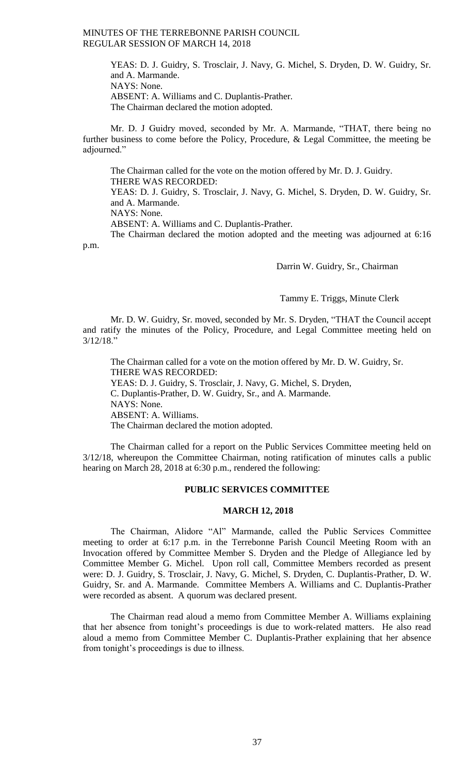YEAS: D. J. Guidry, S. Trosclair, J. Navy, G. Michel, S. Dryden, D. W. Guidry, Sr. and A. Marmande. NAYS: None. ABSENT: A. Williams and C. Duplantis-Prather. The Chairman declared the motion adopted.

Mr. D. J Guidry moved, seconded by Mr. A. Marmande, "THAT, there being no further business to come before the Policy, Procedure, & Legal Committee, the meeting be adjourned."

The Chairman called for the vote on the motion offered by Mr. D. J. Guidry. THERE WAS RECORDED:

YEAS: D. J. Guidry, S. Trosclair, J. Navy, G. Michel, S. Dryden, D. W. Guidry, Sr. and A. Marmande.

NAYS: None.

ABSENT: A. Williams and C. Duplantis-Prather.

The Chairman declared the motion adopted and the meeting was adjourned at 6:16 p.m.

Darrin W. Guidry, Sr., Chairman

Tammy E. Triggs, Minute Clerk

Mr. D. W. Guidry, Sr. moved, seconded by Mr. S. Dryden, "THAT the Council accept and ratify the minutes of the Policy, Procedure, and Legal Committee meeting held on 3/12/18."

The Chairman called for a vote on the motion offered by Mr. D. W. Guidry, Sr. THERE WAS RECORDED: YEAS: D. J. Guidry, S. Trosclair, J. Navy, G. Michel, S. Dryden, C. Duplantis-Prather, D. W. Guidry, Sr., and A. Marmande. NAYS: None. ABSENT: A. Williams. The Chairman declared the motion adopted.

The Chairman called for a report on the Public Services Committee meeting held on 3/12/18, whereupon the Committee Chairman, noting ratification of minutes calls a public hearing on March 28, 2018 at 6:30 p.m., rendered the following:

# **PUBLIC SERVICES COMMITTEE**

#### **MARCH 12, 2018**

The Chairman, Alidore "Al" Marmande, called the Public Services Committee meeting to order at 6:17 p.m. in the Terrebonne Parish Council Meeting Room with an Invocation offered by Committee Member S. Dryden and the Pledge of Allegiance led by Committee Member G. Michel. Upon roll call, Committee Members recorded as present were: D. J. Guidry, S. Trosclair, J. Navy, G. Michel, S. Dryden, C. Duplantis-Prather, D. W. Guidry, Sr. and A. Marmande. Committee Members A. Williams and C. Duplantis-Prather were recorded as absent. A quorum was declared present.

The Chairman read aloud a memo from Committee Member A. Williams explaining that her absence from tonight's proceedings is due to work-related matters. He also read aloud a memo from Committee Member C. Duplantis-Prather explaining that her absence from tonight's proceedings is due to illness.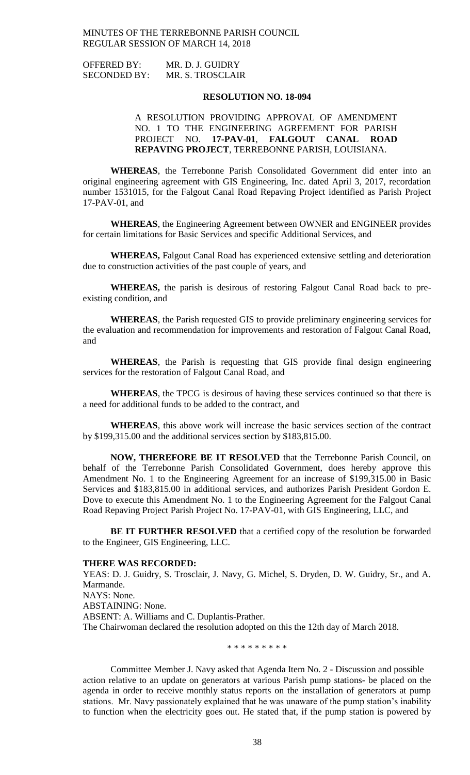| <b>OFFERED BY:</b>  | MR. D. J. GUIDRY |
|---------------------|------------------|
| <b>SECONDED BY:</b> | MR. S. TROSCLAIR |

### **RESOLUTION NO. 18-094**

# A RESOLUTION PROVIDING APPROVAL OF AMENDMENT NO. 1 TO THE ENGINEERING AGREEMENT FOR PARISH PROJECT NO. **17-PAV-01**, **FALGOUT CANAL ROAD REPAVING PROJECT**, TERREBONNE PARISH, LOUISIANA.

**WHEREAS**, the Terrebonne Parish Consolidated Government did enter into an original engineering agreement with GIS Engineering, Inc. dated April 3, 2017, recordation number 1531015, for the Falgout Canal Road Repaving Project identified as Parish Project 17-PAV-01, and

**WHEREAS**, the Engineering Agreement between OWNER and ENGINEER provides for certain limitations for Basic Services and specific Additional Services, and

**WHEREAS,** Falgout Canal Road has experienced extensive settling and deterioration due to construction activities of the past couple of years, and

**WHEREAS,** the parish is desirous of restoring Falgout Canal Road back to preexisting condition, and

**WHEREAS**, the Parish requested GIS to provide preliminary engineering services for the evaluation and recommendation for improvements and restoration of Falgout Canal Road, and

**WHEREAS**, the Parish is requesting that GIS provide final design engineering services for the restoration of Falgout Canal Road, and

**WHEREAS**, the TPCG is desirous of having these services continued so that there is a need for additional funds to be added to the contract, and

**WHEREAS**, this above work will increase the basic services section of the contract by \$199,315.00 and the additional services section by \$183,815.00.

**NOW, THEREFORE BE IT RESOLVED** that the Terrebonne Parish Council, on behalf of the Terrebonne Parish Consolidated Government, does hereby approve this Amendment No. 1 to the Engineering Agreement for an increase of \$199,315.00 in Basic Services and \$183,815.00 in additional services, and authorizes Parish President Gordon E. Dove to execute this Amendment No. 1 to the Engineering Agreement for the Falgout Canal Road Repaving Project Parish Project No. 17-PAV-01, with GIS Engineering, LLC, and

**BE IT FURTHER RESOLVED** that a certified copy of the resolution be forwarded to the Engineer, GIS Engineering, LLC.

#### **THERE WAS RECORDED:**

YEAS: D. J. Guidry, S. Trosclair, J. Navy, G. Michel, S. Dryden, D. W. Guidry, Sr., and A. Marmande. NAYS: None. ABSTAINING: None. ABSENT: A. Williams and C. Duplantis-Prather. The Chairwoman declared the resolution adopted on this the 12th day of March 2018.

\* \* \* \* \* \* \* \* \*

Committee Member J. Navy asked that Agenda Item No. 2 - Discussion and possible action relative to an update on generators at various Parish pump stations- be placed on the agenda in order to receive monthly status reports on the installation of generators at pump stations. Mr. Navy passionately explained that he was unaware of the pump station's inability to function when the electricity goes out. He stated that, if the pump station is powered by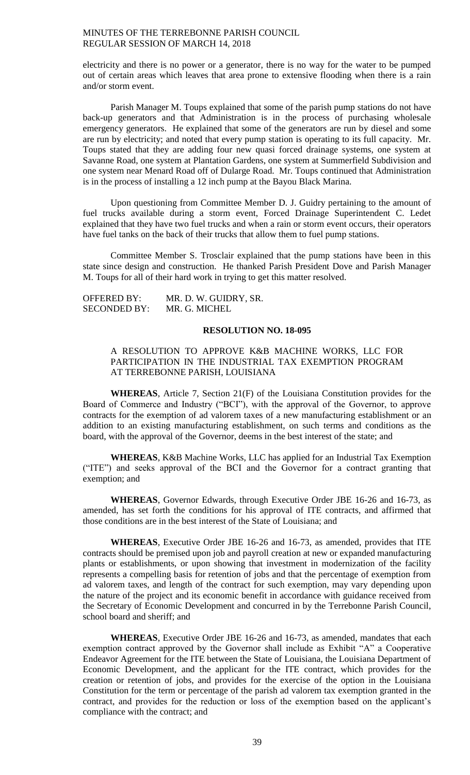electricity and there is no power or a generator, there is no way for the water to be pumped out of certain areas which leaves that area prone to extensive flooding when there is a rain and/or storm event.

Parish Manager M. Toups explained that some of the parish pump stations do not have back-up generators and that Administration is in the process of purchasing wholesale emergency generators. He explained that some of the generators are run by diesel and some are run by electricity; and noted that every pump station is operating to its full capacity. Mr. Toups stated that they are adding four new quasi forced drainage systems, one system at Savanne Road, one system at Plantation Gardens, one system at Summerfield Subdivision and one system near Menard Road off of Dularge Road. Mr. Toups continued that Administration is in the process of installing a 12 inch pump at the Bayou Black Marina.

Upon questioning from Committee Member D. J. Guidry pertaining to the amount of fuel trucks available during a storm event, Forced Drainage Superintendent C. Ledet explained that they have two fuel trucks and when a rain or storm event occurs, their operators have fuel tanks on the back of their trucks that allow them to fuel pump stations.

Committee Member S. Trosclair explained that the pump stations have been in this state since design and construction. He thanked Parish President Dove and Parish Manager M. Toups for all of their hard work in trying to get this matter resolved.

| <b>OFFERED BY:</b>  | MR. D. W. GUIDRY, SR. |
|---------------------|-----------------------|
| <b>SECONDED BY:</b> | MR. G. MICHEL         |

#### **RESOLUTION NO. 18-095**

# A RESOLUTION TO APPROVE K&B MACHINE WORKS, LLC FOR PARTICIPATION IN THE INDUSTRIAL TAX EXEMPTION PROGRAM AT TERREBONNE PARISH, LOUISIANA

**WHEREAS**, Article 7, Section 21(F) of the Louisiana Constitution provides for the Board of Commerce and Industry ("BCI"), with the approval of the Governor, to approve contracts for the exemption of ad valorem taxes of a new manufacturing establishment or an addition to an existing manufacturing establishment, on such terms and conditions as the board, with the approval of the Governor, deems in the best interest of the state; and

**WHEREAS**, K&B Machine Works, LLC has applied for an Industrial Tax Exemption ("ITE") and seeks approval of the BCI and the Governor for a contract granting that exemption; and

**WHEREAS**, Governor Edwards, through Executive Order JBE 16-26 and 16-73, as amended, has set forth the conditions for his approval of ITE contracts, and affirmed that those conditions are in the best interest of the State of Louisiana; and

**WHEREAS**, Executive Order JBE 16-26 and 16-73, as amended, provides that ITE contracts should be premised upon job and payroll creation at new or expanded manufacturing plants or establishments, or upon showing that investment in modernization of the facility represents a compelling basis for retention of jobs and that the percentage of exemption from ad valorem taxes, and length of the contract for such exemption, may vary depending upon the nature of the project and its economic benefit in accordance with guidance received from the Secretary of Economic Development and concurred in by the Terrebonne Parish Council, school board and sheriff; and

**WHEREAS**, Executive Order JBE 16-26 and 16-73, as amended, mandates that each exemption contract approved by the Governor shall include as Exhibit "A" a Cooperative Endeavor Agreement for the ITE between the State of Louisiana, the Louisiana Department of Economic Development, and the applicant for the ITE contract, which provides for the creation or retention of jobs, and provides for the exercise of the option in the Louisiana Constitution for the term or percentage of the parish ad valorem tax exemption granted in the contract, and provides for the reduction or loss of the exemption based on the applicant's compliance with the contract; and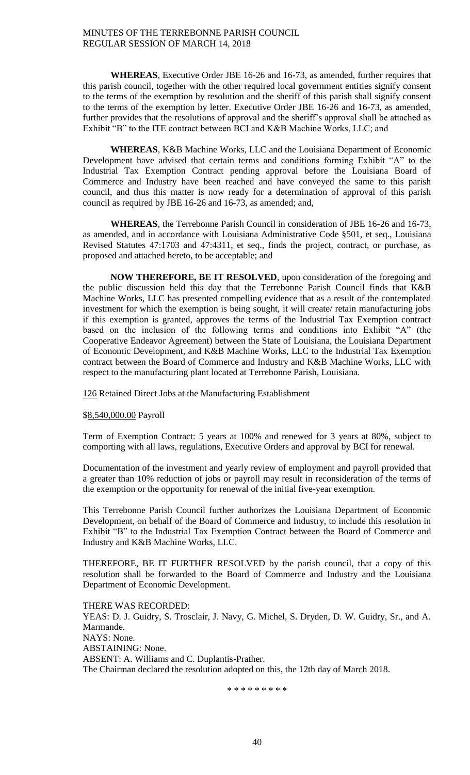**WHEREAS**, Executive Order JBE 16-26 and 16-73, as amended, further requires that this parish council, together with the other required local government entities signify consent to the terms of the exemption by resolution and the sheriff of this parish shall signify consent to the terms of the exemption by letter. Executive Order JBE 16-26 and 16-73, as amended, further provides that the resolutions of approval and the sheriff's approval shall be attached as Exhibit "B" to the ITE contract between BCI and K&B Machine Works, LLC; and

**WHEREAS**, K&B Machine Works, LLC and the Louisiana Department of Economic Development have advised that certain terms and conditions forming Exhibit "A" to the Industrial Tax Exemption Contract pending approval before the Louisiana Board of Commerce and Industry have been reached and have conveyed the same to this parish council, and thus this matter is now ready for a determination of approval of this parish council as required by JBE 16-26 and 16-73, as amended; and,

**WHEREAS**, the Terrebonne Parish Council in consideration of JBE 16-26 and 16-73, as amended, and in accordance with Louisiana Administrative Code §501, et seq., Louisiana Revised Statutes 47:1703 and 47:4311, et seq., finds the project, contract, or purchase, as proposed and attached hereto, to be acceptable; and

**NOW THEREFORE, BE IT RESOLVED**, upon consideration of the foregoing and the public discussion held this day that the Terrebonne Parish Council finds that K&B Machine Works, LLC has presented compelling evidence that as a result of the contemplated investment for which the exemption is being sought, it will create/ retain manufacturing jobs if this exemption is granted, approves the terms of the Industrial Tax Exemption contract based on the inclusion of the following terms and conditions into Exhibit "A" (the Cooperative Endeavor Agreement) between the State of Louisiana, the Louisiana Department of Economic Development, and K&B Machine Works, LLC to the Industrial Tax Exemption contract between the Board of Commerce and Industry and K&B Machine Works, LLC with respect to the manufacturing plant located at Terrebonne Parish, Louisiana.

126 Retained Direct Jobs at the Manufacturing Establishment

\$8,540,000.00 Payroll

Term of Exemption Contract: 5 years at 100% and renewed for 3 years at 80%, subject to comporting with all laws, regulations, Executive Orders and approval by BCI for renewal.

Documentation of the investment and yearly review of employment and payroll provided that a greater than 10% reduction of jobs or payroll may result in reconsideration of the terms of the exemption or the opportunity for renewal of the initial five-year exemption.

This Terrebonne Parish Council further authorizes the Louisiana Department of Economic Development, on behalf of the Board of Commerce and Industry, to include this resolution in Exhibit "B" to the Industrial Tax Exemption Contract between the Board of Commerce and Industry and K&B Machine Works, LLC.

THEREFORE, BE IT FURTHER RESOLVED by the parish council, that a copy of this resolution shall be forwarded to the Board of Commerce and Industry and the Louisiana Department of Economic Development.

THERE WAS RECORDED: YEAS: D. J. Guidry, S. Trosclair, J. Navy, G. Michel, S. Dryden, D. W. Guidry, Sr., and A. Marmande. NAYS: None. ABSTAINING: None. ABSENT: A. Williams and C. Duplantis-Prather. The Chairman declared the resolution adopted on this, the 12th day of March 2018.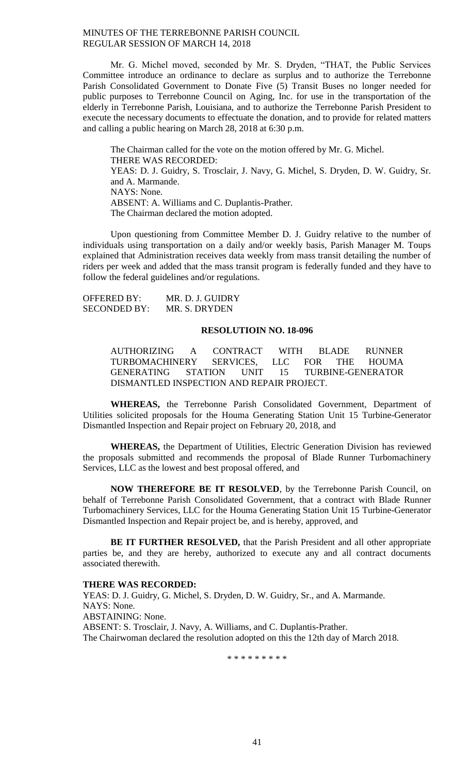Mr. G. Michel moved, seconded by Mr. S. Dryden, "THAT, the Public Services Committee introduce an ordinance to declare as surplus and to authorize the Terrebonne Parish Consolidated Government to Donate Five (5) Transit Buses no longer needed for public purposes to Terrebonne Council on Aging, Inc. for use in the transportation of the elderly in Terrebonne Parish, Louisiana, and to authorize the Terrebonne Parish President to execute the necessary documents to effectuate the donation, and to provide for related matters and calling a public hearing on March 28, 2018 at 6:30 p.m.

The Chairman called for the vote on the motion offered by Mr. G. Michel. THERE WAS RECORDED: YEAS: D. J. Guidry, S. Trosclair, J. Navy, G. Michel, S. Dryden, D. W. Guidry, Sr. and A. Marmande. NAYS: None. ABSENT: A. Williams and C. Duplantis-Prather. The Chairman declared the motion adopted.

Upon questioning from Committee Member D. J. Guidry relative to the number of individuals using transportation on a daily and/or weekly basis, Parish Manager M. Toups explained that Administration receives data weekly from mass transit detailing the number of riders per week and added that the mass transit program is federally funded and they have to follow the federal guidelines and/or regulations.

| <b>OFFERED BY:</b>  | MR. D. J. GUIDRY |
|---------------------|------------------|
| <b>SECONDED BY:</b> | MR. S. DRYDEN    |

#### **RESOLUTIOIN NO. 18-096**

AUTHORIZING A CONTRACT WITH BLADE RUNNER TURBOMACHINERY SERVICES, LLC FOR THE HOUMA GENERATING STATION UNIT 15 TURBINE-GENERATOR DISMANTLED INSPECTION AND REPAIR PROJECT.

**WHEREAS,** the Terrebonne Parish Consolidated Government, Department of Utilities solicited proposals for the Houma Generating Station Unit 15 Turbine-Generator Dismantled Inspection and Repair project on February 20, 2018, and

**WHEREAS,** the Department of Utilities, Electric Generation Division has reviewed the proposals submitted and recommends the proposal of Blade Runner Turbomachinery Services, LLC as the lowest and best proposal offered, and

**NOW THEREFORE BE IT RESOLVED**, by the Terrebonne Parish Council, on behalf of Terrebonne Parish Consolidated Government, that a contract with Blade Runner Turbomachinery Services, LLC for the Houma Generating Station Unit 15 Turbine-Generator Dismantled Inspection and Repair project be, and is hereby, approved, and

**BE IT FURTHER RESOLVED,** that the Parish President and all other appropriate parties be, and they are hereby, authorized to execute any and all contract documents associated therewith.

## **THERE WAS RECORDED:**

YEAS: D. J. Guidry, G. Michel, S. Dryden, D. W. Guidry, Sr., and A. Marmande. NAYS: None. ABSTAINING: None. ABSENT: S. Trosclair, J. Navy, A. Williams, and C. Duplantis-Prather. The Chairwoman declared the resolution adopted on this the 12th day of March 2018.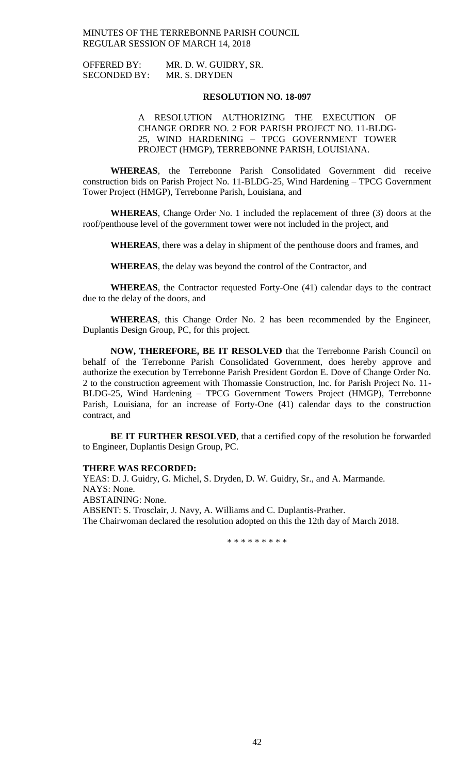| <b>OFFERED BY:</b>  | MR. D. W. GUIDRY, SR. |
|---------------------|-----------------------|
| <b>SECONDED BY:</b> | MR. S. DRYDEN         |

#### **RESOLUTION NO. 18-097**

# A RESOLUTION AUTHORIZING THE EXECUTION OF CHANGE ORDER NO. 2 FOR PARISH PROJECT NO. 11-BLDG-25, WIND HARDENING – TPCG GOVERNMENT TOWER PROJECT (HMGP), TERREBONNE PARISH, LOUISIANA.

**WHEREAS**, the Terrebonne Parish Consolidated Government did receive construction bids on Parish Project No. 11-BLDG-25, Wind Hardening – TPCG Government Tower Project (HMGP), Terrebonne Parish, Louisiana, and

**WHEREAS**, Change Order No. 1 included the replacement of three (3) doors at the roof/penthouse level of the government tower were not included in the project, and

**WHEREAS**, there was a delay in shipment of the penthouse doors and frames, and

**WHEREAS**, the delay was beyond the control of the Contractor, and

**WHEREAS**, the Contractor requested Forty-One (41) calendar days to the contract due to the delay of the doors, and

**WHEREAS**, this Change Order No. 2 has been recommended by the Engineer, Duplantis Design Group, PC, for this project.

**NOW, THEREFORE, BE IT RESOLVED** that the Terrebonne Parish Council on behalf of the Terrebonne Parish Consolidated Government, does hereby approve and authorize the execution by Terrebonne Parish President Gordon E. Dove of Change Order No. 2 to the construction agreement with Thomassie Construction, Inc. for Parish Project No. 11- BLDG-25, Wind Hardening – TPCG Government Towers Project (HMGP), Terrebonne Parish, Louisiana, for an increase of Forty-One (41) calendar days to the construction contract, and

**BE IT FURTHER RESOLVED**, that a certified copy of the resolution be forwarded to Engineer, Duplantis Design Group, PC.

### **THERE WAS RECORDED:**

YEAS: D. J. Guidry, G. Michel, S. Dryden, D. W. Guidry, Sr., and A. Marmande. NAYS: None. ABSTAINING: None. ABSENT: S. Trosclair, J. Navy, A. Williams and C. Duplantis-Prather. The Chairwoman declared the resolution adopted on this the 12th day of March 2018.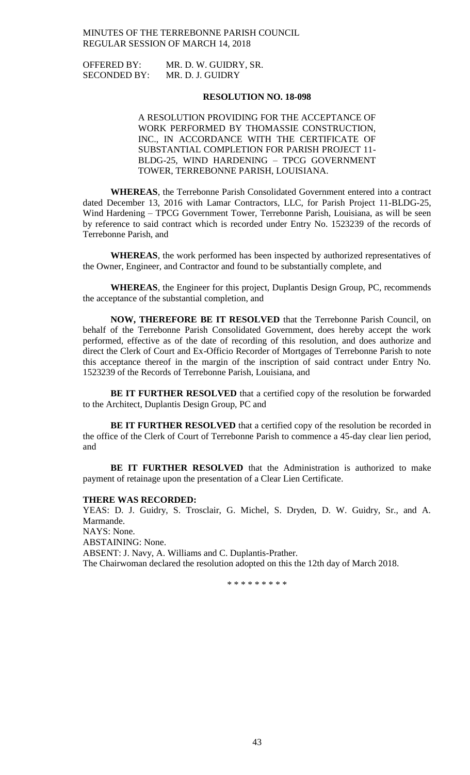| <b>OFFERED BY:</b>  | MR. D. W. GUIDRY, SR. |
|---------------------|-----------------------|
| <b>SECONDED BY:</b> | MR. D. J. GUIDRY      |

### **RESOLUTION NO. 18-098**

A RESOLUTION PROVIDING FOR THE ACCEPTANCE OF WORK PERFORMED BY THOMASSIE CONSTRUCTION, INC., IN ACCORDANCE WITH THE CERTIFICATE OF SUBSTANTIAL COMPLETION FOR PARISH PROJECT 11- BLDG-25, WIND HARDENING – TPCG GOVERNMENT TOWER, TERREBONNE PARISH, LOUISIANA.

**WHEREAS**, the Terrebonne Parish Consolidated Government entered into a contract dated December 13, 2016 with Lamar Contractors, LLC, for Parish Project 11-BLDG-25, Wind Hardening – TPCG Government Tower, Terrebonne Parish, Louisiana, as will be seen by reference to said contract which is recorded under Entry No. 1523239 of the records of Terrebonne Parish, and

**WHEREAS**, the work performed has been inspected by authorized representatives of the Owner, Engineer, and Contractor and found to be substantially complete, and

**WHEREAS**, the Engineer for this project, Duplantis Design Group, PC, recommends the acceptance of the substantial completion, and

**NOW, THEREFORE BE IT RESOLVED** that the Terrebonne Parish Council, on behalf of the Terrebonne Parish Consolidated Government, does hereby accept the work performed, effective as of the date of recording of this resolution, and does authorize and direct the Clerk of Court and Ex-Officio Recorder of Mortgages of Terrebonne Parish to note this acceptance thereof in the margin of the inscription of said contract under Entry No. 1523239 of the Records of Terrebonne Parish, Louisiana, and

**BE IT FURTHER RESOLVED** that a certified copy of the resolution be forwarded to the Architect, Duplantis Design Group, PC and

**BE IT FURTHER RESOLVED** that a certified copy of the resolution be recorded in the office of the Clerk of Court of Terrebonne Parish to commence a 45-day clear lien period, and

**BE IT FURTHER RESOLVED** that the Administration is authorized to make payment of retainage upon the presentation of a Clear Lien Certificate.

### **THERE WAS RECORDED:**

YEAS: D. J. Guidry, S. Trosclair, G. Michel, S. Dryden, D. W. Guidry, Sr., and A. Marmande.

NAYS: None. ABSTAINING: None. ABSENT: J. Navy, A. Williams and C. Duplantis-Prather. The Chairwoman declared the resolution adopted on this the 12th day of March 2018.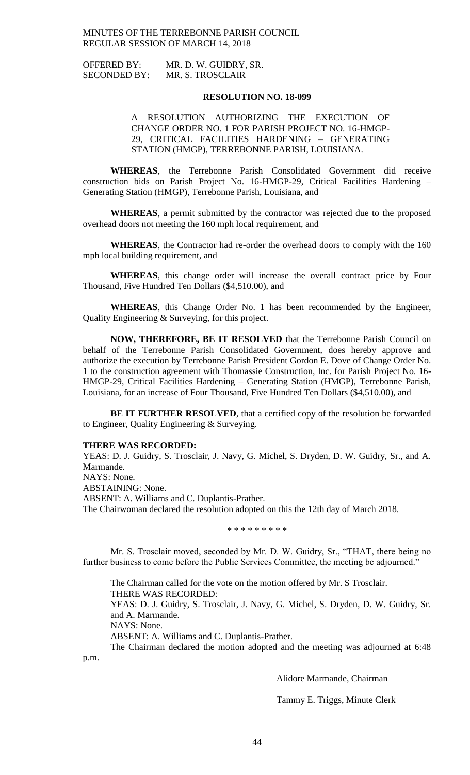| <b>OFFERED BY:</b>  | MR. D. W. GUIDRY, SR. |
|---------------------|-----------------------|
| <b>SECONDED BY:</b> | MR. S. TROSCLAIR      |

### **RESOLUTION NO. 18-099**

A RESOLUTION AUTHORIZING THE EXECUTION OF CHANGE ORDER NO. 1 FOR PARISH PROJECT NO. 16-HMGP-29, CRITICAL FACILITIES HARDENING – GENERATING STATION (HMGP), TERREBONNE PARISH, LOUISIANA.

**WHEREAS**, the Terrebonne Parish Consolidated Government did receive construction bids on Parish Project No. 16-HMGP-29, Critical Facilities Hardening – Generating Station (HMGP), Terrebonne Parish, Louisiana, and

**WHEREAS**, a permit submitted by the contractor was rejected due to the proposed overhead doors not meeting the 160 mph local requirement, and

**WHEREAS**, the Contractor had re-order the overhead doors to comply with the 160 mph local building requirement, and

**WHEREAS**, this change order will increase the overall contract price by Four Thousand, Five Hundred Ten Dollars (\$4,510.00), and

**WHEREAS**, this Change Order No. 1 has been recommended by the Engineer, Quality Engineering & Surveying, for this project.

**NOW, THEREFORE, BE IT RESOLVED** that the Terrebonne Parish Council on behalf of the Terrebonne Parish Consolidated Government, does hereby approve and authorize the execution by Terrebonne Parish President Gordon E. Dove of Change Order No. 1 to the construction agreement with Thomassie Construction, Inc. for Parish Project No. 16- HMGP-29, Critical Facilities Hardening – Generating Station (HMGP), Terrebonne Parish, Louisiana, for an increase of Four Thousand, Five Hundred Ten Dollars (\$4,510.00), and

**BE IT FURTHER RESOLVED**, that a certified copy of the resolution be forwarded to Engineer, Quality Engineering & Surveying.

### **THERE WAS RECORDED:**

YEAS: D. J. Guidry, S. Trosclair, J. Navy, G. Michel, S. Dryden, D. W. Guidry, Sr., and A. Marmande. NAYS: None. ABSTAINING: None. ABSENT: A. Williams and C. Duplantis-Prather. The Chairwoman declared the resolution adopted on this the 12th day of March 2018.

\* \* \* \* \* \* \* \* \*

Mr. S. Trosclair moved, seconded by Mr. D. W. Guidry, Sr., "THAT, there being no further business to come before the Public Services Committee, the meeting be adjourned."

The Chairman called for the vote on the motion offered by Mr. S Trosclair. THERE WAS RECORDED:

YEAS: D. J. Guidry, S. Trosclair, J. Navy, G. Michel, S. Dryden, D. W. Guidry, Sr. and A. Marmande.

NAYS: None.

ABSENT: A. Williams and C. Duplantis-Prather.

The Chairman declared the motion adopted and the meeting was adjourned at 6:48 p.m.

Alidore Marmande, Chairman

Tammy E. Triggs, Minute Clerk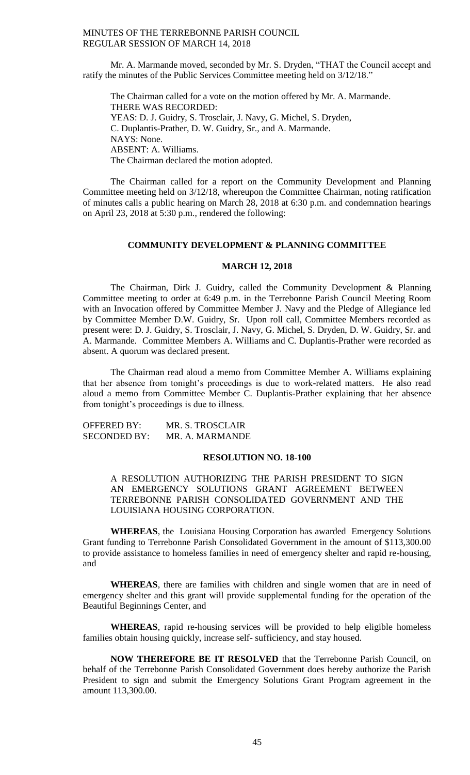Mr. A. Marmande moved, seconded by Mr. S. Dryden, "THAT the Council accept and ratify the minutes of the Public Services Committee meeting held on 3/12/18."

The Chairman called for a vote on the motion offered by Mr. A. Marmande. THERE WAS RECORDED: YEAS: D. J. Guidry, S. Trosclair, J. Navy, G. Michel, S. Dryden, C. Duplantis-Prather, D. W. Guidry, Sr., and A. Marmande. NAYS: None. ABSENT: A. Williams. The Chairman declared the motion adopted.

The Chairman called for a report on the Community Development and Planning Committee meeting held on 3/12/18, whereupon the Committee Chairman, noting ratification of minutes calls a public hearing on March 28, 2018 at 6:30 p.m. and condemnation hearings on April 23, 2018 at 5:30 p.m., rendered the following:

### **COMMUNITY DEVELOPMENT & PLANNING COMMITTEE**

### **MARCH 12, 2018**

The Chairman, Dirk J. Guidry, called the Community Development & Planning Committee meeting to order at 6:49 p.m. in the Terrebonne Parish Council Meeting Room with an Invocation offered by Committee Member J. Navy and the Pledge of Allegiance led by Committee Member D.W. Guidry, Sr. Upon roll call, Committee Members recorded as present were: D. J. Guidry, S. Trosclair, J. Navy, G. Michel, S. Dryden, D. W. Guidry, Sr. and A. Marmande. Committee Members A. Williams and C. Duplantis-Prather were recorded as absent. A quorum was declared present.

The Chairman read aloud a memo from Committee Member A. Williams explaining that her absence from tonight's proceedings is due to work-related matters. He also read aloud a memo from Committee Member C. Duplantis-Prather explaining that her absence from tonight's proceedings is due to illness.

OFFERED BY: MR. S. TROSCLAIR SECONDED BY: MR. A. MARMANDE

### **RESOLUTION NO. 18-100**

A RESOLUTION AUTHORIZING THE PARISH PRESIDENT TO SIGN AN EMERGENCY SOLUTIONS GRANT AGREEMENT BETWEEN TERREBONNE PARISH CONSOLIDATED GOVERNMENT AND THE LOUISIANA HOUSING CORPORATION.

**WHEREAS**, the Louisiana Housing Corporation has awarded Emergency Solutions Grant funding to Terrebonne Parish Consolidated Government in the amount of \$113,300.00 to provide assistance to homeless families in need of emergency shelter and rapid re-housing, and

**WHEREAS**, there are families with children and single women that are in need of emergency shelter and this grant will provide supplemental funding for the operation of the Beautiful Beginnings Center, and

**WHEREAS**, rapid re-housing services will be provided to help eligible homeless families obtain housing quickly, increase self- sufficiency, and stay housed.

**NOW THEREFORE BE IT RESOLVED** that the Terrebonne Parish Council, on behalf of the Terrebonne Parish Consolidated Government does hereby authorize the Parish President to sign and submit the Emergency Solutions Grant Program agreement in the amount 113,300.00.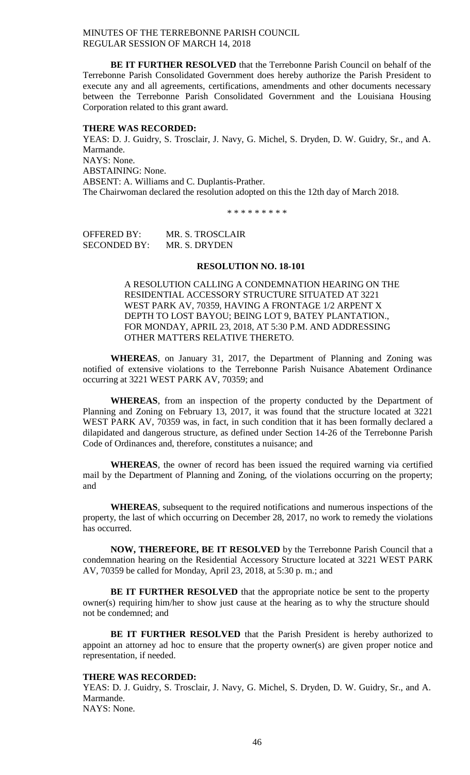**BE IT FURTHER RESOLVED** that the Terrebonne Parish Council on behalf of the Terrebonne Parish Consolidated Government does hereby authorize the Parish President to execute any and all agreements, certifications, amendments and other documents necessary between the Terrebonne Parish Consolidated Government and the Louisiana Housing Corporation related to this grant award.

#### **THERE WAS RECORDED:**

YEAS: D. J. Guidry, S. Trosclair, J. Navy, G. Michel, S. Dryden, D. W. Guidry, Sr., and A. Marmande. NAYS: None.

ABSTAINING: None.

ABSENT: A. Williams and C. Duplantis-Prather.

The Chairwoman declared the resolution adopted on this the 12th day of March 2018.

\* \* \* \* \* \* \* \* \*

OFFERED BY: MR. S. TROSCLAIR SECONDED BY: MR. S. DRYDEN

### **RESOLUTION NO. 18-101**

A RESOLUTION CALLING A CONDEMNATION HEARING ON THE RESIDENTIAL ACCESSORY STRUCTURE SITUATED AT 3221 WEST PARK AV, 70359, HAVING A FRONTAGE 1/2 ARPENT X DEPTH TO LOST BAYOU; BEING LOT 9, BATEY PLANTATION., FOR MONDAY, APRIL 23, 2018, AT 5:30 P.M. AND ADDRESSING OTHER MATTERS RELATIVE THERETO.

**WHEREAS**, on January 31, 2017, the Department of Planning and Zoning was notified of extensive violations to the Terrebonne Parish Nuisance Abatement Ordinance occurring at 3221 WEST PARK AV, 70359; and

**WHEREAS**, from an inspection of the property conducted by the Department of Planning and Zoning on February 13, 2017, it was found that the structure located at 3221 WEST PARK AV, 70359 was, in fact, in such condition that it has been formally declared a dilapidated and dangerous structure, as defined under Section 14-26 of the Terrebonne Parish Code of Ordinances and, therefore, constitutes a nuisance; and

**WHEREAS**, the owner of record has been issued the required warning via certified mail by the Department of Planning and Zoning, of the violations occurring on the property; and

**WHEREAS**, subsequent to the required notifications and numerous inspections of the property, the last of which occurring on December 28, 2017, no work to remedy the violations has occurred.

**NOW, THEREFORE, BE IT RESOLVED** by the Terrebonne Parish Council that a condemnation hearing on the Residential Accessory Structure located at 3221 WEST PARK AV, 70359 be called for Monday, April 23, 2018, at 5:30 p. m.; and

**BE IT FURTHER RESOLVED** that the appropriate notice be sent to the property owner(s) requiring him/her to show just cause at the hearing as to why the structure should not be condemned; and

**BE IT FURTHER RESOLVED** that the Parish President is hereby authorized to appoint an attorney ad hoc to ensure that the property owner(s) are given proper notice and representation, if needed.

#### **THERE WAS RECORDED:**

YEAS: D. J. Guidry, S. Trosclair, J. Navy, G. Michel, S. Dryden, D. W. Guidry, Sr., and A. Marmande. NAYS: None.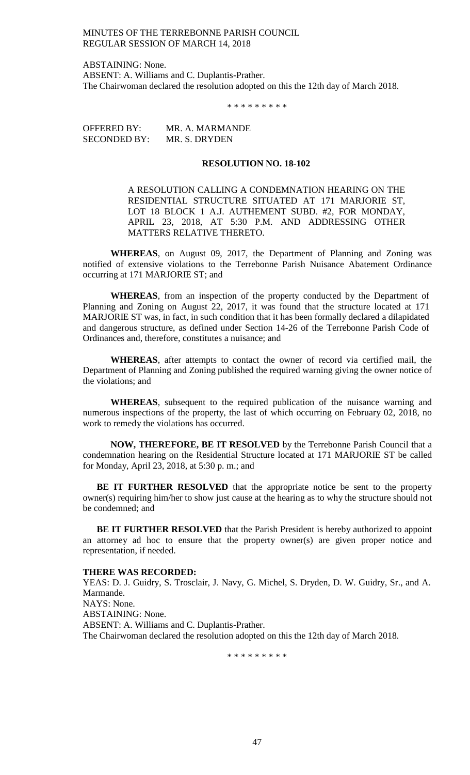ABSTAINING: None. ABSENT: A. Williams and C. Duplantis-Prather. The Chairwoman declared the resolution adopted on this the 12th day of March 2018.

\* \* \* \* \* \* \* \* \*

OFFERED BY: MR. A. MARMANDE SECONDED BY: MR. S. DRYDEN

### **RESOLUTION NO. 18-102**

A RESOLUTION CALLING A CONDEMNATION HEARING ON THE RESIDENTIAL STRUCTURE SITUATED AT 171 MARJORIE ST, LOT 18 BLOCK 1 A.J. AUTHEMENT SUBD. #2, FOR MONDAY, APRIL 23, 2018, AT 5:30 P.M. AND ADDRESSING OTHER MATTERS RELATIVE THERETO.

**WHEREAS**, on August 09, 2017, the Department of Planning and Zoning was notified of extensive violations to the Terrebonne Parish Nuisance Abatement Ordinance occurring at 171 MARJORIE ST; and

**WHEREAS**, from an inspection of the property conducted by the Department of Planning and Zoning on August 22, 2017, it was found that the structure located at 171 MARJORIE ST was, in fact, in such condition that it has been formally declared a dilapidated and dangerous structure, as defined under Section 14-26 of the Terrebonne Parish Code of Ordinances and, therefore, constitutes a nuisance; and

**WHEREAS**, after attempts to contact the owner of record via certified mail, the Department of Planning and Zoning published the required warning giving the owner notice of the violations; and

**WHEREAS**, subsequent to the required publication of the nuisance warning and numerous inspections of the property, the last of which occurring on February 02, 2018, no work to remedy the violations has occurred.

**NOW, THEREFORE, BE IT RESOLVED** by the Terrebonne Parish Council that a condemnation hearing on the Residential Structure located at 171 MARJORIE ST be called for Monday, April 23, 2018, at 5:30 p. m.; and

**BE IT FURTHER RESOLVED** that the appropriate notice be sent to the property owner(s) requiring him/her to show just cause at the hearing as to why the structure should not be condemned; and

**BE IT FURTHER RESOLVED** that the Parish President is hereby authorized to appoint an attorney ad hoc to ensure that the property owner(s) are given proper notice and representation, if needed.

#### **THERE WAS RECORDED:**

YEAS: D. J. Guidry, S. Trosclair, J. Navy, G. Michel, S. Dryden, D. W. Guidry, Sr., and A. Marmande. NAYS: None. ABSTAINING: None. ABSENT: A. Williams and C. Duplantis-Prather. The Chairwoman declared the resolution adopted on this the 12th day of March 2018.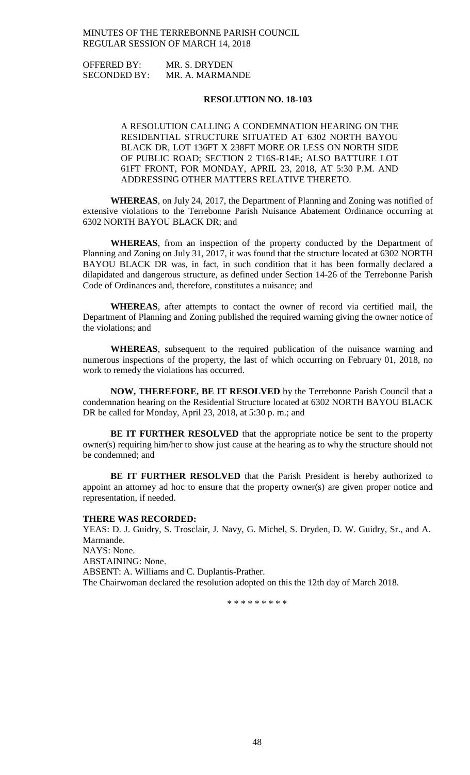OFFERED BY: MR. S. DRYDEN SECONDED BY: MR. A. MARMANDE

# **RESOLUTION NO. 18-103**

A RESOLUTION CALLING A CONDEMNATION HEARING ON THE RESIDENTIAL STRUCTURE SITUATED AT 6302 NORTH BAYOU BLACK DR, LOT 136FT X 238FT MORE OR LESS ON NORTH SIDE OF PUBLIC ROAD; SECTION 2 T16S-R14E; ALSO BATTURE LOT 61FT FRONT, FOR MONDAY, APRIL 23, 2018, AT 5:30 P.M. AND ADDRESSING OTHER MATTERS RELATIVE THERETO.

**WHEREAS**, on July 24, 2017, the Department of Planning and Zoning was notified of extensive violations to the Terrebonne Parish Nuisance Abatement Ordinance occurring at 6302 NORTH BAYOU BLACK DR; and

**WHEREAS**, from an inspection of the property conducted by the Department of Planning and Zoning on July 31, 2017, it was found that the structure located at 6302 NORTH BAYOU BLACK DR was, in fact, in such condition that it has been formally declared a dilapidated and dangerous structure, as defined under Section 14-26 of the Terrebonne Parish Code of Ordinances and, therefore, constitutes a nuisance; and

**WHEREAS**, after attempts to contact the owner of record via certified mail, the Department of Planning and Zoning published the required warning giving the owner notice of the violations; and

**WHEREAS**, subsequent to the required publication of the nuisance warning and numerous inspections of the property, the last of which occurring on February 01, 2018, no work to remedy the violations has occurred.

**NOW, THEREFORE, BE IT RESOLVED** by the Terrebonne Parish Council that a condemnation hearing on the Residential Structure located at 6302 NORTH BAYOU BLACK DR be called for Monday, April 23, 2018, at 5:30 p.m.; and

**BE IT FURTHER RESOLVED** that the appropriate notice be sent to the property owner(s) requiring him/her to show just cause at the hearing as to why the structure should not be condemned; and

**BE IT FURTHER RESOLVED** that the Parish President is hereby authorized to appoint an attorney ad hoc to ensure that the property owner(s) are given proper notice and representation, if needed.

#### **THERE WAS RECORDED:**

YEAS: D. J. Guidry, S. Trosclair, J. Navy, G. Michel, S. Dryden, D. W. Guidry, Sr., and A. Marmande. NAYS: None.

ABSTAINING: None.

ABSENT: A. Williams and C. Duplantis-Prather.

The Chairwoman declared the resolution adopted on this the 12th day of March 2018.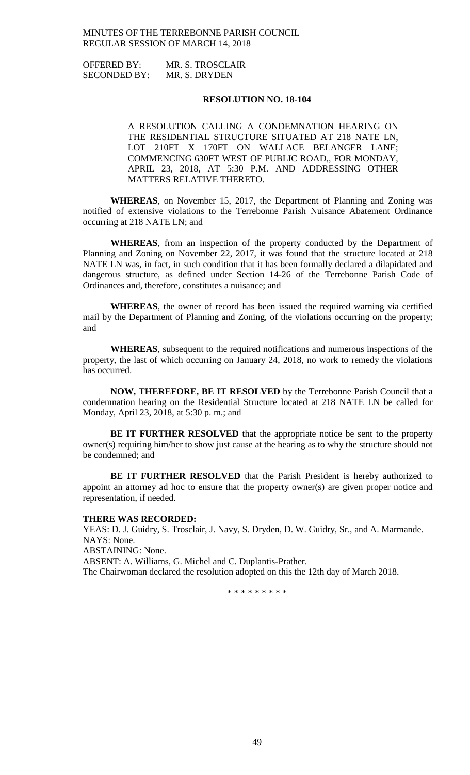OFFERED BY: MR. S. TROSCLAIR SECONDED BY: MR. S. DRYDEN

### **RESOLUTION NO. 18-104**

A RESOLUTION CALLING A CONDEMNATION HEARING ON THE RESIDENTIAL STRUCTURE SITUATED AT 218 NATE LN, LOT 210FT X 170FT ON WALLACE BELANGER LANE; COMMENCING 630FT WEST OF PUBLIC ROAD,, FOR MONDAY, APRIL 23, 2018, AT 5:30 P.M. AND ADDRESSING OTHER MATTERS RELATIVE THERETO.

**WHEREAS**, on November 15, 2017, the Department of Planning and Zoning was notified of extensive violations to the Terrebonne Parish Nuisance Abatement Ordinance occurring at 218 NATE LN; and

**WHEREAS**, from an inspection of the property conducted by the Department of Planning and Zoning on November 22, 2017, it was found that the structure located at 218 NATE LN was, in fact, in such condition that it has been formally declared a dilapidated and dangerous structure, as defined under Section 14-26 of the Terrebonne Parish Code of Ordinances and, therefore, constitutes a nuisance; and

**WHEREAS**, the owner of record has been issued the required warning via certified mail by the Department of Planning and Zoning, of the violations occurring on the property; and

**WHEREAS**, subsequent to the required notifications and numerous inspections of the property, the last of which occurring on January 24, 2018, no work to remedy the violations has occurred.

**NOW, THEREFORE, BE IT RESOLVED** by the Terrebonne Parish Council that a condemnation hearing on the Residential Structure located at 218 NATE LN be called for Monday, April 23, 2018, at 5:30 p. m.; and

**BE IT FURTHER RESOLVED** that the appropriate notice be sent to the property owner(s) requiring him/her to show just cause at the hearing as to why the structure should not be condemned; and

**BE IT FURTHER RESOLVED** that the Parish President is hereby authorized to appoint an attorney ad hoc to ensure that the property owner(s) are given proper notice and representation, if needed.

#### **THERE WAS RECORDED:**

YEAS: D. J. Guidry, S. Trosclair, J. Navy, S. Dryden, D. W. Guidry, Sr., and A. Marmande. NAYS: None.

ABSTAINING: None.

ABSENT: A. Williams, G. Michel and C. Duplantis-Prather.

The Chairwoman declared the resolution adopted on this the 12th day of March 2018.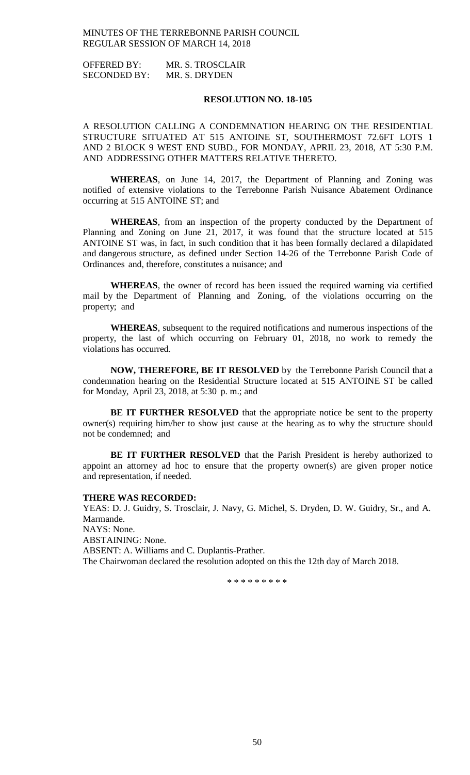OFFERED BY: MR. S. TROSCLAIR SECONDED BY: MR. S. DRYDEN

### **RESOLUTION NO. 18-105**

A RESOLUTION CALLING A CONDEMNATION HEARING ON THE RESIDENTIAL STRUCTURE SITUATED AT 515 ANTOINE ST, SOUTHERMOST 72.6FT LOTS 1 AND 2 BLOCK 9 WEST END SUBD., FOR MONDAY, APRIL 23, 2018, AT 5:30 P.M. AND ADDRESSING OTHER MATTERS RELATIVE THERETO.

**WHEREAS**, on June 14, 2017, the Department of Planning and Zoning was notified of extensive violations to the Terrebonne Parish Nuisance Abatement Ordinance occurring at 515 ANTOINE ST; and

**WHEREAS**, from an inspection of the property conducted by the Department of Planning and Zoning on June 21, 2017, it was found that the structure located at 515 ANTOINE ST was, in fact, in such condition that it has been formally declared a dilapidated and dangerous structure, as defined under Section 14-26 of the Terrebonne Parish Code of Ordinances and, therefore, constitutes a nuisance; and

**WHEREAS**, the owner of record has been issued the required warning via certified mail by the Department of Planning and Zoning, of the violations occurring on the property; and

**WHEREAS**, subsequent to the required notifications and numerous inspections of the property, the last of which occurring on February 01, 2018, no work to remedy the violations has occurred.

**NOW, THEREFORE, BE IT RESOLVED** by the Terrebonne Parish Council that a condemnation hearing on the Residential Structure located at 515 ANTOINE ST be called for Monday, April 23, 2018, at 5:30 p. m.; and

**BE IT FURTHER RESOLVED** that the appropriate notice be sent to the property owner(s) requiring him/her to show just cause at the hearing as to why the structure should not be condemned; and

**BE IT FURTHER RESOLVED** that the Parish President is hereby authorized to appoint an attorney ad hoc to ensure that the property owner(s) are given proper notice and representation, if needed.

#### **THERE WAS RECORDED:**

YEAS: D. J. Guidry, S. Trosclair, J. Navy, G. Michel, S. Dryden, D. W. Guidry, Sr., and A. Marmande. NAYS: None. ABSTAINING: None.

ABSENT: A. Williams and C. Duplantis-Prather.

The Chairwoman declared the resolution adopted on this the 12th day of March 2018.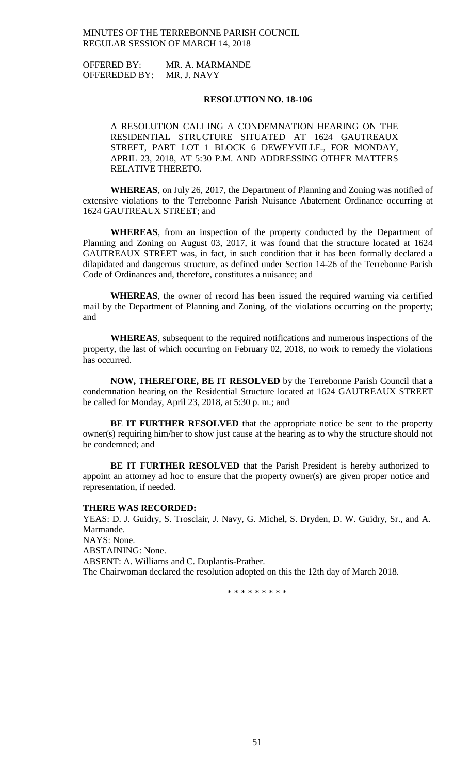OFFERED BY: MR. A. MARMANDE OFFEREDED BY: MR. J. NAVY

### **RESOLUTION NO. 18-106**

A RESOLUTION CALLING A CONDEMNATION HEARING ON THE RESIDENTIAL STRUCTURE SITUATED AT 1624 GAUTREAUX STREET, PART LOT 1 BLOCK 6 DEWEYVILLE., FOR MONDAY, APRIL 23, 2018, AT 5:30 P.M. AND ADDRESSING OTHER MATTERS RELATIVE THERETO.

**WHEREAS**, on July 26, 2017, the Department of Planning and Zoning was notified of extensive violations to the Terrebonne Parish Nuisance Abatement Ordinance occurring at 1624 GAUTREAUX STREET; and

**WHEREAS**, from an inspection of the property conducted by the Department of Planning and Zoning on August 03, 2017, it was found that the structure located at 1624 GAUTREAUX STREET was, in fact, in such condition that it has been formally declared a dilapidated and dangerous structure, as defined under Section 14-26 of the Terrebonne Parish Code of Ordinances and, therefore, constitutes a nuisance; and

**WHEREAS**, the owner of record has been issued the required warning via certified mail by the Department of Planning and Zoning, of the violations occurring on the property; and

**WHEREAS**, subsequent to the required notifications and numerous inspections of the property, the last of which occurring on February 02, 2018, no work to remedy the violations has occurred.

**NOW, THEREFORE, BE IT RESOLVED** by the Terrebonne Parish Council that a condemnation hearing on the Residential Structure located at 1624 GAUTREAUX STREET be called for Monday, April 23, 2018, at 5:30 p. m.; and

**BE IT FURTHER RESOLVED** that the appropriate notice be sent to the property owner(s) requiring him/her to show just cause at the hearing as to why the structure should not be condemned; and

BE IT FURTHER RESOLVED that the Parish President is hereby authorized to appoint an attorney ad hoc to ensure that the property owner(s) are given proper notice and representation, if needed.

#### **THERE WAS RECORDED:**

YEAS: D. J. Guidry, S. Trosclair, J. Navy, G. Michel, S. Dryden, D. W. Guidry, Sr., and A. Marmande. NAYS: None. ABSTAINING: None. ABSENT: A. Williams and C. Duplantis-Prather. The Chairwoman declared the resolution adopted on this the 12th day of March 2018.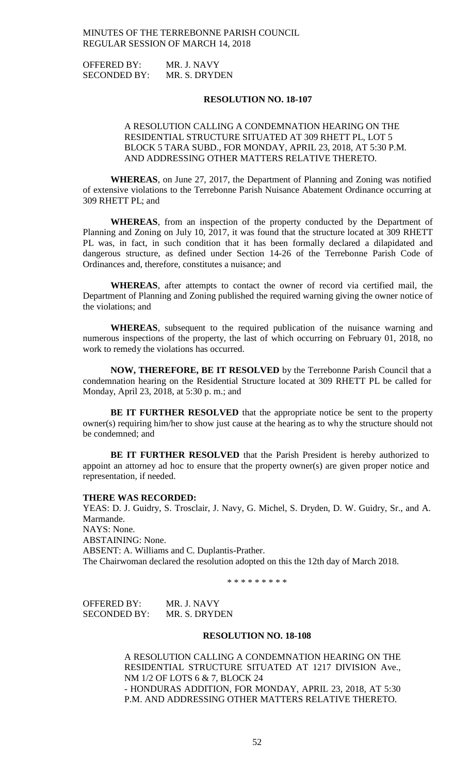OFFERED BY: MR. J. NAVY SECONDED BY: MR. S. DRYDEN

### **RESOLUTION NO. 18-107**

# A RESOLUTION CALLING A CONDEMNATION HEARING ON THE RESIDENTIAL STRUCTURE SITUATED AT 309 RHETT PL, LOT 5 BLOCK 5 TARA SUBD., FOR MONDAY, APRIL 23, 2018, AT 5:30 P.M. AND ADDRESSING OTHER MATTERS RELATIVE THERETO.

**WHEREAS**, on June 27, 2017, the Department of Planning and Zoning was notified of extensive violations to the Terrebonne Parish Nuisance Abatement Ordinance occurring at 309 RHETT PL; and

**WHEREAS**, from an inspection of the property conducted by the Department of Planning and Zoning on July 10, 2017, it was found that the structure located at 309 RHETT PL was, in fact, in such condition that it has been formally declared a dilapidated and dangerous structure, as defined under Section 14-26 of the Terrebonne Parish Code of Ordinances and, therefore, constitutes a nuisance; and

**WHEREAS**, after attempts to contact the owner of record via certified mail, the Department of Planning and Zoning published the required warning giving the owner notice of the violations; and

**WHEREAS**, subsequent to the required publication of the nuisance warning and numerous inspections of the property, the last of which occurring on February 01, 2018, no work to remedy the violations has occurred.

**NOW, THEREFORE, BE IT RESOLVED** by the Terrebonne Parish Council that a condemnation hearing on the Residential Structure located at 309 RHETT PL be called for Monday, April 23, 2018, at 5:30 p. m.; and

**BE IT FURTHER RESOLVED** that the appropriate notice be sent to the property owner(s) requiring him/her to show just cause at the hearing as to why the structure should not be condemned; and

**BE IT FURTHER RESOLVED** that the Parish President is hereby authorized to appoint an attorney ad hoc to ensure that the property owner(s) are given proper notice and representation, if needed.

#### **THERE WAS RECORDED:**

YEAS: D. J. Guidry, S. Trosclair, J. Navy, G. Michel, S. Dryden, D. W. Guidry, Sr., and A. Marmande. NAYS: None. ABSTAINING: None. ABSENT: A. Williams and C. Duplantis-Prather. The Chairwoman declared the resolution adopted on this the 12th day of March 2018.

\* \* \* \* \* \* \* \* \*

| OFFERED BY:  | MR. J. NAVY   |
|--------------|---------------|
| SECONDED BY: | MR. S. DRYDEN |

### **RESOLUTION NO. 18-108**

A RESOLUTION CALLING A CONDEMNATION HEARING ON THE RESIDENTIAL STRUCTURE SITUATED AT 1217 DIVISION Ave., NM 1/2 OF LOTS 6 & 7, BLOCK 24 - HONDURAS ADDITION, FOR MONDAY, APRIL 23, 2018, AT 5:30 P.M. AND ADDRESSING OTHER MATTERS RELATIVE THERETO.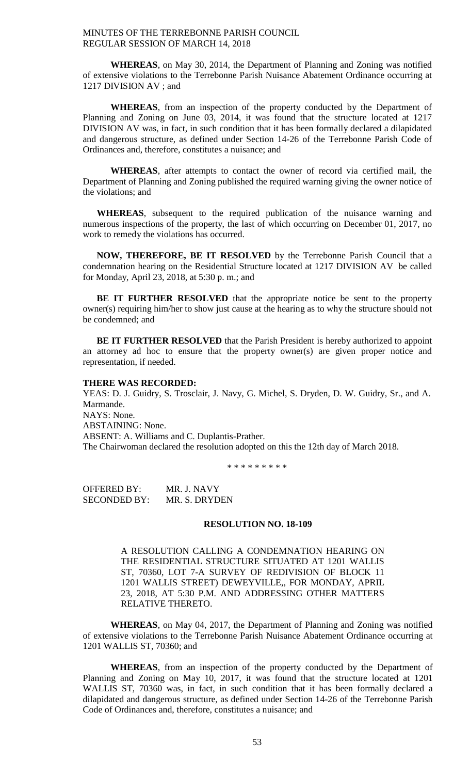**WHEREAS**, on May 30, 2014, the Department of Planning and Zoning was notified of extensive violations to the Terrebonne Parish Nuisance Abatement Ordinance occurring at 1217 DIVISION AV ; and

**WHEREAS**, from an inspection of the property conducted by the Department of Planning and Zoning on June  $0\bar{3}$ , 2014, it was found that the structure located at 1217 DIVISION AV was, in fact, in such condition that it has been formally declared a dilapidated and dangerous structure, as defined under Section 14-26 of the Terrebonne Parish Code of Ordinances and, therefore, constitutes a nuisance; and

**WHEREAS**, after attempts to contact the owner of record via certified mail, the Department of Planning and Zoning published the required warning giving the owner notice of the violations; and

**WHEREAS**, subsequent to the required publication of the nuisance warning and numerous inspections of the property, the last of which occurring on December 01, 2017, no work to remedy the violations has occurred.

**NOW, THEREFORE, BE IT RESOLVED** by the Terrebonne Parish Council that a condemnation hearing on the Residential Structure located at 1217 DIVISION AV be called for Monday, April 23, 2018, at 5:30 p. m.; and

**BE IT FURTHER RESOLVED** that the appropriate notice be sent to the property owner(s) requiring him/her to show just cause at the hearing as to why the structure should not be condemned; and

**BE IT FURTHER RESOLVED** that the Parish President is hereby authorized to appoint an attorney ad hoc to ensure that the property owner(s) are given proper notice and representation, if needed.

### **THERE WAS RECORDED:**

YEAS: D. J. Guidry, S. Trosclair, J. Navy, G. Michel, S. Dryden, D. W. Guidry, Sr., and A. Marmande. NAYS: None. ABSTAINING: None. ABSENT: A. Williams and C. Duplantis-Prather. The Chairwoman declared the resolution adopted on this the 12th day of March 2018.

\* \* \* \* \* \* \* \* \*

OFFERED BY: MR. J. NAVY SECONDED BY: MR. S. DRYDEN

### **RESOLUTION NO. 18-109**

A RESOLUTION CALLING A CONDEMNATION HEARING ON THE RESIDENTIAL STRUCTURE SITUATED AT 1201 WALLIS ST, 70360, LOT 7-A SURVEY OF REDIVISION OF BLOCK 11 1201 WALLIS STREET) DEWEYVILLE,, FOR MONDAY, APRIL 23, 2018, AT 5:30 P.M. AND ADDRESSING OTHER MATTERS RELATIVE THERETO.

**WHEREAS**, on May 04, 2017, the Department of Planning and Zoning was notified of extensive violations to the Terrebonne Parish Nuisance Abatement Ordinance occurring at 1201 WALLIS ST, 70360; and

**WHEREAS**, from an inspection of the property conducted by the Department of Planning and Zoning on May 10, 2017, it was found that the structure located at 1201 WALLIS ST, 70360 was, in fact, in such condition that it has been formally declared a dilapidated and dangerous structure, as defined under Section 14-26 of the Terrebonne Parish Code of Ordinances and, therefore, constitutes a nuisance; and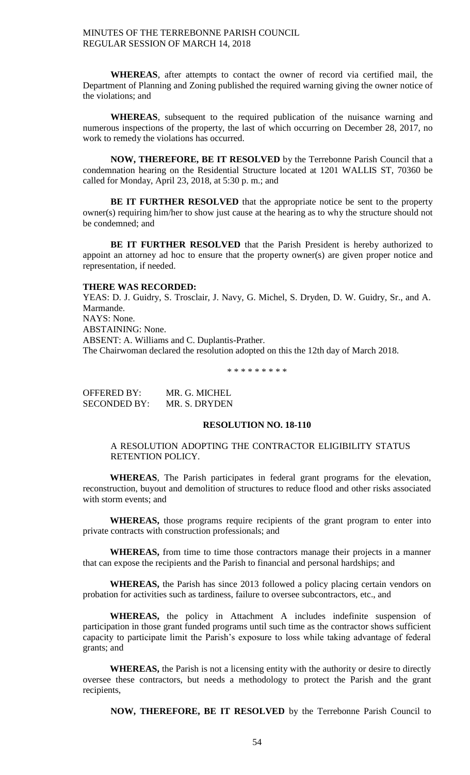**WHEREAS**, after attempts to contact the owner of record via certified mail, the Department of Planning and Zoning published the required warning giving the owner notice of the violations; and

**WHEREAS**, subsequent to the required publication of the nuisance warning and numerous inspections of the property, the last of which occurring on December 28, 2017, no work to remedy the violations has occurred.

**NOW, THEREFORE, BE IT RESOLVED** by the Terrebonne Parish Council that a condemnation hearing on the Residential Structure located at 1201 WALLIS ST, 70360 be called for Monday, April 23, 2018, at 5:30 p. m.; and

**BE IT FURTHER RESOLVED** that the appropriate notice be sent to the property owner(s) requiring him/her to show just cause at the hearing as to why the structure should not be condemned; and

**BE IT FURTHER RESOLVED** that the Parish President is hereby authorized to appoint an attorney ad hoc to ensure that the property owner(s) are given proper notice and representation, if needed.

# **THERE WAS RECORDED:**

YEAS: D. J. Guidry, S. Trosclair, J. Navy, G. Michel, S. Dryden, D. W. Guidry, Sr., and A. Marmande. NAYS: None. ABSTAINING: None. ABSENT: A. Williams and C. Duplantis-Prather. The Chairwoman declared the resolution adopted on this the 12th day of March 2018.

\* \* \* \* \* \* \* \* \*

| OFFERED BY:         | MR. G. MICHEL |
|---------------------|---------------|
| <b>SECONDED BY:</b> | MR. S. DRYDEN |

### **RESOLUTION NO. 18-110**

## A RESOLUTION ADOPTING THE CONTRACTOR ELIGIBILITY STATUS RETENTION POLICY.

**WHEREAS**, The Parish participates in federal grant programs for the elevation, reconstruction, buyout and demolition of structures to reduce flood and other risks associated with storm events; and

**WHEREAS,** those programs require recipients of the grant program to enter into private contracts with construction professionals; and

**WHEREAS,** from time to time those contractors manage their projects in a manner that can expose the recipients and the Parish to financial and personal hardships; and

**WHEREAS,** the Parish has since 2013 followed a policy placing certain vendors on probation for activities such as tardiness, failure to oversee subcontractors, etc., and

**WHEREAS,** the policy in Attachment A includes indefinite suspension of participation in those grant funded programs until such time as the contractor shows sufficient capacity to participate limit the Parish's exposure to loss while taking advantage of federal grants; and

**WHEREAS,** the Parish is not a licensing entity with the authority or desire to directly oversee these contractors, but needs a methodology to protect the Parish and the grant recipients,

**NOW, THEREFORE, BE IT RESOLVED** by the Terrebonne Parish Council to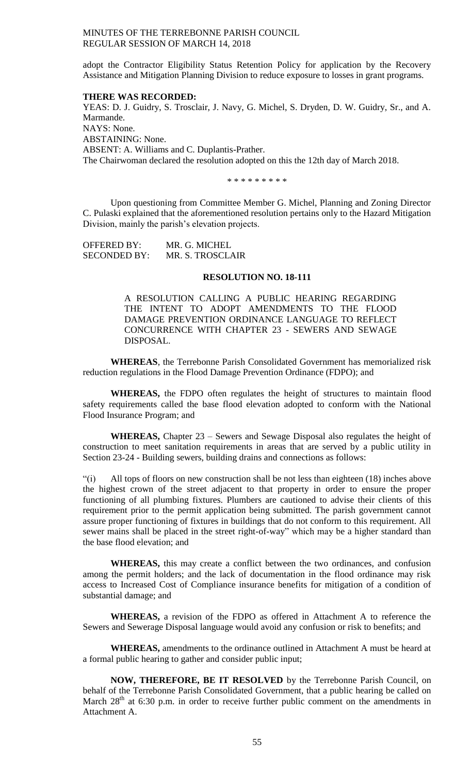adopt the Contractor Eligibility Status Retention Policy for application by the Recovery Assistance and Mitigation Planning Division to reduce exposure to losses in grant programs.

#### **THERE WAS RECORDED:**

YEAS: D. J. Guidry, S. Trosclair, J. Navy, G. Michel, S. Dryden, D. W. Guidry, Sr., and A. Marmande. NAYS: None. ABSTAINING: None. ABSENT: A. Williams and C. Duplantis-Prather. The Chairwoman declared the resolution adopted on this the 12th day of March 2018.

\* \* \* \* \* \* \* \* \*

Upon questioning from Committee Member G. Michel, Planning and Zoning Director C. Pulaski explained that the aforementioned resolution pertains only to the Hazard Mitigation Division, mainly the parish's elevation projects.

| <b>OFFERED BY:</b>  | MR. G. MICHEL    |
|---------------------|------------------|
| <b>SECONDED BY:</b> | MR. S. TROSCLAIR |

### **RESOLUTION NO. 18-111**

A RESOLUTION CALLING A PUBLIC HEARING REGARDING THE INTENT TO ADOPT AMENDMENTS TO THE FLOOD DAMAGE PREVENTION ORDINANCE LANGUAGE TO REFLECT CONCURRENCE WITH CHAPTER 23 - SEWERS AND SEWAGE DISPOSAL.

**WHEREAS**, the Terrebonne Parish Consolidated Government has memorialized risk reduction regulations in the Flood Damage Prevention Ordinance (FDPO); and

**WHEREAS,** the FDPO often regulates the height of structures to maintain flood safety requirements called the base flood elevation adopted to conform with the National Flood Insurance Program; and

**WHEREAS,** Chapter 23 – Sewers and Sewage Disposal also regulates the height of construction to meet sanitation requirements in areas that are served by a public utility in Section 23-24 - Building sewers, building drains and connections as follows:

"(i) All tops of floors on new construction shall be not less than eighteen (18) inches above the highest crown of the street adjacent to that property in order to ensure the proper functioning of all plumbing fixtures. Plumbers are cautioned to advise their clients of this requirement prior to the permit application being submitted. The parish government cannot assure proper functioning of fixtures in buildings that do not conform to this requirement. All sewer mains shall be placed in the street right-of-way" which may be a higher standard than the base flood elevation; and

**WHEREAS,** this may create a conflict between the two ordinances, and confusion among the permit holders; and the lack of documentation in the flood ordinance may risk access to Increased Cost of Compliance insurance benefits for mitigation of a condition of substantial damage; and

**WHEREAS,** a revision of the FDPO as offered in Attachment A to reference the Sewers and Sewerage Disposal language would avoid any confusion or risk to benefits; and

**WHEREAS,** amendments to the ordinance outlined in Attachment A must be heard at a formal public hearing to gather and consider public input;

**NOW, THEREFORE, BE IT RESOLVED** by the Terrebonne Parish Council, on behalf of the Terrebonne Parish Consolidated Government, that a public hearing be called on March  $28<sup>th</sup>$  at 6:30 p.m. in order to receive further public comment on the amendments in Attachment A.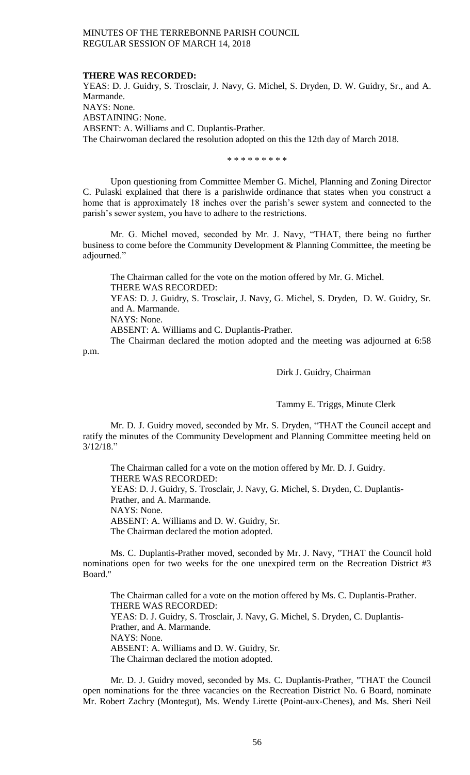### **THERE WAS RECORDED:**

YEAS: D. J. Guidry, S. Trosclair, J. Navy, G. Michel, S. Dryden, D. W. Guidry, Sr., and A. Marmande. NAYS: None. ABSTAINING: None. ABSENT: A. Williams and C. Duplantis-Prather. The Chairwoman declared the resolution adopted on this the 12th day of March 2018.

\* \* \* \* \* \* \* \* \*

Upon questioning from Committee Member G. Michel, Planning and Zoning Director C. Pulaski explained that there is a parishwide ordinance that states when you construct a home that is approximately 18 inches over the parish's sewer system and connected to the parish's sewer system, you have to adhere to the restrictions.

Mr. G. Michel moved, seconded by Mr. J. Navy, "THAT, there being no further business to come before the Community Development & Planning Committee, the meeting be adjourned."

The Chairman called for the vote on the motion offered by Mr. G. Michel. THERE WAS RECORDED: YEAS: D. J. Guidry, S. Trosclair, J. Navy, G. Michel, S. Dryden, D. W. Guidry, Sr. and A. Marmande. NAYS: None. ABSENT: A. Williams and C. Duplantis-Prather. The Chairman declared the motion adopted and the meeting was adjourned at 6:58

p.m.

# Dirk J. Guidry, Chairman

Tammy E. Triggs, Minute Clerk

Mr. D. J. Guidry moved, seconded by Mr. S. Dryden, "THAT the Council accept and ratify the minutes of the Community Development and Planning Committee meeting held on 3/12/18."

The Chairman called for a vote on the motion offered by Mr. D. J. Guidry. THERE WAS RECORDED: YEAS: D. J. Guidry, S. Trosclair, J. Navy, G. Michel, S. Dryden, C. Duplantis-Prather, and A. Marmande. NAYS: None. ABSENT: A. Williams and D. W. Guidry, Sr. The Chairman declared the motion adopted.

Ms. C. Duplantis-Prather moved, seconded by Mr. J. Navy, "THAT the Council hold nominations open for two weeks for the one unexpired term on the Recreation District #3 Board."

The Chairman called for a vote on the motion offered by Ms. C. Duplantis-Prather. THERE WAS RECORDED: YEAS: D. J. Guidry, S. Trosclair, J. Navy, G. Michel, S. Dryden, C. Duplantis-Prather, and A. Marmande. NAYS: None. ABSENT: A. Williams and D. W. Guidry, Sr. The Chairman declared the motion adopted.

Mr. D. J. Guidry moved, seconded by Ms. C. Duplantis-Prather, "THAT the Council open nominations for the three vacancies on the Recreation District No. 6 Board, nominate Mr. Robert Zachry (Montegut), Ms. Wendy Lirette (Point-aux-Chenes), and Ms. Sheri Neil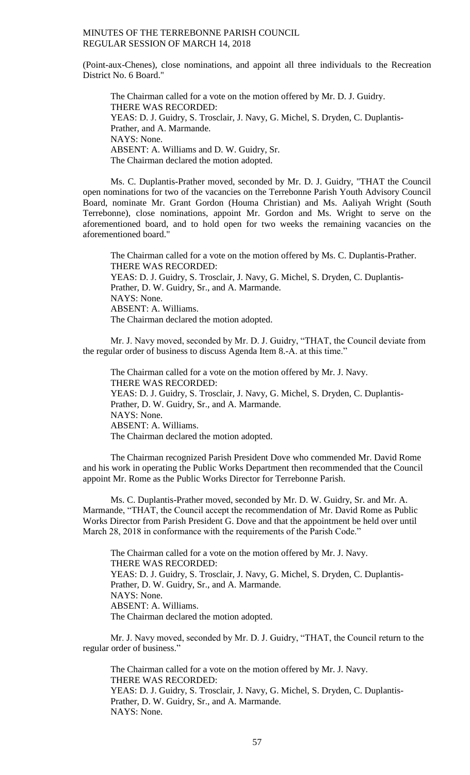(Point-aux-Chenes), close nominations, and appoint all three individuals to the Recreation District No. 6 Board."

The Chairman called for a vote on the motion offered by Mr. D. J. Guidry. THERE WAS RECORDED: YEAS: D. J. Guidry, S. Trosclair, J. Navy, G. Michel, S. Dryden, C. Duplantis-Prather, and A. Marmande. NAYS: None. ABSENT: A. Williams and D. W. Guidry, Sr. The Chairman declared the motion adopted.

Ms. C. Duplantis-Prather moved, seconded by Mr. D. J. Guidry, "THAT the Council open nominations for two of the vacancies on the Terrebonne Parish Youth Advisory Council Board, nominate Mr. Grant Gordon (Houma Christian) and Ms. Aaliyah Wright (South Terrebonne), close nominations, appoint Mr. Gordon and Ms. Wright to serve on the aforementioned board, and to hold open for two weeks the remaining vacancies on the aforementioned board."

The Chairman called for a vote on the motion offered by Ms. C. Duplantis-Prather. THERE WAS RECORDED: YEAS: D. J. Guidry, S. Trosclair, J. Navy, G. Michel, S. Dryden, C. Duplantis-Prather, D. W. Guidry, Sr., and A. Marmande. NAYS: None. ABSENT: A. Williams. The Chairman declared the motion adopted.

Mr. J. Navy moved, seconded by Mr. D. J. Guidry, "THAT, the Council deviate from the regular order of business to discuss Agenda Item 8.-A. at this time."

The Chairman called for a vote on the motion offered by Mr. J. Navy. THERE WAS RECORDED: YEAS: D. J. Guidry, S. Trosclair, J. Navy, G. Michel, S. Dryden, C. Duplantis-Prather, D. W. Guidry, Sr., and A. Marmande. NAYS: None. ABSENT: A. Williams. The Chairman declared the motion adopted.

The Chairman recognized Parish President Dove who commended Mr. David Rome and his work in operating the Public Works Department then recommended that the Council appoint Mr. Rome as the Public Works Director for Terrebonne Parish.

Ms. C. Duplantis-Prather moved, seconded by Mr. D. W. Guidry, Sr. and Mr. A. Marmande, "THAT, the Council accept the recommendation of Mr. David Rome as Public Works Director from Parish President G. Dove and that the appointment be held over until March 28, 2018 in conformance with the requirements of the Parish Code."

The Chairman called for a vote on the motion offered by Mr. J. Navy. THERE WAS RECORDED: YEAS: D. J. Guidry, S. Trosclair, J. Navy, G. Michel, S. Dryden, C. Duplantis-Prather, D. W. Guidry, Sr., and A. Marmande. NAYS: None. ABSENT: A. Williams. The Chairman declared the motion adopted.

Mr. J. Navy moved, seconded by Mr. D. J. Guidry, "THAT, the Council return to the regular order of business."

The Chairman called for a vote on the motion offered by Mr. J. Navy. THERE WAS RECORDED: YEAS: D. J. Guidry, S. Trosclair, J. Navy, G. Michel, S. Dryden, C. Duplantis-Prather, D. W. Guidry, Sr., and A. Marmande. NAYS: None.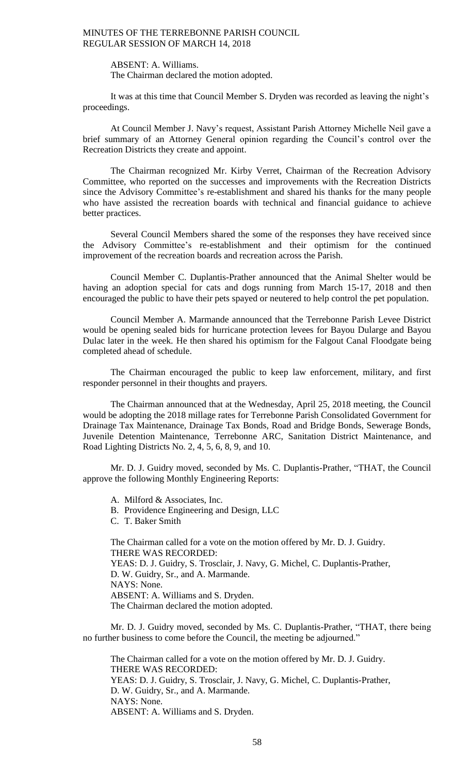ABSENT: A. Williams. The Chairman declared the motion adopted.

It was at this time that Council Member S. Dryden was recorded as leaving the night's proceedings.

At Council Member J. Navy's request, Assistant Parish Attorney Michelle Neil gave a brief summary of an Attorney General opinion regarding the Council's control over the Recreation Districts they create and appoint.

The Chairman recognized Mr. Kirby Verret, Chairman of the Recreation Advisory Committee, who reported on the successes and improvements with the Recreation Districts since the Advisory Committee's re-establishment and shared his thanks for the many people who have assisted the recreation boards with technical and financial guidance to achieve better practices.

Several Council Members shared the some of the responses they have received since the Advisory Committee's re-establishment and their optimism for the continued improvement of the recreation boards and recreation across the Parish.

Council Member C. Duplantis-Prather announced that the Animal Shelter would be having an adoption special for cats and dogs running from March 15-17, 2018 and then encouraged the public to have their pets spayed or neutered to help control the pet population.

Council Member A. Marmande announced that the Terrebonne Parish Levee District would be opening sealed bids for hurricane protection levees for Bayou Dularge and Bayou Dulac later in the week. He then shared his optimism for the Falgout Canal Floodgate being completed ahead of schedule.

The Chairman encouraged the public to keep law enforcement, military, and first responder personnel in their thoughts and prayers.

The Chairman announced that at the Wednesday, April 25, 2018 meeting, the Council would be adopting the 2018 millage rates for Terrebonne Parish Consolidated Government for Drainage Tax Maintenance, Drainage Tax Bonds, Road and Bridge Bonds, Sewerage Bonds, Juvenile Detention Maintenance, Terrebonne ARC, Sanitation District Maintenance, and Road Lighting Districts No. 2, 4, 5, 6, 8, 9, and 10.

Mr. D. J. Guidry moved, seconded by Ms. C. Duplantis-Prather, "THAT, the Council approve the following Monthly Engineering Reports:

A. Milford & Associates, Inc.

B. Providence Engineering and Design, LLC

C. T. Baker Smith

The Chairman called for a vote on the motion offered by Mr. D. J. Guidry. THERE WAS RECORDED: YEAS: D. J. Guidry, S. Trosclair, J. Navy, G. Michel, C. Duplantis-Prather, D. W. Guidry, Sr., and A. Marmande. NAYS: None. ABSENT: A. Williams and S. Dryden. The Chairman declared the motion adopted.

Mr. D. J. Guidry moved, seconded by Ms. C. Duplantis-Prather, "THAT, there being no further business to come before the Council, the meeting be adjourned."

The Chairman called for a vote on the motion offered by Mr. D. J. Guidry. THERE WAS RECORDED: YEAS: D. J. Guidry, S. Trosclair, J. Navy, G. Michel, C. Duplantis-Prather, D. W. Guidry, Sr., and A. Marmande. NAYS: None. ABSENT: A. Williams and S. Dryden.